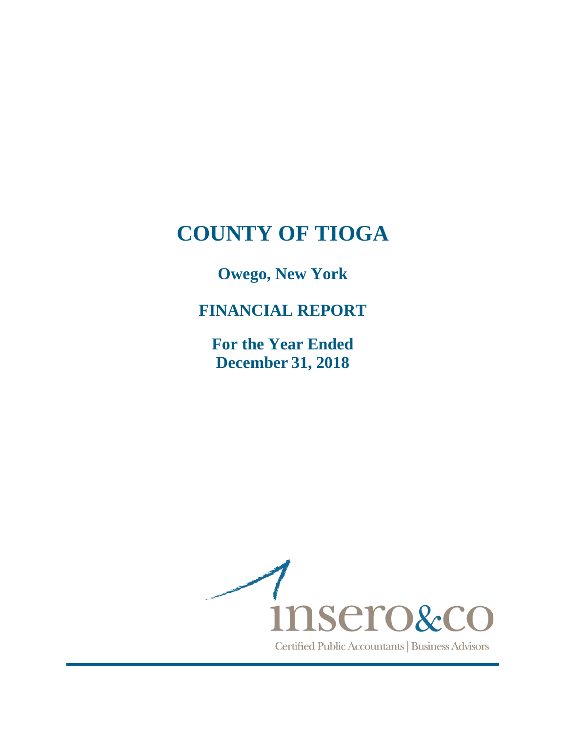**Owego, New York**

**FINANCIAL REPORT**

**For the Year Ended December 31, 2018**

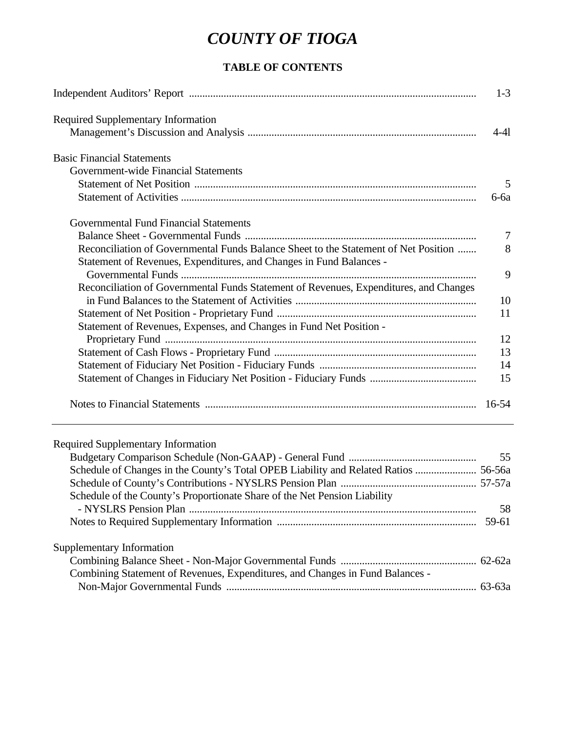### **TABLE OF CONTENTS**

|                                                                                                                                                            | $1-3$    |
|------------------------------------------------------------------------------------------------------------------------------------------------------------|----------|
| <b>Required Supplementary Information</b>                                                                                                                  |          |
|                                                                                                                                                            | $4 - 41$ |
| <b>Basic Financial Statements</b>                                                                                                                          |          |
| Government-wide Financial Statements                                                                                                                       |          |
|                                                                                                                                                            | 5        |
|                                                                                                                                                            | $6-6a$   |
| Governmental Fund Financial Statements                                                                                                                     |          |
|                                                                                                                                                            | $\tau$   |
| Reconciliation of Governmental Funds Balance Sheet to the Statement of Net Position<br>Statement of Revenues, Expenditures, and Changes in Fund Balances - | 8        |
|                                                                                                                                                            | 9        |
| Reconciliation of Governmental Funds Statement of Revenues, Expenditures, and Changes                                                                      |          |
|                                                                                                                                                            | 10       |
|                                                                                                                                                            | 11       |
| Statement of Revenues, Expenses, and Changes in Fund Net Position -                                                                                        |          |
|                                                                                                                                                            | 12       |
|                                                                                                                                                            | 13       |
|                                                                                                                                                            | 14       |
|                                                                                                                                                            | 15       |
|                                                                                                                                                            |          |
|                                                                                                                                                            |          |
| <b>Required Supplementary Information</b>                                                                                                                  | 55       |
| Schedule of Changes in the County's Total OPEB Liability and Related Ratios  56-56a                                                                        |          |
|                                                                                                                                                            |          |
| Schedule of the County's Proportionate Share of the Net Pension Liability                                                                                  |          |
|                                                                                                                                                            | 58       |
|                                                                                                                                                            | 59-61    |
| Supplementary Information                                                                                                                                  |          |
|                                                                                                                                                            |          |
| Combining Statement of Revenues, Expenditures, and Changes in Fund Balances -                                                                              |          |
|                                                                                                                                                            |          |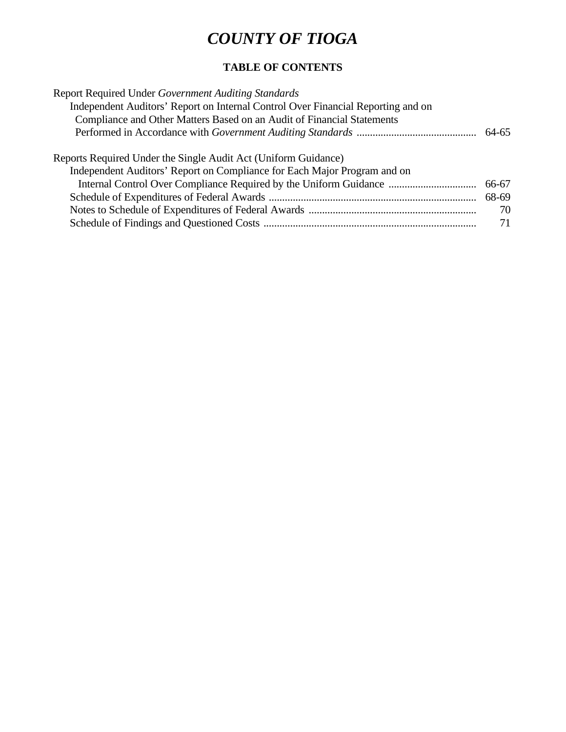### **TABLE OF CONTENTS**

| 66-67 |
|-------|
| 68-69 |
| 70    |
| 71    |
|       |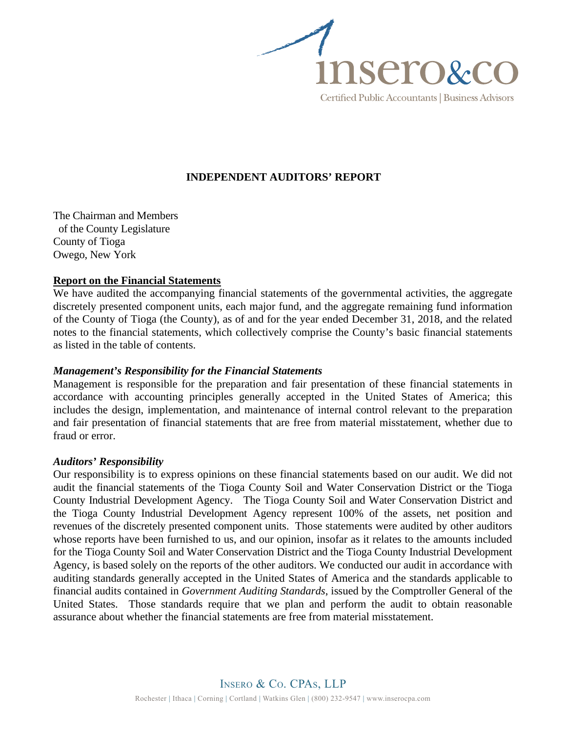

### **INDEPENDENT AUDITORS' REPORT**

The Chairman and Members of the County Legislature County of Tioga Owego, New York

### **Report on the Financial Statements**

We have audited the accompanying financial statements of the governmental activities, the aggregate discretely presented component units, each major fund, and the aggregate remaining fund information of the County of Tioga (the County), as of and for the year ended December 31, 2018, and the related notes to the financial statements, which collectively comprise the County's basic financial statements as listed in the table of contents.

### *Management's Responsibility for the Financial Statements*

Management is responsible for the preparation and fair presentation of these financial statements in accordance with accounting principles generally accepted in the United States of America; this includes the design, implementation, and maintenance of internal control relevant to the preparation and fair presentation of financial statements that are free from material misstatement, whether due to fraud or error.

### *Auditors' Responsibility*

Our responsibility is to express opinions on these financial statements based on our audit. We did not audit the financial statements of the Tioga County Soil and Water Conservation District or the Tioga County Industrial Development Agency. The Tioga County Soil and Water Conservation District and the Tioga County Industrial Development Agency represent 100% of the assets, net position and revenues of the discretely presented component units. Those statements were audited by other auditors whose reports have been furnished to us, and our opinion, insofar as it relates to the amounts included for the Tioga County Soil and Water Conservation District and the Tioga County Industrial Development Agency, is based solely on the reports of the other auditors. We conducted our audit in accordance with auditing standards generally accepted in the United States of America and the standards applicable to financial audits contained in *Government Auditing Standards*, issued by the Comptroller General of the United States. Those standards require that we plan and perform the audit to obtain reasonable assurance about whether the financial statements are free from material misstatement.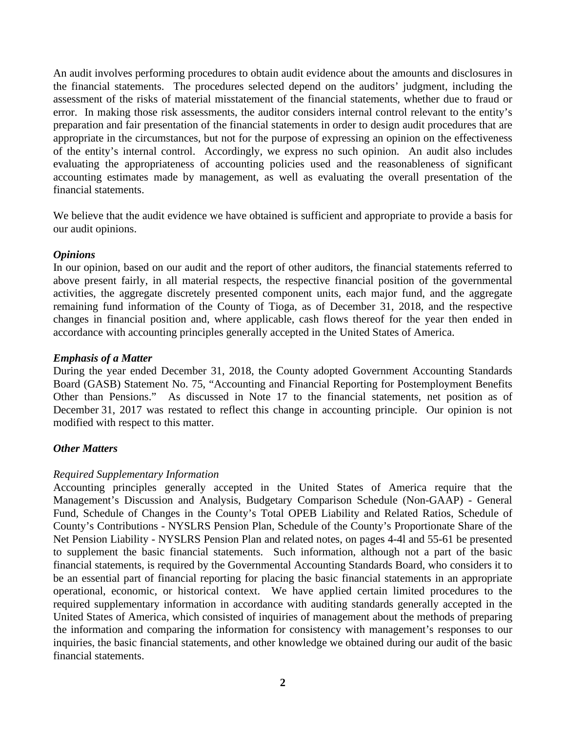An audit involves performing procedures to obtain audit evidence about the amounts and disclosures in the financial statements. The procedures selected depend on the auditors' judgment, including the assessment of the risks of material misstatement of the financial statements, whether due to fraud or error. In making those risk assessments, the auditor considers internal control relevant to the entity's preparation and fair presentation of the financial statements in order to design audit procedures that are appropriate in the circumstances, but not for the purpose of expressing an opinion on the effectiveness of the entity's internal control. Accordingly, we express no such opinion. An audit also includes evaluating the appropriateness of accounting policies used and the reasonableness of significant accounting estimates made by management, as well as evaluating the overall presentation of the financial statements.

We believe that the audit evidence we have obtained is sufficient and appropriate to provide a basis for our audit opinions.

### *Opinions*

In our opinion, based on our audit and the report of other auditors, the financial statements referred to above present fairly, in all material respects, the respective financial position of the governmental activities, the aggregate discretely presented component units, each major fund, and the aggregate remaining fund information of the County of Tioga, as of December 31, 2018, and the respective changes in financial position and, where applicable, cash flows thereof for the year then ended in accordance with accounting principles generally accepted in the United States of America.

### *Emphasis of a Matter*

During the year ended December 31, 2018, the County adopted Government Accounting Standards Board (GASB) Statement No. 75, "Accounting and Financial Reporting for Postemployment Benefits Other than Pensions." As discussed in Note 17 to the financial statements, net position as of December 31, 2017 was restated to reflect this change in accounting principle. Our opinion is not modified with respect to this matter.

### *Other Matters*

### *Required Supplementary Information*

Accounting principles generally accepted in the United States of America require that the Management's Discussion and Analysis, Budgetary Comparison Schedule (Non-GAAP) - General Fund, Schedule of Changes in the County's Total OPEB Liability and Related Ratios, Schedule of County's Contributions - NYSLRS Pension Plan, Schedule of the County's Proportionate Share of the Net Pension Liability - NYSLRS Pension Plan and related notes, on pages 4-4l and 55-61 be presented to supplement the basic financial statements. Such information, although not a part of the basic financial statements, is required by the Governmental Accounting Standards Board, who considers it to be an essential part of financial reporting for placing the basic financial statements in an appropriate operational, economic, or historical context. We have applied certain limited procedures to the required supplementary information in accordance with auditing standards generally accepted in the United States of America, which consisted of inquiries of management about the methods of preparing the information and comparing the information for consistency with management's responses to our inquiries, the basic financial statements, and other knowledge we obtained during our audit of the basic financial statements.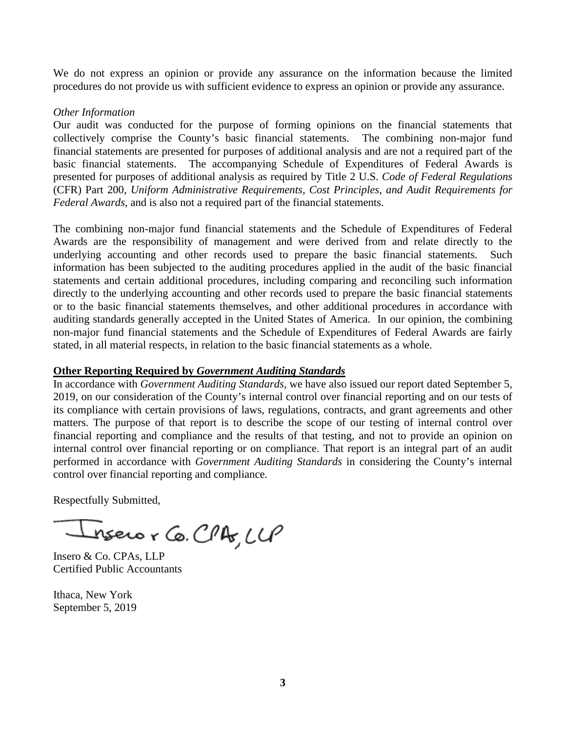We do not express an opinion or provide any assurance on the information because the limited procedures do not provide us with sufficient evidence to express an opinion or provide any assurance.

### *Other Information*

Our audit was conducted for the purpose of forming opinions on the financial statements that collectively comprise the County's basic financial statements. The combining non-major fund financial statements are presented for purposes of additional analysis and are not a required part of the basic financial statements. The accompanying Schedule of Expenditures of Federal Awards is presented for purposes of additional analysis as required by Title 2 U.S. *Code of Federal Regulations* (CFR) Part 200, *Uniform Administrative Requirements, Cost Principles, and Audit Requirements for Federal Awards*, and is also not a required part of the financial statements.

The combining non-major fund financial statements and the Schedule of Expenditures of Federal Awards are the responsibility of management and were derived from and relate directly to the underlying accounting and other records used to prepare the basic financial statements. Such information has been subjected to the auditing procedures applied in the audit of the basic financial statements and certain additional procedures, including comparing and reconciling such information directly to the underlying accounting and other records used to prepare the basic financial statements or to the basic financial statements themselves, and other additional procedures in accordance with auditing standards generally accepted in the United States of America. In our opinion, the combining non-major fund financial statements and the Schedule of Expenditures of Federal Awards are fairly stated, in all material respects, in relation to the basic financial statements as a whole.

### **Other Reporting Required by** *Government Auditing Standards*

In accordance with *Government Auditing Standards*, we have also issued our report dated September 5, 2019, on our consideration of the County's internal control over financial reporting and on our tests of its compliance with certain provisions of laws, regulations, contracts, and grant agreements and other matters. The purpose of that report is to describe the scope of our testing of internal control over financial reporting and compliance and the results of that testing, and not to provide an opinion on internal control over financial reporting or on compliance. That report is an integral part of an audit performed in accordance with *Government Auditing Standards* in considering the County's internal control over financial reporting and compliance.

Respectfully Submitted,

nsero r Co. CPA, LLP

Insero & Co. CPAs, LLP Certified Public Accountants

Ithaca, New York September 5, 2019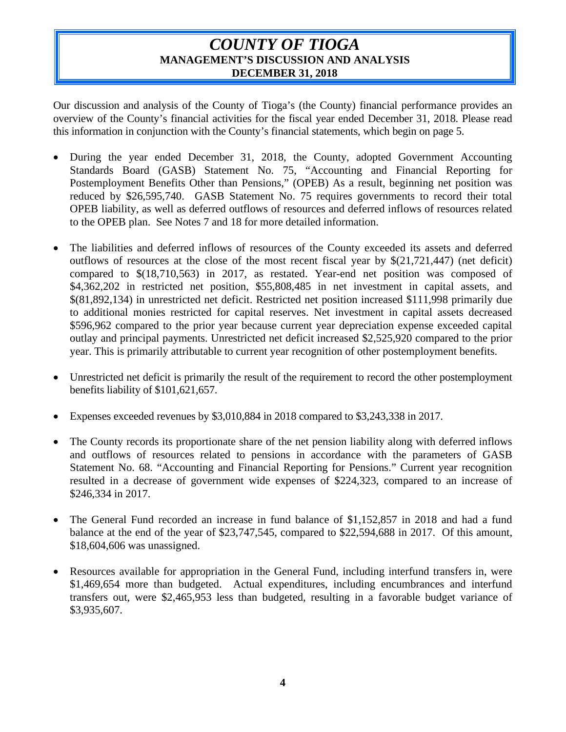Our discussion and analysis of the County of Tioga's (the County) financial performance provides an overview of the County's financial activities for the fiscal year ended December 31, 2018. Please read this information in conjunction with the County's financial statements, which begin on page 5.

- During the year ended December 31, 2018, the County, adopted Government Accounting Standards Board (GASB) Statement No. 75, "Accounting and Financial Reporting for Postemployment Benefits Other than Pensions," (OPEB) As a result, beginning net position was reduced by \$26,595,740. GASB Statement No. 75 requires governments to record their total OPEB liability, as well as deferred outflows of resources and deferred inflows of resources related to the OPEB plan. See Notes 7 and 18 for more detailed information.
- The liabilities and deferred inflows of resources of the County exceeded its assets and deferred outflows of resources at the close of the most recent fiscal year by \$(21,721,447) (net deficit) compared to \$(18,710,563) in 2017, as restated. Year-end net position was composed of \$4,362,202 in restricted net position, \$55,808,485 in net investment in capital assets, and \$(81,892,134) in unrestricted net deficit. Restricted net position increased \$111,998 primarily due to additional monies restricted for capital reserves. Net investment in capital assets decreased \$596,962 compared to the prior year because current year depreciation expense exceeded capital outlay and principal payments. Unrestricted net deficit increased \$2,525,920 compared to the prior year. This is primarily attributable to current year recognition of other postemployment benefits.
- Unrestricted net deficit is primarily the result of the requirement to record the other postemployment benefits liability of \$101,621,657.
- Expenses exceeded revenues by \$3,010,884 in 2018 compared to \$3,243,338 in 2017.
- The County records its proportionate share of the net pension liability along with deferred inflows and outflows of resources related to pensions in accordance with the parameters of GASB Statement No. 68. "Accounting and Financial Reporting for Pensions." Current year recognition resulted in a decrease of government wide expenses of \$224,323, compared to an increase of \$246,334 in 2017.
- The General Fund recorded an increase in fund balance of \$1,152,857 in 2018 and had a fund balance at the end of the year of \$23,747,545, compared to \$22,594,688 in 2017. Of this amount, \$18,604,606 was unassigned.
- Resources available for appropriation in the General Fund, including interfund transfers in, were \$1,469,654 more than budgeted. Actual expenditures, including encumbrances and interfund transfers out, were \$2,465,953 less than budgeted, resulting in a favorable budget variance of \$3,935,607.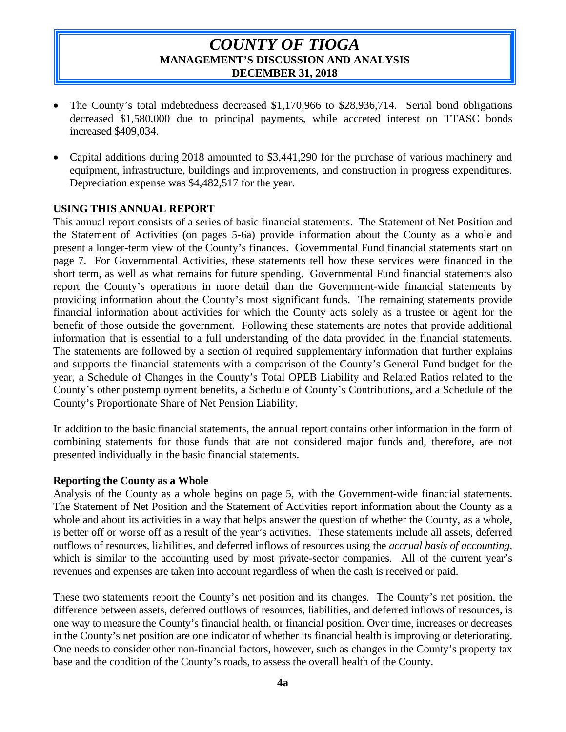- The County's total indebtedness decreased \$1,170,966 to \$28,936,714. Serial bond obligations decreased \$1,580,000 due to principal payments, while accreted interest on TTASC bonds increased \$409,034.
- Capital additions during 2018 amounted to \$3,441,290 for the purchase of various machinery and equipment, infrastructure, buildings and improvements, and construction in progress expenditures. Depreciation expense was \$4,482,517 for the year.

### **USING THIS ANNUAL REPORT**

This annual report consists of a series of basic financial statements. The Statement of Net Position and the Statement of Activities (on pages 5-6a) provide information about the County as a whole and present a longer-term view of the County's finances. Governmental Fund financial statements start on page 7. For Governmental Activities, these statements tell how these services were financed in the short term, as well as what remains for future spending. Governmental Fund financial statements also report the County's operations in more detail than the Government-wide financial statements by providing information about the County's most significant funds. The remaining statements provide financial information about activities for which the County acts solely as a trustee or agent for the benefit of those outside the government. Following these statements are notes that provide additional information that is essential to a full understanding of the data provided in the financial statements. The statements are followed by a section of required supplementary information that further explains and supports the financial statements with a comparison of the County's General Fund budget for the year, a Schedule of Changes in the County's Total OPEB Liability and Related Ratios related to the County's other postemployment benefits, a Schedule of County's Contributions, and a Schedule of the County's Proportionate Share of Net Pension Liability.

In addition to the basic financial statements, the annual report contains other information in the form of combining statements for those funds that are not considered major funds and, therefore, are not presented individually in the basic financial statements.

### **Reporting the County as a Whole**

Analysis of the County as a whole begins on page 5, with the Government-wide financial statements. The Statement of Net Position and the Statement of Activities report information about the County as a whole and about its activities in a way that helps answer the question of whether the County, as a whole, is better off or worse off as a result of the year's activities. These statements include all assets, deferred outflows of resources, liabilities, and deferred inflows of resources using the *accrual basis of accounting*, which is similar to the accounting used by most private-sector companies. All of the current year's revenues and expenses are taken into account regardless of when the cash is received or paid.

These two statements report the County's net position and its changes. The County's net position, the difference between assets, deferred outflows of resources, liabilities, and deferred inflows of resources, is one way to measure the County's financial health, or financial position. Over time, increases or decreases in the County's net position are one indicator of whether its financial health is improving or deteriorating. One needs to consider other non-financial factors, however, such as changes in the County's property tax base and the condition of the County's roads, to assess the overall health of the County.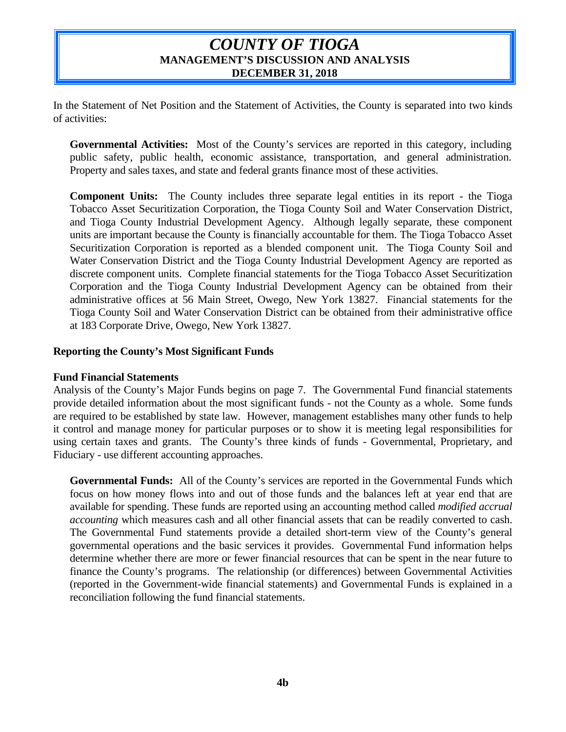In the Statement of Net Position and the Statement of Activities, the County is separated into two kinds of activities:

**Governmental Activities:** Most of the County's services are reported in this category, including public safety, public health, economic assistance, transportation, and general administration. Property and sales taxes, and state and federal grants finance most of these activities.

**Component Units:** The County includes three separate legal entities in its report - the Tioga Tobacco Asset Securitization Corporation, the Tioga County Soil and Water Conservation District, and Tioga County Industrial Development Agency. Although legally separate, these component units are important because the County is financially accountable for them. The Tioga Tobacco Asset Securitization Corporation is reported as a blended component unit. The Tioga County Soil and Water Conservation District and the Tioga County Industrial Development Agency are reported as discrete component units. Complete financial statements for the Tioga Tobacco Asset Securitization Corporation and the Tioga County Industrial Development Agency can be obtained from their administrative offices at 56 Main Street, Owego, New York 13827. Financial statements for the Tioga County Soil and Water Conservation District can be obtained from their administrative office at 183 Corporate Drive, Owego, New York 13827.

### **Reporting the County's Most Significant Funds**

### **Fund Financial Statements**

Analysis of the County's Major Funds begins on page 7. The Governmental Fund financial statements provide detailed information about the most significant funds - not the County as a whole. Some funds are required to be established by state law. However, management establishes many other funds to help it control and manage money for particular purposes or to show it is meeting legal responsibilities for using certain taxes and grants. The County's three kinds of funds - Governmental, Proprietary, and Fiduciary - use different accounting approaches.

**Governmental Funds:** All of the County's services are reported in the Governmental Funds which focus on how money flows into and out of those funds and the balances left at year end that are available for spending. These funds are reported using an accounting method called *modified accrual accounting* which measures cash and all other financial assets that can be readily converted to cash. The Governmental Fund statements provide a detailed short-term view of the County's general governmental operations and the basic services it provides. Governmental Fund information helps determine whether there are more or fewer financial resources that can be spent in the near future to finance the County's programs. The relationship (or differences) between Governmental Activities (reported in the Government-wide financial statements) and Governmental Funds is explained in a reconciliation following the fund financial statements.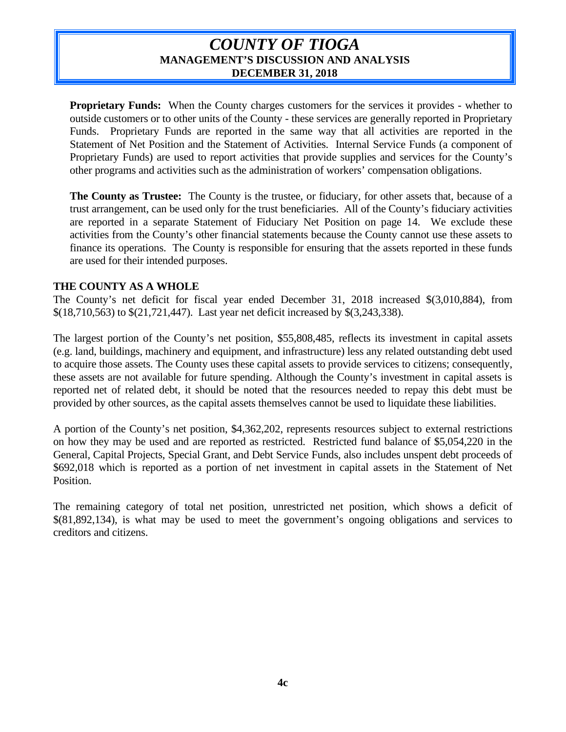**Proprietary Funds:** When the County charges customers for the services it provides - whether to outside customers or to other units of the County - these services are generally reported in Proprietary Funds. Proprietary Funds are reported in the same way that all activities are reported in the Statement of Net Position and the Statement of Activities. Internal Service Funds (a component of Proprietary Funds) are used to report activities that provide supplies and services for the County's other programs and activities such as the administration of workers' compensation obligations.

**The County as Trustee:** The County is the trustee, or fiduciary, for other assets that, because of a trust arrangement, can be used only for the trust beneficiaries. All of the County's fiduciary activities are reported in a separate Statement of Fiduciary Net Position on page 14. We exclude these activities from the County's other financial statements because the County cannot use these assets to finance its operations. The County is responsible for ensuring that the assets reported in these funds are used for their intended purposes.

### **THE COUNTY AS A WHOLE**

The County's net deficit for fiscal year ended December 31, 2018 increased \$(3,010,884), from \$(18,710,563) to \$(21,721,447). Last year net deficit increased by \$(3,243,338).

The largest portion of the County's net position, \$55,808,485, reflects its investment in capital assets (e.g. land, buildings, machinery and equipment, and infrastructure) less any related outstanding debt used to acquire those assets. The County uses these capital assets to provide services to citizens; consequently, these assets are not available for future spending. Although the County's investment in capital assets is reported net of related debt, it should be noted that the resources needed to repay this debt must be provided by other sources, as the capital assets themselves cannot be used to liquidate these liabilities.

A portion of the County's net position, \$4,362,202, represents resources subject to external restrictions on how they may be used and are reported as restricted. Restricted fund balance of \$5,054,220 in the General, Capital Projects, Special Grant, and Debt Service Funds, also includes unspent debt proceeds of \$692,018 which is reported as a portion of net investment in capital assets in the Statement of Net Position.

The remaining category of total net position, unrestricted net position, which shows a deficit of \$(81,892,134), is what may be used to meet the government's ongoing obligations and services to creditors and citizens.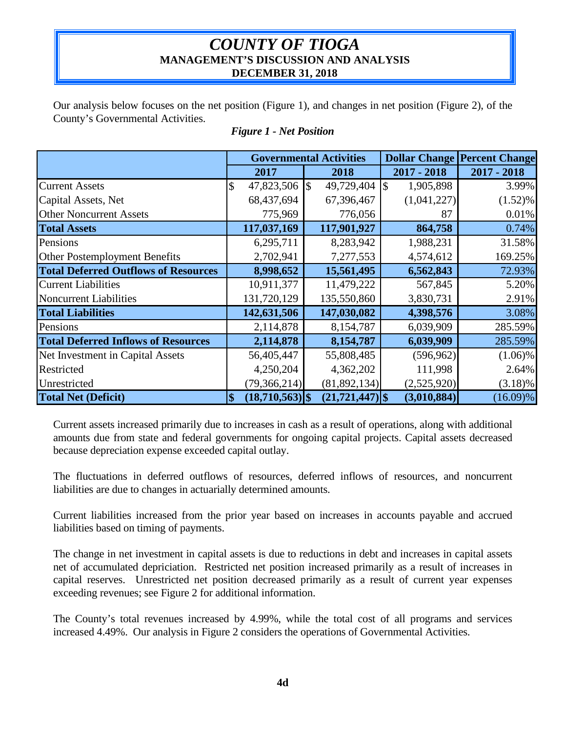Our analysis below focuses on the net position (Figure 1), and changes in net position (Figure 2), of the County's Governmental Activities.

|                                             |                                        | <b>Governmental Activities</b> |                 | <b>Dollar Change Percent Change</b> |  |
|---------------------------------------------|----------------------------------------|--------------------------------|-----------------|-------------------------------------|--|
|                                             | 2017                                   | 2018                           | $2017 - 2018$   | $2017 - 2018$                       |  |
| <b>Current Assets</b>                       | 47,823,506 \$<br>\$                    | 49,729,404                     | \$<br>1,905,898 | 3.99%                               |  |
| Capital Assets, Net                         | 68,437,694                             | 67,396,467                     | (1,041,227)     | $(1.52)\%$                          |  |
| <b>Other Noncurrent Assets</b>              | 775,969                                | 776,056                        | 87              | $0.01\%$                            |  |
| <b>Total Assets</b>                         | 117,037,169                            | 117,901,927                    | 864,758         | $0.74\%$                            |  |
| Pensions                                    | 6,295,711                              | 8,283,942                      | 1,988,231       | 31.58%                              |  |
| Other Postemployment Benefits               | 2,702,941                              | 7,277,553                      | 4,574,612       | 169.25%                             |  |
| <b>Total Deferred Outflows of Resources</b> | 8,998,652                              | 15,561,495                     | 6,562,843       | 72.93%                              |  |
| <b>Current Liabilities</b>                  | 10,911,377                             | 11,479,222                     | 567,845         | 5.20%                               |  |
| Noncurrent Liabilities                      | 131,720,129                            | 135,550,860                    | 3,830,731       | 2.91%                               |  |
| <b>Total Liabilities</b>                    | 142,631,506                            | 147,030,082                    | 4,398,576       | 3.08%                               |  |
| Pensions                                    | 2,114,878                              | 8,154,787                      | 6,039,909       | 285.59%                             |  |
| <b>Total Deferred Inflows of Resources</b>  | 2,114,878                              | 8,154,787                      | 6,039,909       | 285.59%                             |  |
| Net Investment in Capital Assets            | 56,405,447                             | 55,808,485                     | (596, 962)      | $(1.06)\%$                          |  |
| Restricted                                  | 4,250,204                              | 4,362,202                      | 111,998         | 2.64%                               |  |
| Unrestricted                                | (79, 366, 214)                         | (81,892,134)                   | (2,525,920)     | $(3.18)\%$                          |  |
| <b>Total Net (Deficit)</b>                  | $(18,710,563)$ \$<br>$\boldsymbol{\$}$ | $(21, 721, 447)$ \$            | (3,010,884)     | $(16.09)\%$                         |  |

|  |  |  |  | <b>Figure 1 - Net Position</b> |  |
|--|--|--|--|--------------------------------|--|
|--|--|--|--|--------------------------------|--|

Current assets increased primarily due to increases in cash as a result of operations, along with additional amounts due from state and federal governments for ongoing capital projects. Capital assets decreased because depreciation expense exceeded capital outlay.

The fluctuations in deferred outflows of resources, deferred inflows of resources, and noncurrent liabilities are due to changes in actuarially determined amounts.

Current liabilities increased from the prior year based on increases in accounts payable and accrued liabilities based on timing of payments.

The change in net investment in capital assets is due to reductions in debt and increases in capital assets net of accumulated depriciation. Restricted net position increased primarily as a result of increases in capital reserves. Unrestricted net position decreased primarily as a result of current year expenses exceeding revenues; see Figure 2 for additional information.

The County's total revenues increased by 4.99%, while the total cost of all programs and services increased 4.49%. Our analysis in Figure 2 considers the operations of Governmental Activities.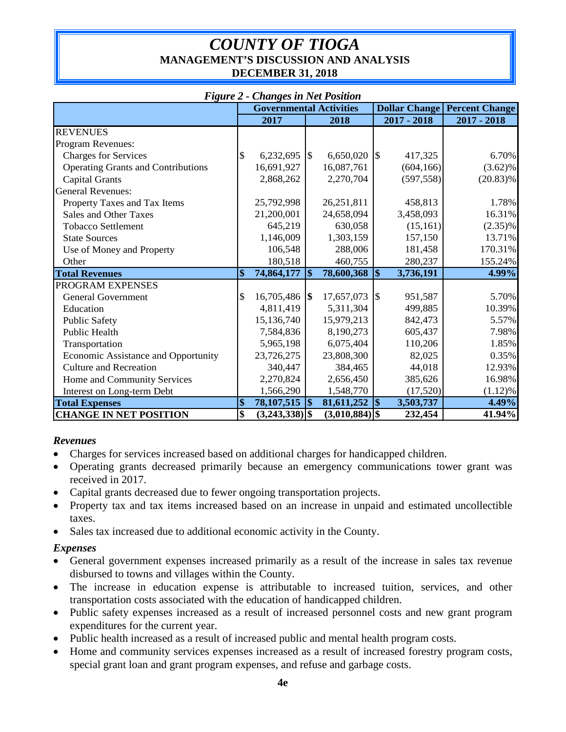| Figure 2 - Changes in Net Position        |    |                                |          |                  |            |               |                                         |  |  |  |  |
|-------------------------------------------|----|--------------------------------|----------|------------------|------------|---------------|-----------------------------------------|--|--|--|--|
|                                           |    | <b>Governmental Activities</b> |          |                  |            |               | <b>Dollar Change   Percent Change  </b> |  |  |  |  |
|                                           |    | $\overline{2017}$              |          | 2018             |            | $2017 - 2018$ | $2017 - 2018$                           |  |  |  |  |
| <b>REVENUES</b>                           |    |                                |          |                  |            |               |                                         |  |  |  |  |
| Program Revenues:                         |    |                                |          |                  |            |               |                                         |  |  |  |  |
| <b>Charges for Services</b>               | \$ | 6,232,695                      | <b>S</b> | 6,650,020        | $\sqrt{3}$ | 417,325       | 6.70%                                   |  |  |  |  |
| <b>Operating Grants and Contributions</b> |    | 16,691,927                     |          | 16,087,761       |            | (604, 166)    | $(3.62)\%$                              |  |  |  |  |
| <b>Capital Grants</b>                     |    | 2,868,262                      |          | 2,270,704        |            | (597, 558)    | $(20.83)\%$                             |  |  |  |  |
| <b>General Revenues:</b>                  |    |                                |          |                  |            |               |                                         |  |  |  |  |
| Property Taxes and Tax Items              |    | 25,792,998                     |          | 26,251,811       |            | 458,813       | 1.78%                                   |  |  |  |  |
| Sales and Other Taxes                     |    | 21,200,001                     |          | 24,658,094       |            | 3,458,093     | 16.31%                                  |  |  |  |  |
| <b>Tobacco Settlement</b>                 |    | 645,219                        |          | 630,058          |            | (15,161)      | $(2.35)\%$                              |  |  |  |  |
| <b>State Sources</b>                      |    | 1,146,009                      |          | 1,303,159        |            | 157,150       | 13.71%                                  |  |  |  |  |
| Use of Money and Property                 |    | 106,548                        |          | 288,006          |            | 181,458       | 170.31%                                 |  |  |  |  |
| Other                                     |    | 180,518                        |          | 460,755          |            | 280,237       | 155.24%                                 |  |  |  |  |
| <b>Total Revenues</b>                     | \$ | 74,864,177                     | \$       | 78,600,368       | I\$        | 3,736,191     | 4.99%                                   |  |  |  |  |
| PROGRAM EXPENSES                          |    |                                |          |                  |            |               |                                         |  |  |  |  |
| <b>General Government</b>                 | \$ | 16,705,486 \$                  |          | 17,657,073       | $\sqrt{3}$ | 951,587       | 5.70%                                   |  |  |  |  |
| Education                                 |    | 4,811,419                      |          | 5,311,304        |            | 499,885       | 10.39%                                  |  |  |  |  |
| <b>Public Safety</b>                      |    | 15,136,740                     |          | 15,979,213       |            | 842,473       | 5.57%                                   |  |  |  |  |
| <b>Public Health</b>                      |    | 7,584,836                      |          | 8,190,273        |            | 605,437       | 7.98%                                   |  |  |  |  |
| Transportation                            |    | 5,965,198                      |          | 6,075,404        |            | 110,206       | 1.85%                                   |  |  |  |  |
| Economic Assistance and Opportunity       |    | 23,726,275                     |          | 23,808,300       |            | 82,025        | 0.35%                                   |  |  |  |  |
| <b>Culture and Recreation</b>             |    | 340,447                        |          | 384,465          |            | 44,018        | 12.93%                                  |  |  |  |  |
| Home and Community Services               |    | 2,270,824                      |          | 2,656,450        |            | 385,626       | 16.98%                                  |  |  |  |  |
| Interest on Long-term Debt                |    | 1,566,290                      |          | 1,548,770        |            | (17,520)      | (1.12)%                                 |  |  |  |  |
| <b>Total Expenses</b>                     | \$ | 78,107,515                     | \$       | 81,611,252       | \$         | 3,503,737     | 4.49%                                   |  |  |  |  |
| <b>CHANGE IN NET POSITION</b>             | \$ | $(3,243,338)$ \$               |          | $(3,010,884)$ \$ |            | 232,454       | 41.94%                                  |  |  |  |  |

### *Figure 2 - Changes in Net Position*

### *Revenues*

- Charges for services increased based on additional charges for handicapped children.
- Operating grants decreased primarily because an emergency communications tower grant was received in 2017.
- Capital grants decreased due to fewer ongoing transportation projects.
- Property tax and tax items increased based on an increase in unpaid and estimated uncollectible taxes.
- Sales tax increased due to additional economic activity in the County.

### *Expenses*

- General government expenses increased primarily as a result of the increase in sales tax revenue disbursed to towns and villages within the County.
- The increase in education expense is attributable to increased tuition, services, and other transportation costs associated with the education of handicapped children.
- Public safety expenses increased as a result of increased personnel costs and new grant program expenditures for the current year.
- Public health increased as a result of increased public and mental health program costs.
- Home and community services expenses increased as a result of increased forestry program costs, special grant loan and grant program expenses, and refuse and garbage costs.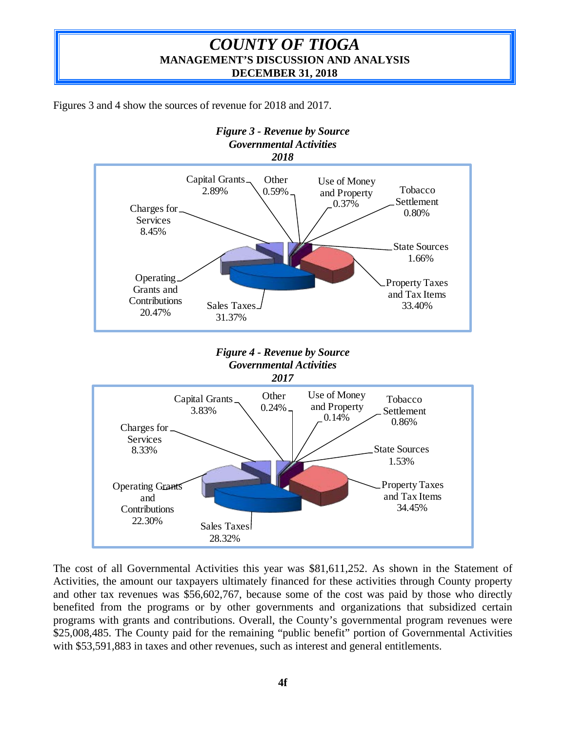Figures 3 and 4 show the sources of revenue for 2018 and 2017.



The cost of all Governmental Activities this year was \$81,611,252. As shown in the Statement of Activities, the amount our taxpayers ultimately financed for these activities through County property and other tax revenues was \$56,602,767, because some of the cost was paid by those who directly benefited from the programs or by other governments and organizations that subsidized certain programs with grants and contributions. Overall, the County's governmental program revenues were \$25,008,485. The County paid for the remaining "public benefit" portion of Governmental Activities with \$53,591,883 in taxes and other revenues, such as interest and general entitlements.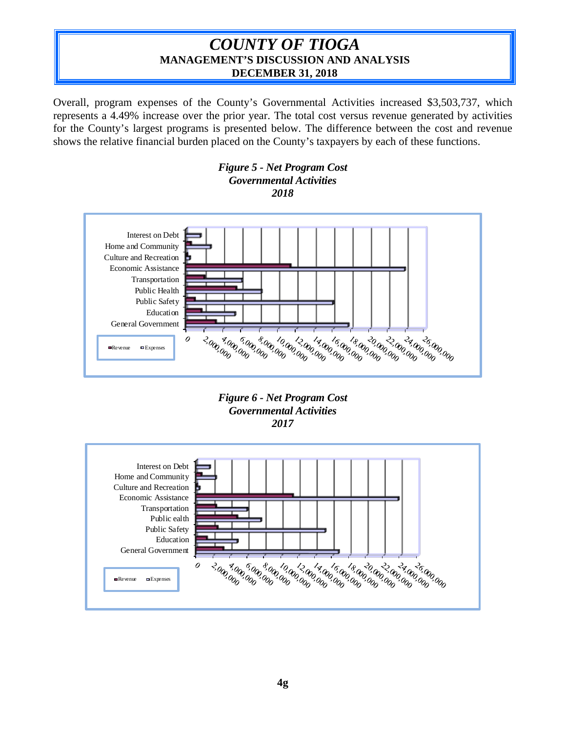Overall, program expenses of the County's Governmental Activities increased \$3,503,737, which represents a 4.49% increase over the prior year. The total cost versus revenue generated by activities for the County's largest programs is presented below. The difference between the cost and revenue shows the relative financial burden placed on the County's taxpayers by each of these functions.





*Figure 6 - Net Program Cost Governmental Activities 2017*

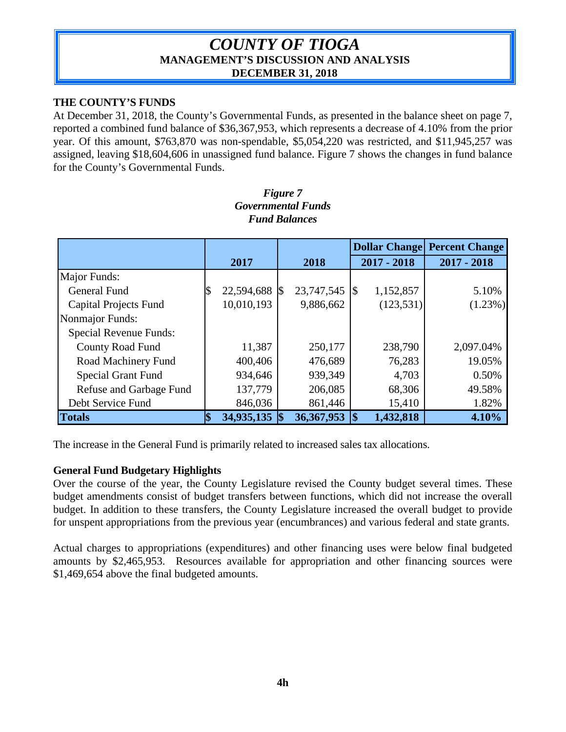### **THE COUNTY'S FUNDS**

At December 31, 2018, the County's Governmental Funds, as presented in the balance sheet on page 7, reported a combined fund balance of \$36,367,953, which represents a decrease of 4.10% from the prior year. Of this amount, \$763,870 was non-spendable, \$5,054,220 was restricted, and \$11,945,257 was assigned, leaving \$18,604,606 in unassigned fund balance. Figure 7 shows the changes in fund balance for the County's Governmental Funds.

|                               |            |          |              |                 | <b>Dollar Change Percent Change</b> |
|-------------------------------|------------|----------|--------------|-----------------|-------------------------------------|
|                               | 2017       |          | 2018         | $2017 - 2018$   | $2017 - 2018$                       |
| Major Funds:                  |            |          |              |                 |                                     |
| <b>General Fund</b>           | 22,594,688 | <b>S</b> | 23,747,545   | \$<br>1,152,857 | 5.10%                               |
| <b>Capital Projects Fund</b>  | 10,010,193 |          | 9,886,662    | (123, 531)      | $(1.23\%)$                          |
| <b>Nonmajor Funds:</b>        |            |          |              |                 |                                     |
| <b>Special Revenue Funds:</b> |            |          |              |                 |                                     |
| <b>County Road Fund</b>       | 11,387     |          | 250,177      | 238,790         | 2,097.04%                           |
| Road Machinery Fund           | 400,406    |          | 476,689      | 76,283          | 19.05%                              |
| <b>Special Grant Fund</b>     | 934,646    |          | 939,349      | 4,703           | 0.50%                               |
| Refuse and Garbage Fund       | 137,779    |          | 206,085      | 68,306          | 49.58%                              |
| Debt Service Fund             | 846,036    |          | 861,446      | 15,410          | 1.82%                               |
| <b>Totals</b>                 | 34,935,135 | 1\$      | 36, 367, 953 | \$<br>1,432,818 | 4.10%                               |

### *Figure 7 Governmental Funds Fund Balances*

The increase in the General Fund is primarily related to increased sales tax allocations.

### **General Fund Budgetary Highlights**

Over the course of the year, the County Legislature revised the County budget several times. These budget amendments consist of budget transfers between functions, which did not increase the overall budget. In addition to these transfers, the County Legislature increased the overall budget to provide for unspent appropriations from the previous year (encumbrances) and various federal and state grants.

Actual charges to appropriations (expenditures) and other financing uses were below final budgeted amounts by \$2,465,953. Resources available for appropriation and other financing sources were \$1,469,654 above the final budgeted amounts.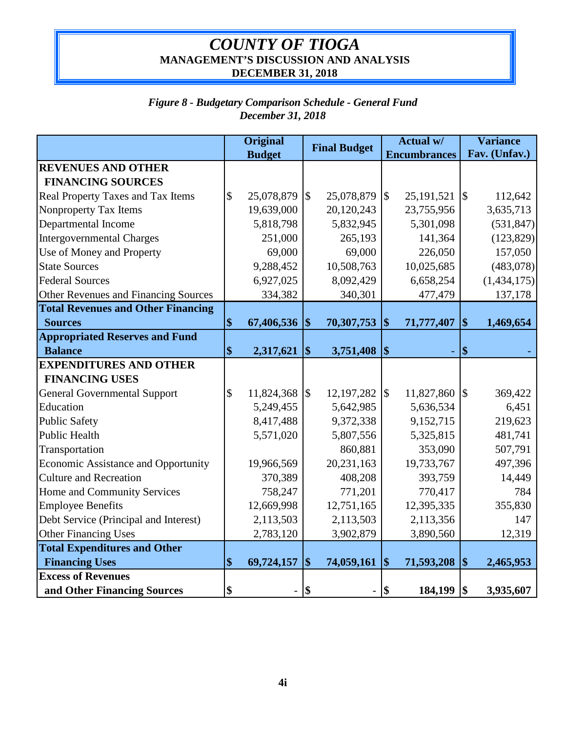### *Figure 8 - Budgetary Comparison Schedule - General Fund December 31, 2018*

|                                            | <b>Original</b>  |                     | <b>Final Budget</b>      |                           | <b>Actual w/</b>    |                            | <b>Variance</b> |
|--------------------------------------------|------------------|---------------------|--------------------------|---------------------------|---------------------|----------------------------|-----------------|
|                                            | <b>Budget</b>    |                     |                          |                           | <b>Encumbrances</b> |                            | Fav. (Unfav.)   |
| <b>REVENUES AND OTHER</b>                  |                  |                     |                          |                           |                     |                            |                 |
| <b>FINANCING SOURCES</b>                   |                  |                     |                          |                           |                     |                            |                 |
| Real Property Taxes and Tax Items          | \$<br>25,078,879 | $\sqrt{S}$          | 25,078,879               | $\boldsymbol{\mathsf{S}}$ | 25, 191, 521        | $\boldsymbol{\mathsf{\$}}$ | 112,642         |
| Nonproperty Tax Items                      | 19,639,000       |                     | 20,120,243               |                           | 23,755,956          |                            | 3,635,713       |
| <b>Departmental Income</b>                 | 5,818,798        |                     | 5,832,945                |                           | 5,301,098           |                            | (531, 847)      |
| <b>Intergovernmental Charges</b>           | 251,000          |                     | 265,193                  |                           | 141,364             |                            | (123, 829)      |
| Use of Money and Property                  | 69,000           |                     | 69,000                   |                           | 226,050             |                            | 157,050         |
| <b>State Sources</b>                       | 9,288,452        |                     | 10,508,763               |                           | 10,025,685          |                            | (483,078)       |
| <b>Federal Sources</b>                     | 6,927,025        |                     | 8,092,429                |                           | 6,658,254           |                            | (1, 434, 175)   |
| Other Revenues and Financing Sources       | 334,382          |                     | 340,301                  |                           | 477,479             |                            | 137,178         |
| <b>Total Revenues and Other Financing</b>  |                  |                     |                          |                           |                     |                            |                 |
| <b>Sources</b>                             | \$<br>67,406,536 | $\vert \$\$         | 70,307,753               | $\vert \mathbf{\$}$       | 71,777,407          | $\boldsymbol{\$}$          | 1,469,654       |
| <b>Appropriated Reserves and Fund</b>      |                  |                     |                          |                           |                     |                            |                 |
| <b>Balance</b>                             | \$<br>2,317,621  | $\vert \mathsf{s}$  | 3,751,408                | $\vert \$\$               |                     | \$                         |                 |
| <b>EXPENDITURES AND OTHER</b>              |                  |                     |                          |                           |                     |                            |                 |
| <b>FINANCING USES</b>                      |                  |                     |                          |                           |                     |                            |                 |
| <b>General Governmental Support</b>        | \$<br>11,824,368 | $\sqrt{S}$          | 12, 197, 282             | $\boldsymbol{\mathsf{S}}$ | 11,827,860          | $\boldsymbol{\mathsf{S}}$  | 369,422         |
| Education                                  | 5,249,455        |                     | 5,642,985                |                           | 5,636,534           |                            | 6,451           |
| <b>Public Safety</b>                       | 8,417,488        |                     | 9,372,338                |                           | 9,152,715           |                            | 219,623         |
| <b>Public Health</b>                       | 5,571,020        |                     | 5,807,556                |                           | 5,325,815           |                            | 481,741         |
| Transportation                             |                  |                     | 860,881                  |                           | 353,090             |                            | 507,791         |
| <b>Economic Assistance and Opportunity</b> | 19,966,569       |                     | 20,231,163               |                           | 19,733,767          |                            | 497,396         |
| <b>Culture and Recreation</b>              | 370,389          |                     | 408,208                  |                           | 393,759             |                            | 14,449          |
| Home and Community Services                | 758,247          |                     | 771,201                  |                           | 770,417             |                            | 784             |
| <b>Employee Benefits</b>                   | 12,669,998       |                     | 12,751,165               |                           | 12,395,335          |                            | 355,830         |
| Debt Service (Principal and Interest)      | 2,113,503        |                     | 2,113,503                |                           | 2,113,356           |                            | 147             |
| <b>Other Financing Uses</b>                | 2,783,120        |                     | 3,902,879                |                           | 3,890,560           |                            | 12,319          |
| <b>Total Expenditures and Other</b>        |                  |                     |                          |                           |                     |                            |                 |
| <b>Financing Uses</b>                      | \$<br>69,724,157 | $\vert \mathbf{\$}$ | $74,059,161$ \\\$        |                           | 71,593,208          | $\boldsymbol{\$}$          | 2,465,953       |
| <b>Excess of Revenues</b>                  |                  |                     |                          |                           |                     |                            |                 |
| and Other Financing Sources                | \$               | \$                  | $\overline{\phantom{0}}$ | \$                        | 184,199             | \$                         | 3,935,607       |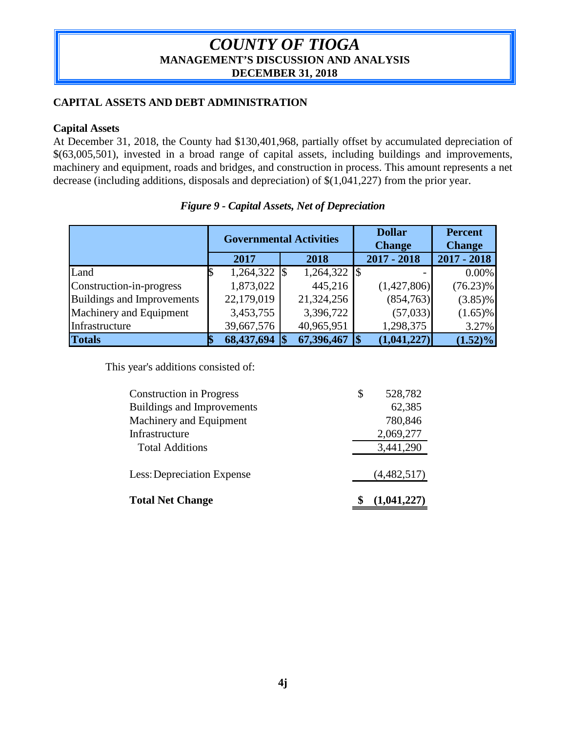### **CAPITAL ASSETS AND DEBT ADMINISTRATION**

### **Capital Assets**

At December 31, 2018, the County had \$130,401,968, partially offset by accumulated depreciation of \$(63,005,501), invested in a broad range of capital assets, including buildings and improvements, machinery and equipment, roads and bridges, and construction in process. This amount represents a net decrease (including additions, disposals and depreciation) of \$(1,041,227) from the prior year.

|                            | <b>Governmental Activities</b> |                |  |            |  | <b>Dollar</b><br><b>Change</b> | <b>Percent</b><br><b>Change</b> |
|----------------------------|--------------------------------|----------------|--|------------|--|--------------------------------|---------------------------------|
|                            |                                | 2017           |  | 2018       |  | $2017 - 2018$                  | $2017 - 2018$                   |
| Land                       |                                | $1,264,322$ \$ |  |            |  |                                | 0.00%                           |
| Construction-in-progress   |                                | 1,873,022      |  | 445,216    |  | (1,427,806)                    | $(76.23)\%$                     |
| Buildings and Improvements |                                | 22,179,019     |  | 21,324,256 |  | (854,763)                      | $(3.85)\%$                      |
| Machinery and Equipment    |                                | 3,453,755      |  | 3,396,722  |  | (57,033)                       | $(1.65)\%$                      |
| Infrastructure             |                                | 39,667,576     |  | 40,965,951 |  | 1,298,375                      | 3.27%                           |
| <b>Totals</b>              |                                | 68,437,694     |  | 67,396,467 |  | (1,041,227)                    | $(1.52)\%$                      |

### *Figure 9 - Capital Assets, Net of Depreciation*

This year's additions consisted of:

| (1,041,227)   |
|---------------|
| (4,482,517)   |
| 3,441,290     |
| 2,069,277     |
| 780,846       |
| 62,385        |
| 528,782<br>\$ |
|               |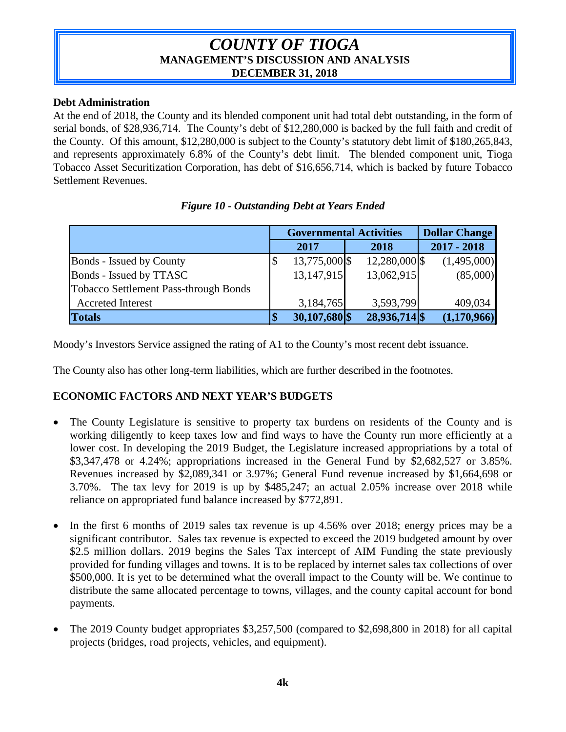### **Debt Administration**

At the end of 2018, the County and its blended component unit had total debt outstanding, in the form of serial bonds, of \$28,936,714. The County's debt of \$12,280,000 is backed by the full faith and credit of the County. Of this amount, \$12,280,000 is subject to the County's statutory debt limit of \$180,265,843, and represents approximately 6.8% of the County's debt limit. The blended component unit, Tioga Tobacco Asset Securitization Corporation, has debt of \$16,656,714, which is backed by future Tobacco Settlement Revenues.

### *Figure 10 - Outstanding Debt at Years Ended*

|                                       | <b>Governmental Activities</b> | <b>Dollar Change</b> |               |
|---------------------------------------|--------------------------------|----------------------|---------------|
|                                       | 2017                           | 2018                 | $2017 - 2018$ |
| <b>Bonds</b> - Issued by County       | 13,775,000 \$                  | 12,280,000 \$        | (1,495,000)   |
| Bonds - Issued by TTASC               | 13,147,915                     | 13,062,915           | (85,000)      |
| Tobacco Settlement Pass-through Bonds |                                |                      |               |
| <b>Accreted Interest</b>              | 3,184,765                      | 3,593,799            | 409,034       |
| <b>Totals</b>                         | 30,107,680 \$                  | 28,936,714 \$        | (1,170,966)   |

Moody's Investors Service assigned the rating of A1 to the County's most recent debt issuance.

The County also has other long-term liabilities, which are further described in the footnotes.

### **ECONOMIC FACTORS AND NEXT YEAR'S BUDGETS**

- The County Legislature is sensitive to property tax burdens on residents of the County and is working diligently to keep taxes low and find ways to have the County run more efficiently at a lower cost. In developing the 2019 Budget, the Legislature increased appropriations by a total of \$3,347,478 or 4.24%; appropriations increased in the General Fund by \$2,682,527 or 3.85%. Revenues increased by \$2,089,341 or 3.97%; General Fund revenue increased by \$1,664,698 or 3.70%. The tax levy for 2019 is up by \$485,247; an actual 2.05% increase over 2018 while reliance on appropriated fund balance increased by \$772,891.
- In the first 6 months of 2019 sales tax revenue is up 4.56% over 2018; energy prices may be a significant contributor. Sales tax revenue is expected to exceed the 2019 budgeted amount by over \$2.5 million dollars. 2019 begins the Sales Tax intercept of AIM Funding the state previously provided for funding villages and towns. It is to be replaced by internet sales tax collections of over \$500,000. It is yet to be determined what the overall impact to the County will be. We continue to distribute the same allocated percentage to towns, villages, and the county capital account for bond payments.
- The 2019 County budget appropriates \$3,257,500 (compared to \$2,698,800 in 2018) for all capital projects (bridges, road projects, vehicles, and equipment).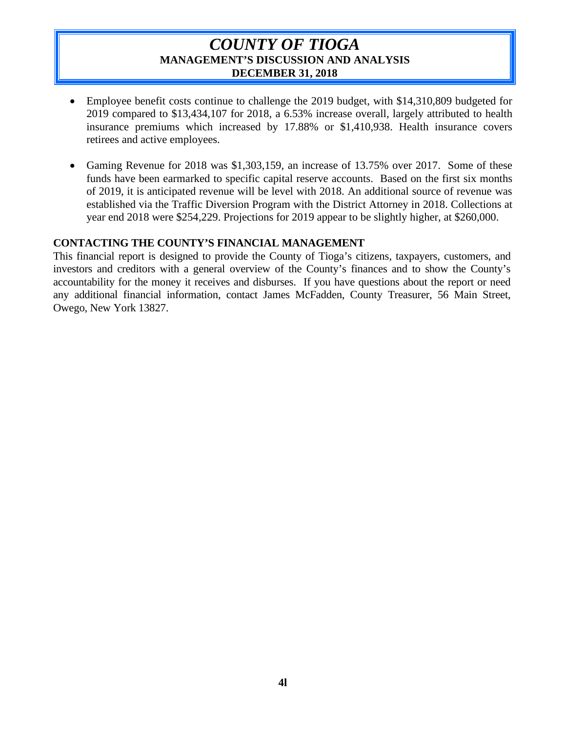- Employee benefit costs continue to challenge the 2019 budget, with \$14,310,809 budgeted for 2019 compared to \$13,434,107 for 2018, a 6.53% increase overall, largely attributed to health insurance premiums which increased by 17.88% or \$1,410,938. Health insurance covers retirees and active employees.
- Gaming Revenue for 2018 was \$1,303,159, an increase of 13.75% over 2017. Some of these funds have been earmarked to specific capital reserve accounts. Based on the first six months of 2019, it is anticipated revenue will be level with 2018. An additional source of revenue was established via the Traffic Diversion Program with the District Attorney in 2018. Collections at year end 2018 were \$254,229. Projections for 2019 appear to be slightly higher, at \$260,000.

### **CONTACTING THE COUNTY'S FINANCIAL MANAGEMENT**

This financial report is designed to provide the County of Tioga's citizens, taxpayers, customers, and investors and creditors with a general overview of the County's finances and to show the County's accountability for the money it receives and disburses. If you have questions about the report or need any additional financial information, contact James McFadden, County Treasurer, 56 Main Street, Owego, New York 13827.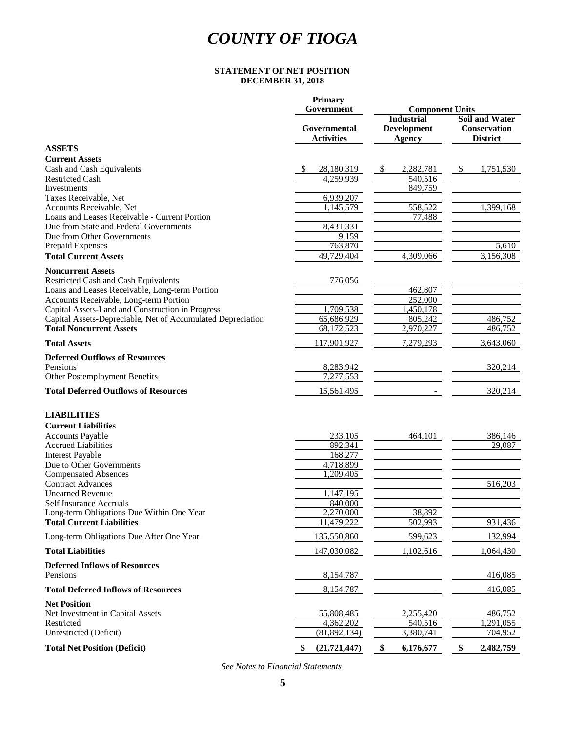#### **STATEMENT OF NET POSITION DECEMBER 31, 2018**

|                                                             | <b>Primary</b>                    | <b>Component Units</b>                                   |                                                          |  |  |  |  |
|-------------------------------------------------------------|-----------------------------------|----------------------------------------------------------|----------------------------------------------------------|--|--|--|--|
|                                                             | Government                        |                                                          |                                                          |  |  |  |  |
|                                                             | Governmental<br><b>Activities</b> | <b>Industrial</b><br><b>Development</b><br><b>Agency</b> | <b>Soil and Water</b><br>Conservation<br><b>District</b> |  |  |  |  |
| <b>ASSETS</b>                                               |                                   |                                                          |                                                          |  |  |  |  |
| <b>Current Assets</b>                                       |                                   |                                                          |                                                          |  |  |  |  |
| Cash and Cash Equivalents                                   | 28,180,319                        | 2,282,781<br>\$                                          | 1,751,530<br>\$                                          |  |  |  |  |
| <b>Restricted Cash</b>                                      | 4,259,939                         | 540,516                                                  |                                                          |  |  |  |  |
| Investments                                                 |                                   | 849,759                                                  |                                                          |  |  |  |  |
| Taxes Receivable, Net                                       | 6,939,207                         |                                                          |                                                          |  |  |  |  |
| Accounts Receivable, Net                                    | 1,145,579                         | 558,522                                                  | 1,399,168                                                |  |  |  |  |
| Loans and Leases Receivable - Current Portion               |                                   | 77,488                                                   |                                                          |  |  |  |  |
| Due from State and Federal Governments                      | 8,431,331                         |                                                          |                                                          |  |  |  |  |
| Due from Other Governments                                  | 9,159<br>763,870                  |                                                          | 5,610                                                    |  |  |  |  |
| Prepaid Expenses<br><b>Total Current Assets</b>             | 49,729,404                        | 4,309,066                                                | 3,156,308                                                |  |  |  |  |
|                                                             |                                   |                                                          |                                                          |  |  |  |  |
| <b>Noncurrent Assets</b>                                    |                                   |                                                          |                                                          |  |  |  |  |
| Restricted Cash and Cash Equivalents                        | 776,056                           |                                                          |                                                          |  |  |  |  |
| Loans and Leases Receivable, Long-term Portion              |                                   | 462,807                                                  |                                                          |  |  |  |  |
| Accounts Receivable, Long-term Portion                      |                                   | 252,000                                                  |                                                          |  |  |  |  |
| Capital Assets-Land and Construction in Progress            | 1,709,538                         | 1,450,178                                                |                                                          |  |  |  |  |
| Capital Assets-Depreciable, Net of Accumulated Depreciation | 65,686,929                        | 805,242                                                  | 486,752                                                  |  |  |  |  |
| <b>Total Noncurrent Assets</b>                              | 68,172,523                        | 2,970,227                                                | 486,752                                                  |  |  |  |  |
| <b>Total Assets</b>                                         | 117,901,927                       | 7,279,293                                                | 3,643,060                                                |  |  |  |  |
| <b>Deferred Outflows of Resources</b>                       |                                   |                                                          |                                                          |  |  |  |  |
| Pensions                                                    | 8,283,942                         |                                                          | 320,214                                                  |  |  |  |  |
| Other Postemployment Benefits                               | 7,277,553                         |                                                          |                                                          |  |  |  |  |
| <b>Total Deferred Outflows of Resources</b>                 | 15,561,495                        |                                                          | 320,214                                                  |  |  |  |  |
| <b>LIABILITIES</b>                                          |                                   |                                                          |                                                          |  |  |  |  |
| <b>Current Liabilities</b>                                  |                                   |                                                          |                                                          |  |  |  |  |
| <b>Accounts Payable</b>                                     | 233,105                           | 464,101                                                  | 386,146                                                  |  |  |  |  |
| <b>Accrued Liabilities</b>                                  | 892,341                           |                                                          | 29,087                                                   |  |  |  |  |
| <b>Interest Payable</b>                                     | 168,277                           |                                                          |                                                          |  |  |  |  |
| Due to Other Governments                                    | 4,718,899                         |                                                          |                                                          |  |  |  |  |
| <b>Compensated Absences</b>                                 | 1,209,405                         |                                                          |                                                          |  |  |  |  |
| <b>Contract Advances</b>                                    |                                   |                                                          | 516,203                                                  |  |  |  |  |
| <b>Unearned Revenue</b>                                     | 1,147,195                         |                                                          |                                                          |  |  |  |  |
| <b>Self Insurance Accruals</b>                              | 840,000                           |                                                          |                                                          |  |  |  |  |
| Long-term Obligations Due Within One Year                   | 2,270,000                         | 38,892                                                   |                                                          |  |  |  |  |
| <b>Total Current Liabilities</b>                            | 11,479,222                        | 502,993                                                  | 931,436                                                  |  |  |  |  |
| Long-term Obligations Due After One Year                    | 135,550,860                       | 599,623                                                  | 132,994                                                  |  |  |  |  |
| <b>Total Liabilities</b>                                    | 147,030,082                       | 1,102,616                                                | 1,064,430                                                |  |  |  |  |
| <b>Deferred Inflows of Resources</b>                        |                                   |                                                          |                                                          |  |  |  |  |
| Pensions                                                    | 8,154,787                         |                                                          | 416,085                                                  |  |  |  |  |
| <b>Total Deferred Inflows of Resources</b>                  | 8,154,787                         |                                                          | 416,085                                                  |  |  |  |  |
| <b>Net Position</b>                                         |                                   |                                                          |                                                          |  |  |  |  |
| Net Investment in Capital Assets                            | 55,808,485                        | 2,255,420                                                | 486,752                                                  |  |  |  |  |
| Restricted                                                  | $\overline{4,362,202}$            | 540,516                                                  | 1,291,055                                                |  |  |  |  |
| Unrestricted (Deficit)                                      | (81, 892, 134)                    | 3,380,741                                                | 704,952                                                  |  |  |  |  |
| <b>Total Net Position (Deficit)</b>                         | (21, 721, 447)<br>\$              | \$<br>6,176,677                                          | \$<br>2,482,759                                          |  |  |  |  |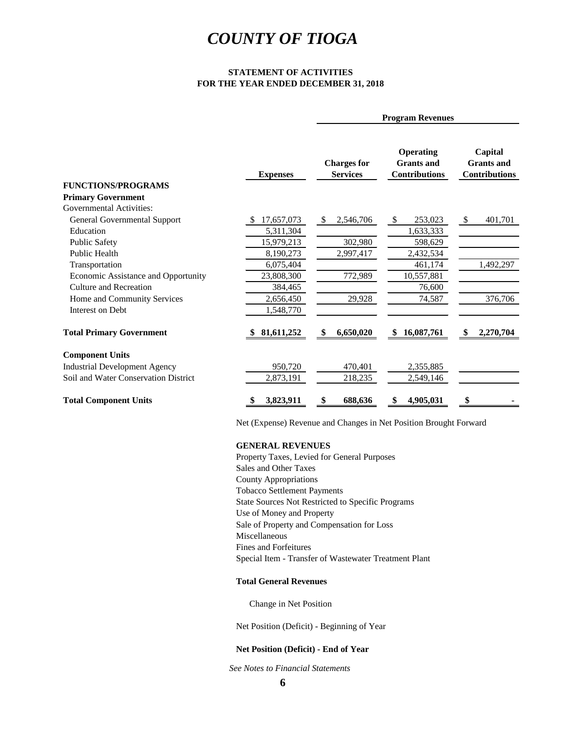#### **STATEMENT OF ACTIVITIES FOR THE YEAR ENDED DECEMBER 31, 2018**

|                                      |                  | <b>Program Revenues</b>               |                                                               |                                                      |  |  |  |  |  |  |  |
|--------------------------------------|------------------|---------------------------------------|---------------------------------------------------------------|------------------------------------------------------|--|--|--|--|--|--|--|
| <b>FUNCTIONS/PROGRAMS</b>            | <b>Expenses</b>  | <b>Charges for</b><br><b>Services</b> | <b>Operating</b><br><b>Grants</b> and<br><b>Contributions</b> | Capital<br><b>Grants</b> and<br><b>Contributions</b> |  |  |  |  |  |  |  |
| <b>Primary Government</b>            |                  |                                       |                                                               |                                                      |  |  |  |  |  |  |  |
| Governmental Activities:             |                  |                                       |                                                               |                                                      |  |  |  |  |  |  |  |
| <b>General Governmental Support</b>  | 17,657,073       | 2,546,706<br><sup>\$</sup>            | \$<br>253,023                                                 | 401,701<br>\$                                        |  |  |  |  |  |  |  |
| Education                            | 5,311,304        |                                       | 1,633,333                                                     |                                                      |  |  |  |  |  |  |  |
| <b>Public Safety</b>                 | 15,979,213       | 302,980                               | 598,629                                                       |                                                      |  |  |  |  |  |  |  |
| <b>Public Health</b>                 | 8,190,273        | 2,997,417                             | 2,432,534                                                     |                                                      |  |  |  |  |  |  |  |
| Transportation                       | 6,075,404        |                                       | 461,174                                                       | 1,492,297                                            |  |  |  |  |  |  |  |
| Economic Assistance and Opportunity  | 23,808,300       | 772,989                               | 10,557,881                                                    |                                                      |  |  |  |  |  |  |  |
| Culture and Recreation               | 384,465          |                                       | 76,600                                                        |                                                      |  |  |  |  |  |  |  |
| Home and Community Services          | 2,656,450        | 29,928                                | 74,587                                                        | 376,706                                              |  |  |  |  |  |  |  |
| Interest on Debt                     | 1,548,770        |                                       |                                                               |                                                      |  |  |  |  |  |  |  |
| <b>Total Primary Government</b>      | 81,611,252<br>S. | 6,650,020<br>\$                       | 16,087,761<br>\$                                              | 2,270,704<br>S                                       |  |  |  |  |  |  |  |
| <b>Component Units</b>               |                  |                                       |                                                               |                                                      |  |  |  |  |  |  |  |
| <b>Industrial Development Agency</b> | 950,720          | 470,401                               | 2,355,885                                                     |                                                      |  |  |  |  |  |  |  |
| Soil and Water Conservation District | 2,873,191        | 218,235                               | 2,549,146                                                     |                                                      |  |  |  |  |  |  |  |
| <b>Total Component Units</b>         | 3,823,911<br>\$  | 688,636<br>\$                         | 4,905,031<br>\$                                               | \$                                                   |  |  |  |  |  |  |  |

Net (Expense) Revenue and Changes in Net Position Brought Forward

#### **GENERAL REVENUES**

Property Taxes, Levied for General Purposes Sales and Other Taxes County Appropriations Tobacco Settlement Payments State Sources Not Restricted to Specific Programs Use of Money and Property Sale of Property and Compensation for Loss Miscellaneous Fines and Forfeitures Special Item - Transfer of Wastewater Treatment Plant

#### **Total General Revenues**

Change in Net Position

Net Position (Deficit) - Beginning of Year

#### **Net Position (Deficit) - End of Year**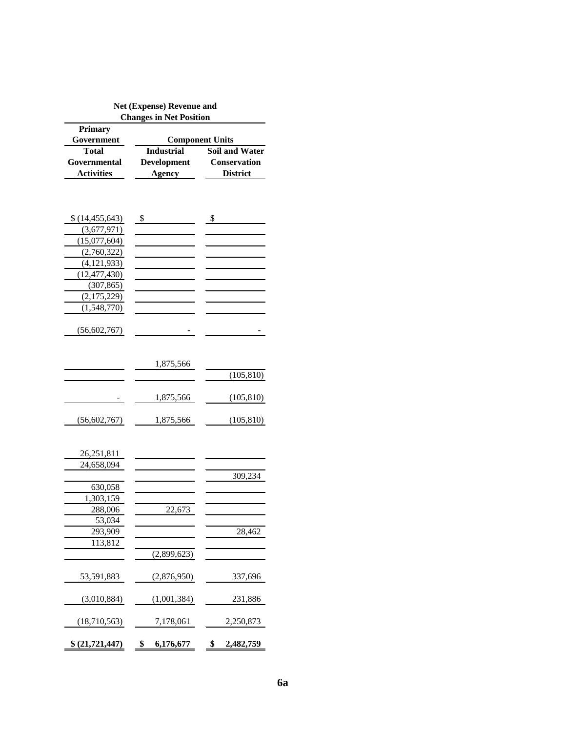| <b>Net (Expense) Revenue and</b> |
|----------------------------------|
|                                  |
| <b>Changes in Net Position</b>   |

| Primary                    |                        |                       |  |  |
|----------------------------|------------------------|-----------------------|--|--|
| Government                 | <b>Component Units</b> |                       |  |  |
| <b>Total</b>               | <b>Industrial</b>      | Soil and Water        |  |  |
| Governmental               | <b>Development</b>     | <b>Conservation</b>   |  |  |
| <b>Activities</b>          | <b>Agency</b>          | <b>District</b>       |  |  |
|                            |                        |                       |  |  |
| \$(14, 455, 643)           | \$                     | \$                    |  |  |
| (3,677,971)                |                        |                       |  |  |
| (15,077,604)               |                        |                       |  |  |
| (2,760,322)                |                        |                       |  |  |
| (4, 121, 933)              |                        |                       |  |  |
| (12, 477, 430)             |                        |                       |  |  |
| (307, 865)                 |                        |                       |  |  |
| (2,175,229)<br>(1,548,770) |                        |                       |  |  |
|                            |                        |                       |  |  |
| (56, 602, 767)             |                        |                       |  |  |
|                            |                        |                       |  |  |
|                            | 1,875,566              | (105, 810)            |  |  |
|                            |                        |                       |  |  |
|                            | 1,875,566              | (105, 810)            |  |  |
| (56, 602, 767)             | 1,875,566              | (105, 810)            |  |  |
| 26,251,811                 |                        |                       |  |  |
| 24,658,094                 |                        |                       |  |  |
|                            |                        | 309,234               |  |  |
| 630,058                    |                        |                       |  |  |
| 1,303,159                  |                        |                       |  |  |
| 288,006                    | 22,673                 |                       |  |  |
| 53,034                     |                        |                       |  |  |
| 293,909                    |                        | 28,462                |  |  |
| 113,812                    |                        |                       |  |  |
|                            | (2,899,623)            |                       |  |  |
| 53,591,883                 | (2,876,950)            | 337,696               |  |  |
| (3,010,884)                | (1,001,384)            | 231,886               |  |  |
| (18,710,563)               | 7,178,061              | 2,250,873             |  |  |
| <u>\$(21,721,447)</u>      | <u>6,176,677</u><br>P. | <u>2,482,759</u><br>P |  |  |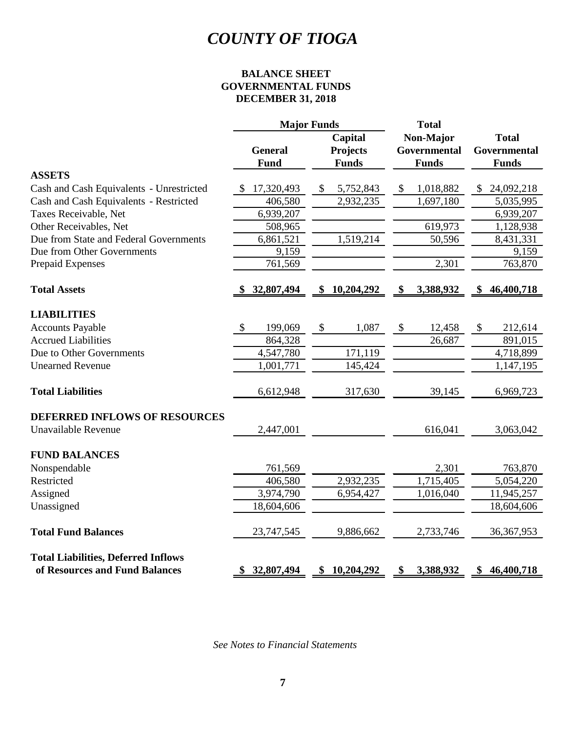### **BALANCE SHEET GOVERNMENTAL FUNDS DECEMBER 31, 2018**

|                                            | <b>Major Funds</b><br><b>Total</b>   |                  |                                     |                  |  |
|--------------------------------------------|--------------------------------------|------------------|-------------------------------------|------------------|--|
|                                            |                                      | Capital          | Non-Major                           | <b>Total</b>     |  |
|                                            | <b>General</b>                       | Projects         | Governmental<br>Governmental        |                  |  |
|                                            | Fund                                 | <b>Funds</b>     | <b>Funds</b>                        | <b>Funds</b>     |  |
| <b>ASSETS</b>                              |                                      |                  |                                     |                  |  |
| Cash and Cash Equivalents - Unrestricted   | 17,320,493<br>-SS                    | 5,752,843<br>\$  | 1,018,882<br>\$                     | 24,092,218<br>S. |  |
| Cash and Cash Equivalents - Restricted     | 406,580                              | 2,932,235        | 1,697,180                           | 5,035,995        |  |
| Taxes Receivable, Net                      | 6,939,207                            |                  |                                     | 6,939,207        |  |
| Other Receivables, Net                     | 508,965                              |                  | 619,973                             | 1,128,938        |  |
| Due from State and Federal Governments     | 6,861,521                            | 1,519,214        | 50,596                              | 8,431,331        |  |
| Due from Other Governments                 | 9,159                                |                  |                                     | 9,159            |  |
| Prepaid Expenses                           | 761,569                              |                  | 2,301                               | 763,870          |  |
| <b>Total Assets</b>                        | 32,807,494                           | 10,204,292<br>\$ | \$<br>3,388,932                     | 46,400,718<br>\$ |  |
| <b>LIABILITIES</b>                         |                                      |                  |                                     |                  |  |
| <b>Accounts Payable</b>                    | $\boldsymbol{\mathsf{S}}$<br>199,069 | \$<br>1,087      | $\boldsymbol{\mathsf{S}}$<br>12,458 | \$<br>212,614    |  |
| <b>Accrued Liabilities</b>                 | 864,328                              |                  | 26,687                              | 891,015          |  |
| Due to Other Governments                   | 4,547,780                            | 171,119          |                                     | 4,718,899        |  |
| <b>Unearned Revenue</b>                    | 1,001,771                            | 145,424          |                                     | 1,147,195        |  |
|                                            |                                      |                  |                                     |                  |  |
| <b>Total Liabilities</b>                   | 6,612,948                            | 317,630          | 39,145                              | 6,969,723        |  |
| <b>DEFERRED INFLOWS OF RESOURCES</b>       |                                      |                  |                                     |                  |  |
| Unavailable Revenue                        | 2,447,001                            |                  | 616,041                             | 3,063,042        |  |
| <b>FUND BALANCES</b>                       |                                      |                  |                                     |                  |  |
| Nonspendable                               | 761,569                              |                  | 2,301                               | 763,870          |  |
| Restricted                                 | 406,580                              | 2,932,235        | 1,715,405                           | 5,054,220        |  |
| Assigned                                   | 3,974,790                            | 6,954,427        | 1,016,040                           | 11,945,257       |  |
| Unassigned                                 | 18,604,606                           |                  |                                     | 18,604,606       |  |
| <b>Total Fund Balances</b>                 | 23,747,545                           | 9,886,662        | 2,733,746                           | 36, 367, 953     |  |
| <b>Total Liabilities, Deferred Inflows</b> |                                      |                  |                                     |                  |  |
| of Resources and Fund Balances             | 32,807,494<br>SS.                    | \$10,204,292     | 3,388,932<br>\$                     | 46,400,718<br>\$ |  |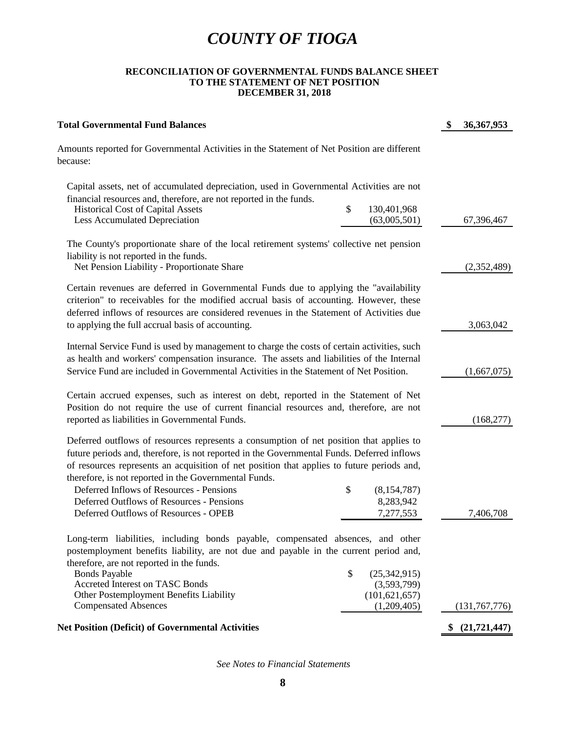#### **RECONCILIATION OF GOVERNMENTAL FUNDS BALANCE SHEET TO THE STATEMENT OF NET POSITION DECEMBER 31, 2018**

| <b>Total Governmental Fund Balances</b>                                                                                                                                                                                                                                                                                                      |                     | \$<br>36, 367, 953   |
|----------------------------------------------------------------------------------------------------------------------------------------------------------------------------------------------------------------------------------------------------------------------------------------------------------------------------------------------|---------------------|----------------------|
| Amounts reported for Governmental Activities in the Statement of Net Position are different<br>because:                                                                                                                                                                                                                                      |                     |                      |
| Capital assets, net of accumulated depreciation, used in Governmental Activities are not                                                                                                                                                                                                                                                     |                     |                      |
| financial resources and, therefore, are not reported in the funds.                                                                                                                                                                                                                                                                           |                     |                      |
| Historical Cost of Capital Assets                                                                                                                                                                                                                                                                                                            | \$<br>130,401,968   |                      |
| Less Accumulated Depreciation                                                                                                                                                                                                                                                                                                                | (63,005,501)        | 67,396,467           |
| The County's proportionate share of the local retirement systems' collective net pension                                                                                                                                                                                                                                                     |                     |                      |
| liability is not reported in the funds.                                                                                                                                                                                                                                                                                                      |                     |                      |
| Net Pension Liability - Proportionate Share                                                                                                                                                                                                                                                                                                  |                     | (2,352,489)          |
| Certain revenues are deferred in Governmental Funds due to applying the "availability"<br>criterion" to receivables for the modified accrual basis of accounting. However, these<br>deferred inflows of resources are considered revenues in the Statement of Activities due                                                                 |                     |                      |
| to applying the full accrual basis of accounting.                                                                                                                                                                                                                                                                                            |                     | 3,063,042            |
|                                                                                                                                                                                                                                                                                                                                              |                     |                      |
| Internal Service Fund is used by management to charge the costs of certain activities, such                                                                                                                                                                                                                                                  |                     |                      |
| as health and workers' compensation insurance. The assets and liabilities of the Internal                                                                                                                                                                                                                                                    |                     |                      |
| Service Fund are included in Governmental Activities in the Statement of Net Position.                                                                                                                                                                                                                                                       |                     | (1,667,075)          |
| Certain accrued expenses, such as interest on debt, reported in the Statement of Net<br>Position do not require the use of current financial resources and, therefore, are not                                                                                                                                                               |                     |                      |
| reported as liabilities in Governmental Funds.                                                                                                                                                                                                                                                                                               |                     | (168, 277)           |
| Deferred outflows of resources represents a consumption of net position that applies to<br>future periods and, therefore, is not reported in the Governmental Funds. Deferred inflows<br>of resources represents an acquisition of net position that applies to future periods and,<br>therefore, is not reported in the Governmental Funds. |                     |                      |
| Deferred Inflows of Resources - Pensions                                                                                                                                                                                                                                                                                                     | \$<br>(8, 154, 787) |                      |
| Deferred Outflows of Resources - Pensions                                                                                                                                                                                                                                                                                                    | 8,283,942           |                      |
| Deferred Outflows of Resources - OPEB                                                                                                                                                                                                                                                                                                        | 7,277,553           | 7,406,708            |
| Long-term liabilities, including bonds payable, compensated absences, and other<br>postemployment benefits liability, are not due and payable in the current period and,<br>therefore, are not reported in the funds.                                                                                                                        |                     |                      |
| <b>Bonds Payable</b>                                                                                                                                                                                                                                                                                                                         | \$<br>(25,342,915)  |                      |
| <b>Accreted Interest on TASC Bonds</b>                                                                                                                                                                                                                                                                                                       | (3,593,799)         |                      |
| Other Postemployment Benefits Liability                                                                                                                                                                                                                                                                                                      | (101, 621, 657)     |                      |
| <b>Compensated Absences</b>                                                                                                                                                                                                                                                                                                                  | (1,209,405)         | (131, 767, 776)      |
| <b>Net Position (Deficit) of Governmental Activities</b>                                                                                                                                                                                                                                                                                     |                     | (21, 721, 447)<br>\$ |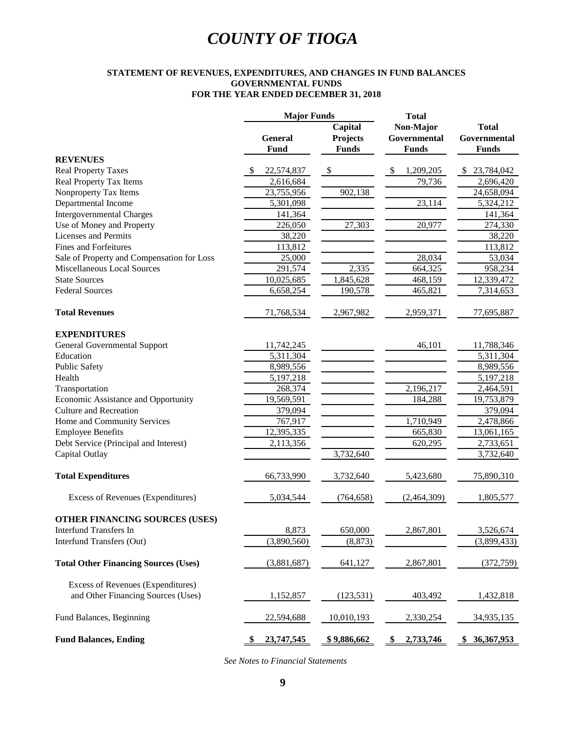#### **STATEMENT OF REVENUES, EXPENDITURES, AND CHANGES IN FUND BALANCES GOVERNMENTAL FUNDS FOR THE YEAR ENDED DECEMBER 31, 2018**

|                                             | <b>Major Funds</b> |                        | <b>Total</b>               |                               |
|---------------------------------------------|--------------------|------------------------|----------------------------|-------------------------------|
|                                             |                    | Capital                | Non-Major                  | <b>Total</b>                  |
|                                             | <b>General</b>     | <b>Projects</b>        | Governmental               | Governmental                  |
|                                             | Fund               | <b>Funds</b>           | <b>Funds</b>               | <b>Funds</b>                  |
| <b>REVENUES</b>                             |                    |                        |                            |                               |
| <b>Real Property Taxes</b>                  | 22,574,837<br>S    | $\$\,$                 | \$<br>1,209,205            | 23,784,042<br>\$              |
| Real Property Tax Items                     | 2,616,684          |                        | 79,736                     | 2,696,420                     |
| Nonproperty Tax Items                       | 23,755,956         | 902,138                |                            | 24,658,094                    |
| Departmental Income                         | 5,301,098          |                        | 23,114                     | 5,324,212                     |
| <b>Intergovernmental Charges</b>            | 141,364            |                        |                            | 141,364                       |
| Use of Money and Property                   | 226,050            | 27,303                 | 20,977                     | 274,330                       |
| <b>Licenses</b> and Permits                 | 38,220             |                        |                            | 38,220                        |
| <b>Fines and Forfeitures</b>                | 113,812            |                        |                            | 113,812                       |
| Sale of Property and Compensation for Loss  | 25,000             |                        | 28,034                     | 53,034                        |
| Miscellaneous Local Sources                 |                    |                        |                            |                               |
| <b>State Sources</b>                        | 291,574            | 2,335                  | 664,325                    | 958,234                       |
|                                             | 10,025,685         | 1,845,628              | 468,159                    | 12,339,472                    |
| <b>Federal Sources</b>                      | 6,658,254          | 190,578                | 465,821                    | 7,314,653                     |
| <b>Total Revenues</b>                       | 71,768,534         | 2,967,982              | 2,959,371                  | 77,695,887                    |
| <b>EXPENDITURES</b>                         |                    |                        |                            |                               |
| <b>General Governmental Support</b>         | 11,742,245         |                        | 46,101                     | 11,788,346                    |
| Education                                   | 5,311,304          |                        |                            | 5,311,304                     |
| <b>Public Safety</b>                        | 8,989,556          |                        |                            | 8,989,556                     |
| Health                                      | 5,197,218          |                        |                            | 5,197,218                     |
| Transportation                              | 268,374            |                        | 2,196,217                  | 2,464,591                     |
| Economic Assistance and Opportunity         | 19,569,591         |                        | 184,288                    | 19,753,879                    |
| <b>Culture and Recreation</b>               | 379,094            |                        |                            | 379,094                       |
| Home and Community Services                 | 767,917            |                        | 1,710,949                  | 2,478,866                     |
| <b>Employee Benefits</b>                    | 12,395,335         |                        | 665,830                    | 13,061,165                    |
| Debt Service (Principal and Interest)       | 2,113,356          |                        | 620,295                    | 2,733,651                     |
| Capital Outlay                              |                    | $\overline{3,}732,640$ |                            | 3,732,640                     |
|                                             |                    |                        |                            |                               |
| <b>Total Expenditures</b>                   | 66,733,990         | 3,732,640              | 5,423,680                  | 75,890,310                    |
| Excess of Revenues (Expenditures)           | 5,034,544          | (764, 658)             | (2,464,309)                | 1,805,577                     |
| OTHER FINANCING SOURCES (USES)              |                    |                        |                            |                               |
| <b>Interfund Transfers In</b>               | 8,873              | 650,000                | 2,867,801                  | 3,526,674                     |
| Interfund Transfers (Out)                   | (3,890,560)        | (8, 873)               |                            | (3,899,433)                   |
|                                             |                    |                        |                            |                               |
| <b>Total Other Financing Sources (Uses)</b> | (3,881,687)        | 641,127                | 2,867,801                  | (372, 759)                    |
| Excess of Revenues (Expenditures)           |                    |                        |                            |                               |
| and Other Financing Sources (Uses)          | 1,152,857          | (123, 531)             | 403,492                    | 1,432,818                     |
| Fund Balances, Beginning                    | 22,594,688         | 10,010,193             | 2,330,254                  | 34,935,135                    |
| <b>Fund Balances, Ending</b>                | 23,747,545<br>S    | \$9,886,662            | $\frac{1}{2}$<br>2,733,746 | $\frac{1}{2}$<br>36, 367, 953 |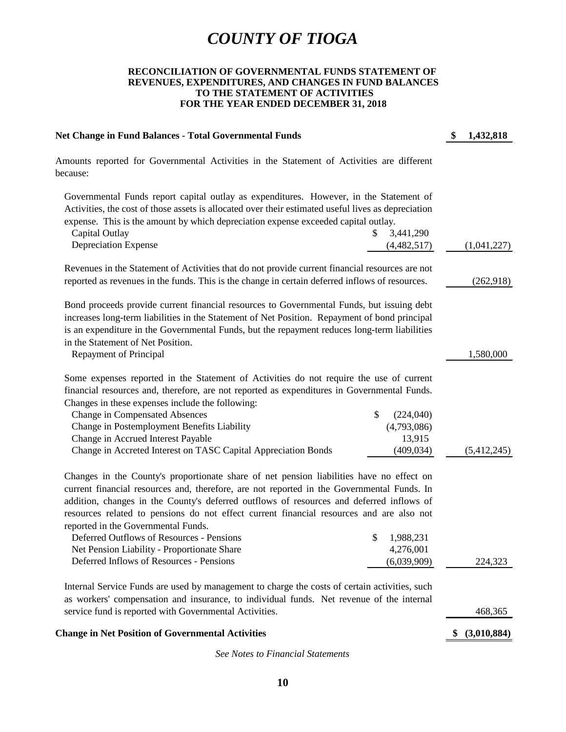#### **TO THE STATEMENT OF ACTIVITIES RECONCILIATION OF GOVERNMENTAL FUNDS STATEMENT OF FOR THE YEAR ENDED DECEMBER 31, 2018 REVENUES, EXPENDITURES, AND CHANGES IN FUND BALANCES**

**Net Change in Fund Balances - Total Governmental Funds \$ 1,432,818**

| Amounts reported for Governmental Activities in the Statement of Activities are different<br>because:                                                                                                                                                                                                                                                                                                                                                                                                                                                                                        |             |
|----------------------------------------------------------------------------------------------------------------------------------------------------------------------------------------------------------------------------------------------------------------------------------------------------------------------------------------------------------------------------------------------------------------------------------------------------------------------------------------------------------------------------------------------------------------------------------------------|-------------|
| Governmental Funds report capital outlay as expenditures. However, in the Statement of<br>Activities, the cost of those assets is allocated over their estimated useful lives as depreciation<br>expense. This is the amount by which depreciation expense exceeded capital outlay.<br>Capital Outlay<br>3,441,290<br>S                                                                                                                                                                                                                                                                      |             |
| Depreciation Expense<br>(4, 482, 517)                                                                                                                                                                                                                                                                                                                                                                                                                                                                                                                                                        | (1,041,227) |
| Revenues in the Statement of Activities that do not provide current financial resources are not<br>reported as revenues in the funds. This is the change in certain deferred inflows of resources.                                                                                                                                                                                                                                                                                                                                                                                           | (262,918)   |
| Bond proceeds provide current financial resources to Governmental Funds, but issuing debt<br>increases long-term liabilities in the Statement of Net Position. Repayment of bond principal<br>is an expenditure in the Governmental Funds, but the repayment reduces long-term liabilities<br>in the Statement of Net Position.                                                                                                                                                                                                                                                              |             |
| Repayment of Principal                                                                                                                                                                                                                                                                                                                                                                                                                                                                                                                                                                       | 1,580,000   |
| Some expenses reported in the Statement of Activities do not require the use of current<br>financial resources and, therefore, are not reported as expenditures in Governmental Funds.<br>Changes in these expenses include the following:<br><b>Change in Compensated Absences</b><br>\$<br>(224,040)<br>Change in Postemployment Benefits Liability<br>(4,793,086)<br>Change in Accrued Interest Payable<br>13,915<br>Change in Accreted Interest on TASC Capital Appreciation Bonds<br>(409, 034)                                                                                         | (5,412,245) |
| Changes in the County's proportionate share of net pension liabilities have no effect on<br>current financial resources and, therefore, are not reported in the Governmental Funds. In<br>addition, changes in the County's deferred outflows of resources and deferred inflows of<br>resources related to pensions do not effect current financial resources and are also not<br>reported in the Governmental Funds.<br>Deferred Outflows of Resources - Pensions<br>1,988,231<br>S<br>Net Pension Liability - Proportionate Share<br>4,276,001<br>Deferred Inflows of Resources - Pensions |             |
| (6,039,909)                                                                                                                                                                                                                                                                                                                                                                                                                                                                                                                                                                                  | 224,323     |
| Internal Service Funds are used by management to charge the costs of certain activities, such<br>as workers' compensation and insurance, to individual funds. Net revenue of the internal                                                                                                                                                                                                                                                                                                                                                                                                    |             |
| service fund is reported with Governmental Activities.                                                                                                                                                                                                                                                                                                                                                                                                                                                                                                                                       | 468,365     |
| <b>Change in Net Position of Governmental Activities</b>                                                                                                                                                                                                                                                                                                                                                                                                                                                                                                                                     | (3,010,884) |
|                                                                                                                                                                                                                                                                                                                                                                                                                                                                                                                                                                                              |             |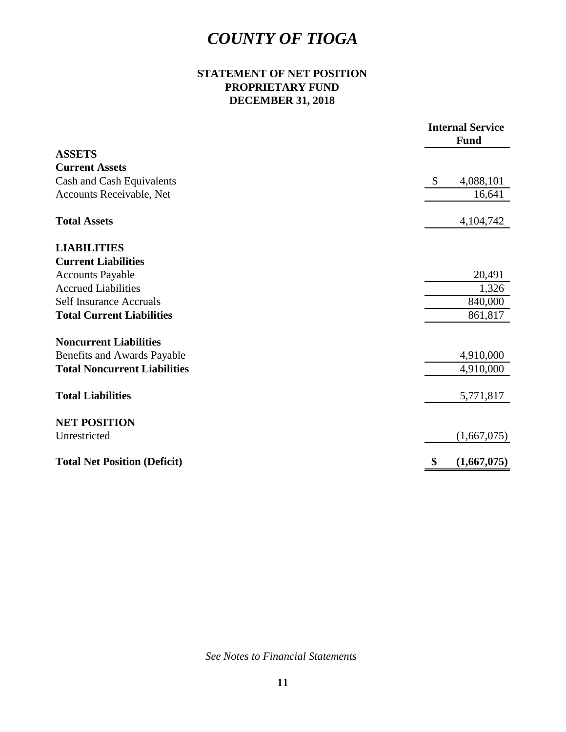### **STATEMENT OF NET POSITION PROPRIETARY FUND DECEMBER 31, 2018**

|                                     |                           | <b>Fund</b> |
|-------------------------------------|---------------------------|-------------|
| <b>ASSETS</b>                       |                           |             |
| <b>Current Assets</b>               |                           |             |
| Cash and Cash Equivalents           | $\boldsymbol{\mathsf{S}}$ | 4,088,101   |
| Accounts Receivable, Net            |                           | 16,641      |
| <b>Total Assets</b>                 |                           | 4,104,742   |
| <b>LIABILITIES</b>                  |                           |             |
| <b>Current Liabilities</b>          |                           |             |
| <b>Accounts Payable</b>             |                           | 20,491      |
| <b>Accrued Liabilities</b>          |                           | 1,326       |
| Self Insurance Accruals             |                           | 840,000     |
| <b>Total Current Liabilities</b>    |                           | 861,817     |
| <b>Noncurrent Liabilities</b>       |                           |             |
| <b>Benefits and Awards Payable</b>  |                           | 4,910,000   |
| <b>Total Noncurrent Liabilities</b> |                           | 4,910,000   |
| <b>Total Liabilities</b>            |                           | 5,771,817   |
| <b>NET POSITION</b>                 |                           |             |
| Unrestricted                        |                           | (1,667,075) |
| <b>Total Net Position (Deficit)</b> | \$                        | (1,667,075) |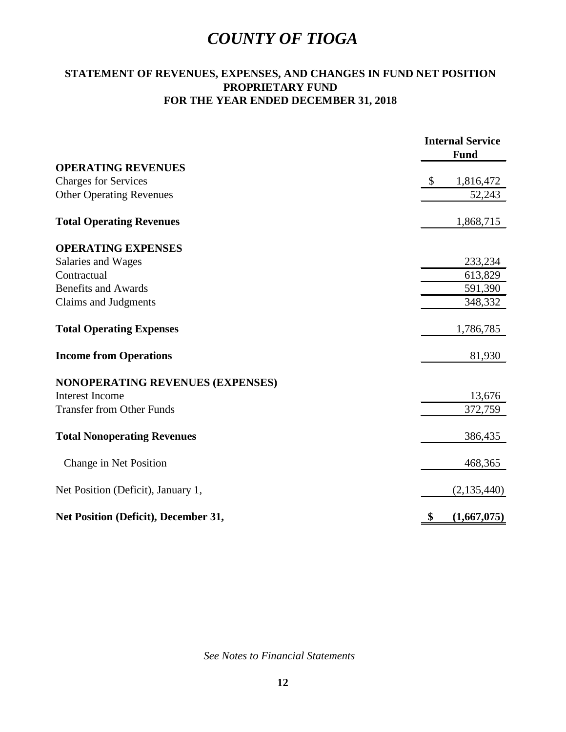### **STATEMENT OF REVENUES, EXPENSES, AND CHANGES IN FUND NET POSITION PROPRIETARY FUND FOR THE YEAR ENDED DECEMBER 31, 2018**

|                                         | <b>Internal Service</b><br><b>Fund</b> |               |  |
|-----------------------------------------|----------------------------------------|---------------|--|
| <b>OPERATING REVENUES</b>               |                                        |               |  |
| <b>Charges for Services</b>             | $\mathcal{S}$                          | 1,816,472     |  |
| <b>Other Operating Revenues</b>         |                                        | 52,243        |  |
| <b>Total Operating Revenues</b>         |                                        | 1,868,715     |  |
| <b>OPERATING EXPENSES</b>               |                                        |               |  |
| Salaries and Wages                      |                                        | 233,234       |  |
| Contractual                             |                                        | 613,829       |  |
| <b>Benefits and Awards</b>              |                                        | 591,390       |  |
| Claims and Judgments                    |                                        | 348,332       |  |
| <b>Total Operating Expenses</b>         |                                        | 1,786,785     |  |
| <b>Income from Operations</b>           |                                        | 81,930        |  |
| <b>NONOPERATING REVENUES (EXPENSES)</b> |                                        |               |  |
| <b>Interest Income</b>                  |                                        | 13,676        |  |
| <b>Transfer from Other Funds</b>        |                                        | 372,759       |  |
| <b>Total Nonoperating Revenues</b>      |                                        | 386,435       |  |
| Change in Net Position                  |                                        | 468, 365      |  |
| Net Position (Deficit), January 1,      |                                        | (2, 135, 440) |  |
| Net Position (Deficit), December 31,    |                                        | (1,667,075)   |  |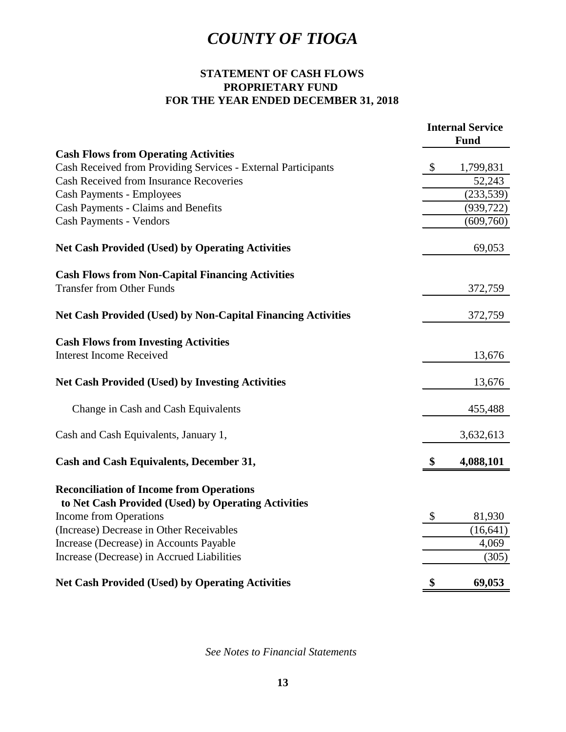### **STATEMENT OF CASH FLOWS PROPRIETARY FUND FOR THE YEAR ENDED DECEMBER 31, 2018**

|                                                                                                        |    | <b>Internal Service</b><br>Fund |  |  |
|--------------------------------------------------------------------------------------------------------|----|---------------------------------|--|--|
| <b>Cash Flows from Operating Activities</b>                                                            |    |                                 |  |  |
| Cash Received from Providing Services - External Participants                                          | \$ | 1,799,831                       |  |  |
| <b>Cash Received from Insurance Recoveries</b>                                                         |    | 52,243                          |  |  |
| <b>Cash Payments - Employees</b>                                                                       |    | (233, 539)                      |  |  |
| <b>Cash Payments - Claims and Benefits</b>                                                             |    | (939, 722)                      |  |  |
| <b>Cash Payments - Vendors</b>                                                                         |    | (609,760)                       |  |  |
| <b>Net Cash Provided (Used) by Operating Activities</b>                                                |    | 69,053                          |  |  |
| <b>Cash Flows from Non-Capital Financing Activities</b>                                                |    |                                 |  |  |
| <b>Transfer from Other Funds</b>                                                                       |    | 372,759                         |  |  |
| <b>Net Cash Provided (Used) by Non-Capital Financing Activities</b>                                    |    | 372,759                         |  |  |
| <b>Cash Flows from Investing Activities</b>                                                            |    |                                 |  |  |
| <b>Interest Income Received</b>                                                                        |    | 13,676                          |  |  |
| <b>Net Cash Provided (Used) by Investing Activities</b>                                                |    | 13,676                          |  |  |
| Change in Cash and Cash Equivalents                                                                    |    | 455,488                         |  |  |
| Cash and Cash Equivalents, January 1,                                                                  |    | 3,632,613                       |  |  |
| <b>Cash and Cash Equivalents, December 31,</b>                                                         | \$ | 4,088,101                       |  |  |
| <b>Reconciliation of Income from Operations</b><br>to Net Cash Provided (Used) by Operating Activities |    |                                 |  |  |
| Income from Operations                                                                                 | \$ | 81,930                          |  |  |
| (Increase) Decrease in Other Receivables                                                               |    | (16, 641)                       |  |  |
| Increase (Decrease) in Accounts Payable                                                                |    | 4,069                           |  |  |
| Increase (Decrease) in Accrued Liabilities                                                             |    | (305)                           |  |  |
| <b>Net Cash Provided (Used) by Operating Activities</b>                                                | \$ | 69,053                          |  |  |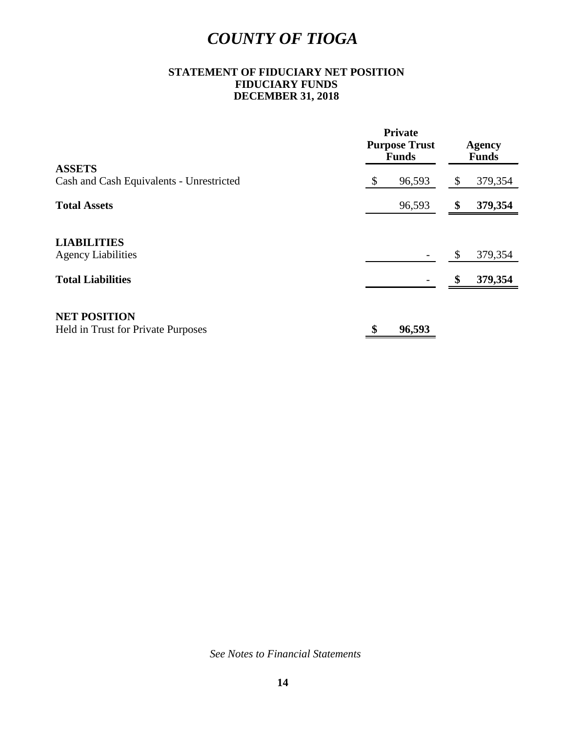### **STATEMENT OF FIDUCIARY NET POSITION FIDUCIARY FUNDS DECEMBER 31, 2018**

|                                                           | <b>Private</b><br><b>Purpose Trust</b><br><b>Funds</b> |                           | <b>Agency</b><br><b>Funds</b> |
|-----------------------------------------------------------|--------------------------------------------------------|---------------------------|-------------------------------|
| <b>ASSETS</b><br>Cash and Cash Equivalents - Unrestricted | 96,593<br>\$                                           | $\boldsymbol{\mathsf{S}}$ | 379,354                       |
| <b>Total Assets</b>                                       | 96,593                                                 | \$                        | 379,354                       |
| <b>LIABILITIES</b><br><b>Agency Liabilities</b>           |                                                        | $\boldsymbol{\mathsf{S}}$ | 379,354                       |
| <b>Total Liabilities</b>                                  |                                                        | \$                        | 379,354                       |
| <b>NET POSITION</b><br>Held in Trust for Private Purposes | 96,593<br>\$                                           |                           |                               |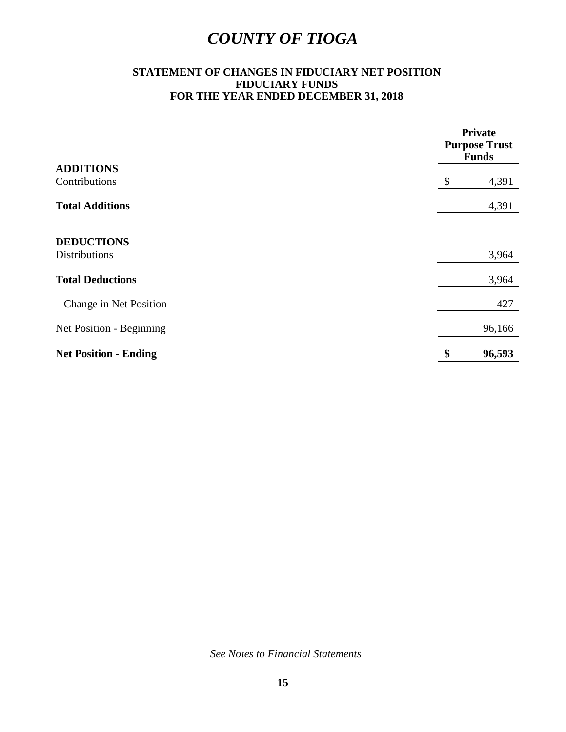### **STATEMENT OF CHANGES IN FIDUCIARY NET POSITION FIDUCIARY FUNDS FOR THE YEAR ENDED DECEMBER 31, 2018**

|                              | <b>Private</b><br><b>Purpose Trust</b><br><b>Funds</b> |        |
|------------------------------|--------------------------------------------------------|--------|
| <b>ADDITIONS</b>             |                                                        |        |
| Contributions                | $\boldsymbol{\mathsf{S}}$                              | 4,391  |
| <b>Total Additions</b>       |                                                        | 4,391  |
| <b>DEDUCTIONS</b>            |                                                        |        |
| <b>Distributions</b>         |                                                        | 3,964  |
| <b>Total Deductions</b>      |                                                        | 3,964  |
| Change in Net Position       |                                                        | 427    |
| Net Position - Beginning     |                                                        | 96,166 |
| <b>Net Position - Ending</b> |                                                        | 96,593 |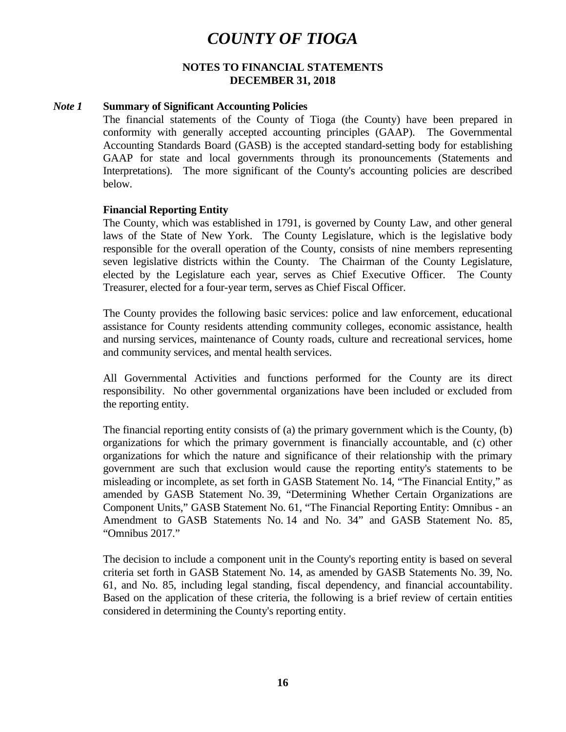### **NOTES TO FINANCIAL STATEMENTS DECEMBER 31, 2018**

### *Note 1* **Summary of Significant Accounting Policies**

The financial statements of the County of Tioga (the County) have been prepared in conformity with generally accepted accounting principles (GAAP). The Governmental Accounting Standards Board (GASB) is the accepted standard-setting body for establishing GAAP for state and local governments through its pronouncements (Statements and Interpretations). The more significant of the County's accounting policies are described below.

### **Financial Reporting Entity**

The County, which was established in 1791, is governed by County Law, and other general laws of the State of New York. The County Legislature, which is the legislative body responsible for the overall operation of the County, consists of nine members representing seven legislative districts within the County. The Chairman of the County Legislature, elected by the Legislature each year, serves as Chief Executive Officer. The County Treasurer, elected for a four-year term, serves as Chief Fiscal Officer.

The County provides the following basic services: police and law enforcement, educational assistance for County residents attending community colleges, economic assistance, health and nursing services, maintenance of County roads, culture and recreational services, home and community services, and mental health services.

All Governmental Activities and functions performed for the County are its direct responsibility. No other governmental organizations have been included or excluded from the reporting entity.

The financial reporting entity consists of (a) the primary government which is the County, (b) organizations for which the primary government is financially accountable, and (c) other organizations for which the nature and significance of their relationship with the primary government are such that exclusion would cause the reporting entity's statements to be misleading or incomplete, as set forth in GASB Statement No. 14, "The Financial Entity," as amended by GASB Statement No. 39, "Determining Whether Certain Organizations are Component Units," GASB Statement No. 61, "The Financial Reporting Entity: Omnibus - an Amendment to GASB Statements No. 14 and No. 34" and GASB Statement No. 85, "Omnibus 2017."

The decision to include a component unit in the County's reporting entity is based on several criteria set forth in GASB Statement No. 14, as amended by GASB Statements No. 39, No. 61, and No. 85, including legal standing, fiscal dependency, and financial accountability. Based on the application of these criteria, the following is a brief review of certain entities considered in determining the County's reporting entity.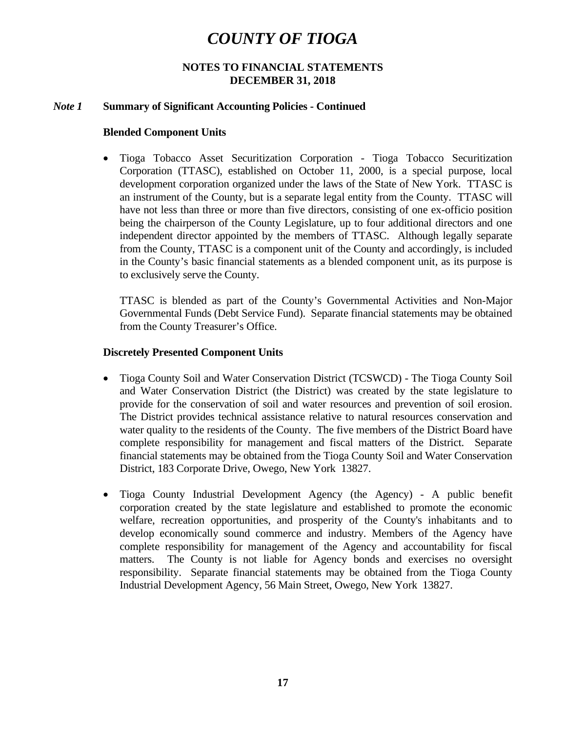### **NOTES TO FINANCIAL STATEMENTS DECEMBER 31, 2018**

### *Note 1* **Summary of Significant Accounting Policies - Continued**

### **Blended Component Units**

• Tioga Tobacco Asset Securitization Corporation - Tioga Tobacco Securitization Corporation (TTASC), established on October 11, 2000, is a special purpose, local development corporation organized under the laws of the State of New York. TTASC is an instrument of the County, but is a separate legal entity from the County. TTASC will have not less than three or more than five directors, consisting of one ex-officio position being the chairperson of the County Legislature, up to four additional directors and one independent director appointed by the members of TTASC. Although legally separate from the County, TTASC is a component unit of the County and accordingly, is included in the County's basic financial statements as a blended component unit, as its purpose is to exclusively serve the County.

TTASC is blended as part of the County's Governmental Activities and Non-Major Governmental Funds (Debt Service Fund). Separate financial statements may be obtained from the County Treasurer's Office.

### **Discretely Presented Component Units**

- Tioga County Soil and Water Conservation District (TCSWCD) The Tioga County Soil and Water Conservation District (the District) was created by the state legislature to provide for the conservation of soil and water resources and prevention of soil erosion. The District provides technical assistance relative to natural resources conservation and water quality to the residents of the County. The five members of the District Board have complete responsibility for management and fiscal matters of the District. Separate financial statements may be obtained from the Tioga County Soil and Water Conservation District, 183 Corporate Drive, Owego, New York 13827.
- Tioga County Industrial Development Agency (the Agency) A public benefit corporation created by the state legislature and established to promote the economic welfare, recreation opportunities, and prosperity of the County's inhabitants and to develop economically sound commerce and industry. Members of the Agency have complete responsibility for management of the Agency and accountability for fiscal matters. The County is not liable for Agency bonds and exercises no oversight responsibility. Separate financial statements may be obtained from the Tioga County Industrial Development Agency, 56 Main Street, Owego, New York 13827.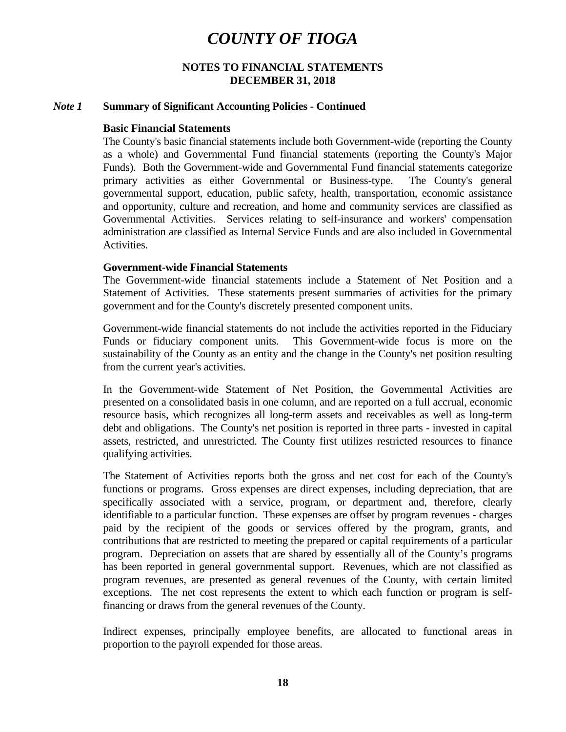### **NOTES TO FINANCIAL STATEMENTS DECEMBER 31, 2018**

### *Note 1* **Summary of Significant Accounting Policies - Continued**

#### **Basic Financial Statements**

The County's basic financial statements include both Government-wide (reporting the County as a whole) and Governmental Fund financial statements (reporting the County's Major Funds). Both the Government-wide and Governmental Fund financial statements categorize primary activities as either Governmental or Business-type. The County's general governmental support, education, public safety, health, transportation, economic assistance and opportunity, culture and recreation, and home and community services are classified as Governmental Activities. Services relating to self-insurance and workers' compensation administration are classified as Internal Service Funds and are also included in Governmental Activities.

### **Government-wide Financial Statements**

The Government-wide financial statements include a Statement of Net Position and a Statement of Activities. These statements present summaries of activities for the primary government and for the County's discretely presented component units.

Government-wide financial statements do not include the activities reported in the Fiduciary Funds or fiduciary component units. This Government-wide focus is more on the sustainability of the County as an entity and the change in the County's net position resulting from the current year's activities.

In the Government-wide Statement of Net Position, the Governmental Activities are presented on a consolidated basis in one column, and are reported on a full accrual, economic resource basis, which recognizes all long-term assets and receivables as well as long-term debt and obligations. The County's net position is reported in three parts - invested in capital assets, restricted, and unrestricted. The County first utilizes restricted resources to finance qualifying activities.

The Statement of Activities reports both the gross and net cost for each of the County's functions or programs. Gross expenses are direct expenses, including depreciation, that are specifically associated with a service, program, or department and, therefore, clearly identifiable to a particular function. These expenses are offset by program revenues - charges paid by the recipient of the goods or services offered by the program, grants, and contributions that are restricted to meeting the prepared or capital requirements of a particular program. Depreciation on assets that are shared by essentially all of the County's programs has been reported in general governmental support. Revenues, which are not classified as program revenues, are presented as general revenues of the County, with certain limited exceptions. The net cost represents the extent to which each function or program is selffinancing or draws from the general revenues of the County.

Indirect expenses, principally employee benefits, are allocated to functional areas in proportion to the payroll expended for those areas.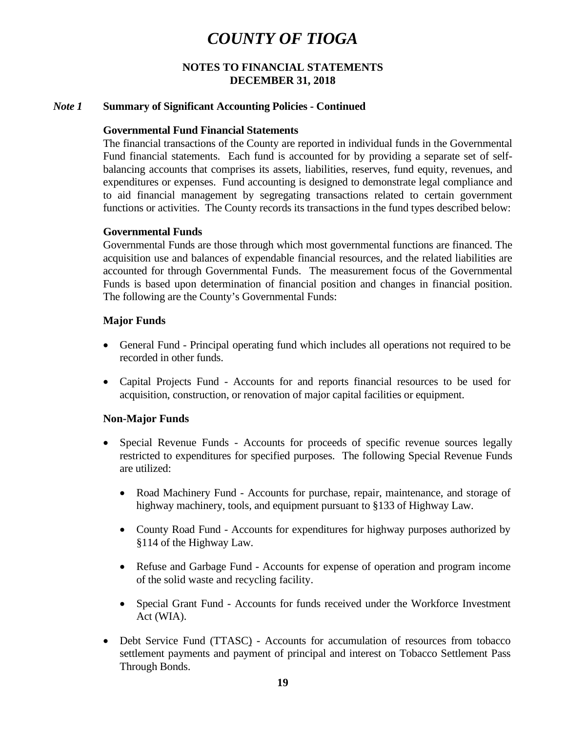### **NOTES TO FINANCIAL STATEMENTS DECEMBER 31, 2018**

### *Note 1* **Summary of Significant Accounting Policies - Continued**

### **Governmental Fund Financial Statements**

The financial transactions of the County are reported in individual funds in the Governmental Fund financial statements. Each fund is accounted for by providing a separate set of selfbalancing accounts that comprises its assets, liabilities, reserves, fund equity, revenues, and expenditures or expenses. Fund accounting is designed to demonstrate legal compliance and to aid financial management by segregating transactions related to certain government functions or activities. The County records its transactions in the fund types described below:

### **Governmental Funds**

Governmental Funds are those through which most governmental functions are financed. The acquisition use and balances of expendable financial resources, and the related liabilities are accounted for through Governmental Funds. The measurement focus of the Governmental Funds is based upon determination of financial position and changes in financial position. The following are the County's Governmental Funds:

### **Major Funds**

- General Fund Principal operating fund which includes all operations not required to be recorded in other funds.
- Capital Projects Fund Accounts for and reports financial resources to be used for acquisition, construction, or renovation of major capital facilities or equipment.

### **Non-Major Funds**

- Special Revenue Funds Accounts for proceeds of specific revenue sources legally restricted to expenditures for specified purposes. The following Special Revenue Funds are utilized:
	- Road Machinery Fund Accounts for purchase, repair, maintenance, and storage of highway machinery, tools, and equipment pursuant to §133 of Highway Law.
	- County Road Fund Accounts for expenditures for highway purposes authorized by §114 of the Highway Law.
	- Refuse and Garbage Fund Accounts for expense of operation and program income of the solid waste and recycling facility.
	- Special Grant Fund Accounts for funds received under the Workforce Investment Act (WIA).
- Debt Service Fund (TTASC) Accounts for accumulation of resources from tobacco settlement payments and payment of principal and interest on Tobacco Settlement Pass Through Bonds.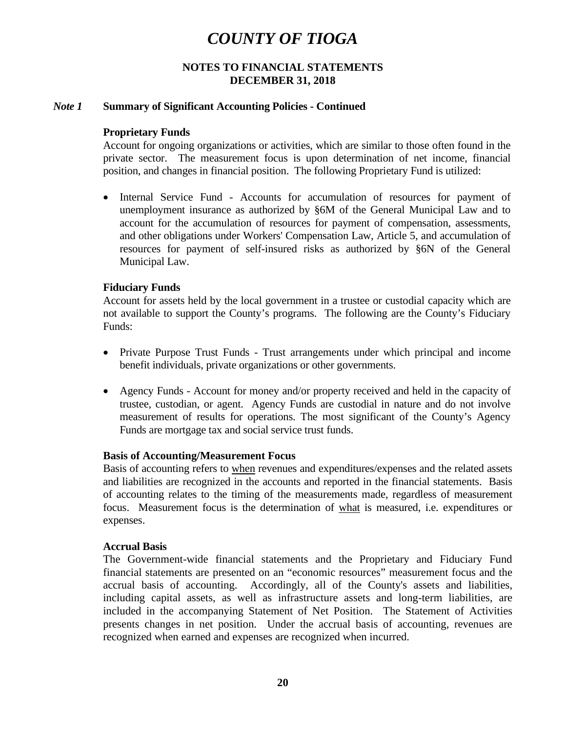### **NOTES TO FINANCIAL STATEMENTS DECEMBER 31, 2018**

### *Note 1* **Summary of Significant Accounting Policies - Continued**

### **Proprietary Funds**

Account for ongoing organizations or activities, which are similar to those often found in the private sector. The measurement focus is upon determination of net income, financial position, and changes in financial position. The following Proprietary Fund is utilized:

• Internal Service Fund - Accounts for accumulation of resources for payment of unemployment insurance as authorized by §6M of the General Municipal Law and to account for the accumulation of resources for payment of compensation, assessments, and other obligations under Workers' Compensation Law, Article 5, and accumulation of resources for payment of self-insured risks as authorized by §6N of the General Municipal Law.

### **Fiduciary Funds**

Account for assets held by the local government in a trustee or custodial capacity which are not available to support the County's programs. The following are the County's Fiduciary Funds:

- Private Purpose Trust Funds Trust arrangements under which principal and income benefit individuals, private organizations or other governments.
- Agency Funds Account for money and/or property received and held in the capacity of trustee, custodian, or agent. Agency Funds are custodial in nature and do not involve measurement of results for operations. The most significant of the County's Agency Funds are mortgage tax and social service trust funds.

#### **Basis of Accounting/Measurement Focus**

Basis of accounting refers to when revenues and expenditures/expenses and the related assets and liabilities are recognized in the accounts and reported in the financial statements. Basis of accounting relates to the timing of the measurements made, regardless of measurement focus. Measurement focus is the determination of what is measured, i.e. expenditures or expenses.

#### **Accrual Basis**

The Government-wide financial statements and the Proprietary and Fiduciary Fund financial statements are presented on an "economic resources" measurement focus and the accrual basis of accounting. Accordingly, all of the County's assets and liabilities, including capital assets, as well as infrastructure assets and long-term liabilities, are included in the accompanying Statement of Net Position. The Statement of Activities presents changes in net position. Under the accrual basis of accounting, revenues are recognized when earned and expenses are recognized when incurred.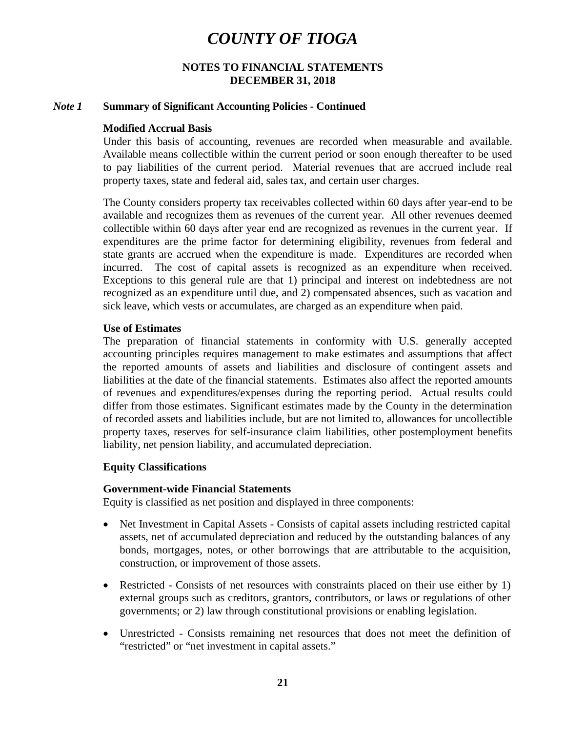## **NOTES TO FINANCIAL STATEMENTS DECEMBER 31, 2018**

## *Note 1* **Summary of Significant Accounting Policies - Continued**

### **Modified Accrual Basis**

Under this basis of accounting, revenues are recorded when measurable and available. Available means collectible within the current period or soon enough thereafter to be used to pay liabilities of the current period. Material revenues that are accrued include real property taxes, state and federal aid, sales tax, and certain user charges.

The County considers property tax receivables collected within 60 days after year-end to be available and recognizes them as revenues of the current year. All other revenues deemed collectible within 60 days after year end are recognized as revenues in the current year. If expenditures are the prime factor for determining eligibility, revenues from federal and state grants are accrued when the expenditure is made. Expenditures are recorded when incurred. The cost of capital assets is recognized as an expenditure when received. Exceptions to this general rule are that 1) principal and interest on indebtedness are not recognized as an expenditure until due, and 2) compensated absences, such as vacation and sick leave, which vests or accumulates, are charged as an expenditure when paid.

#### **Use of Estimates**

The preparation of financial statements in conformity with U.S. generally accepted accounting principles requires management to make estimates and assumptions that affect the reported amounts of assets and liabilities and disclosure of contingent assets and liabilities at the date of the financial statements. Estimates also affect the reported amounts of revenues and expenditures/expenses during the reporting period. Actual results could differ from those estimates. Significant estimates made by the County in the determination of recorded assets and liabilities include, but are not limited to, allowances for uncollectible property taxes, reserves for self-insurance claim liabilities, other postemployment benefits liability, net pension liability, and accumulated depreciation.

## **Equity Classifications**

#### **Government-wide Financial Statements**

Equity is classified as net position and displayed in three components:

- Net Investment in Capital Assets Consists of capital assets including restricted capital assets, net of accumulated depreciation and reduced by the outstanding balances of any bonds, mortgages, notes, or other borrowings that are attributable to the acquisition, construction, or improvement of those assets.
- Restricted Consists of net resources with constraints placed on their use either by 1) external groups such as creditors, grantors, contributors, or laws or regulations of other governments; or 2) law through constitutional provisions or enabling legislation.
- Unrestricted Consists remaining net resources that does not meet the definition of "restricted" or "net investment in capital assets."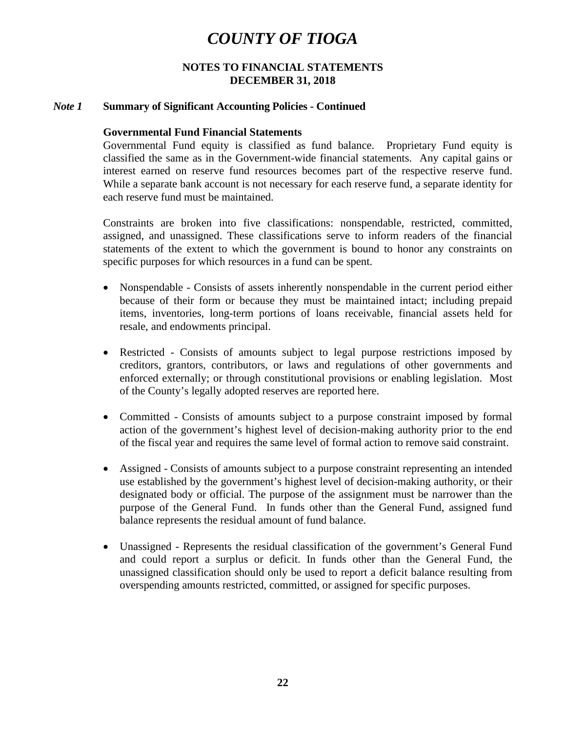## **NOTES TO FINANCIAL STATEMENTS DECEMBER 31, 2018**

## *Note 1* **Summary of Significant Accounting Policies - Continued**

## **Governmental Fund Financial Statements**

Governmental Fund equity is classified as fund balance. Proprietary Fund equity is classified the same as in the Government-wide financial statements. Any capital gains or interest earned on reserve fund resources becomes part of the respective reserve fund. While a separate bank account is not necessary for each reserve fund, a separate identity for each reserve fund must be maintained.

Constraints are broken into five classifications: nonspendable, restricted, committed, assigned, and unassigned. These classifications serve to inform readers of the financial statements of the extent to which the government is bound to honor any constraints on specific purposes for which resources in a fund can be spent.

- Nonspendable Consists of assets inherently nonspendable in the current period either because of their form or because they must be maintained intact; including prepaid items, inventories, long-term portions of loans receivable, financial assets held for resale, and endowments principal.
- Restricted Consists of amounts subject to legal purpose restrictions imposed by creditors, grantors, contributors, or laws and regulations of other governments and enforced externally; or through constitutional provisions or enabling legislation. Most of the County's legally adopted reserves are reported here.
- Committed Consists of amounts subject to a purpose constraint imposed by formal action of the government's highest level of decision-making authority prior to the end of the fiscal year and requires the same level of formal action to remove said constraint.
- Assigned Consists of amounts subject to a purpose constraint representing an intended use established by the government's highest level of decision-making authority, or their designated body or official. The purpose of the assignment must be narrower than the purpose of the General Fund. In funds other than the General Fund, assigned fund balance represents the residual amount of fund balance.
- Unassigned Represents the residual classification of the government's General Fund and could report a surplus or deficit. In funds other than the General Fund, the unassigned classification should only be used to report a deficit balance resulting from overspending amounts restricted, committed, or assigned for specific purposes.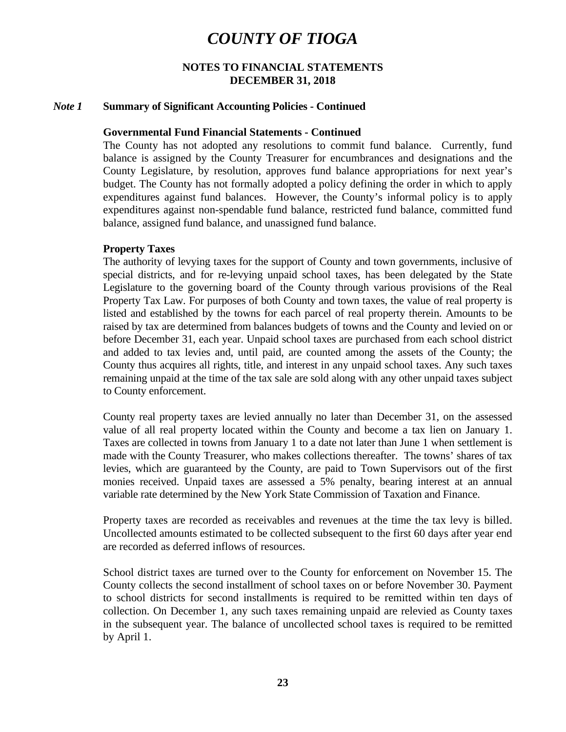## **NOTES TO FINANCIAL STATEMENTS DECEMBER 31, 2018**

## *Note 1* **Summary of Significant Accounting Policies - Continued**

#### **Governmental Fund Financial Statements - Continued**

The County has not adopted any resolutions to commit fund balance. Currently, fund balance is assigned by the County Treasurer for encumbrances and designations and the County Legislature, by resolution, approves fund balance appropriations for next year's budget. The County has not formally adopted a policy defining the order in which to apply expenditures against fund balances. However, the County's informal policy is to apply expenditures against non-spendable fund balance, restricted fund balance, committed fund balance, assigned fund balance, and unassigned fund balance.

## **Property Taxes**

The authority of levying taxes for the support of County and town governments, inclusive of special districts, and for re-levying unpaid school taxes, has been delegated by the State Legislature to the governing board of the County through various provisions of the Real Property Tax Law. For purposes of both County and town taxes, the value of real property is listed and established by the towns for each parcel of real property therein. Amounts to be raised by tax are determined from balances budgets of towns and the County and levied on or before December 31, each year. Unpaid school taxes are purchased from each school district and added to tax levies and, until paid, are counted among the assets of the County; the County thus acquires all rights, title, and interest in any unpaid school taxes. Any such taxes remaining unpaid at the time of the tax sale are sold along with any other unpaid taxes subject to County enforcement.

County real property taxes are levied annually no later than December 31, on the assessed value of all real property located within the County and become a tax lien on January 1. Taxes are collected in towns from January 1 to a date not later than June 1 when settlement is made with the County Treasurer, who makes collections thereafter. The towns' shares of tax levies, which are guaranteed by the County, are paid to Town Supervisors out of the first monies received. Unpaid taxes are assessed a 5% penalty, bearing interest at an annual variable rate determined by the New York State Commission of Taxation and Finance.

Property taxes are recorded as receivables and revenues at the time the tax levy is billed. Uncollected amounts estimated to be collected subsequent to the first 60 days after year end are recorded as deferred inflows of resources.

School district taxes are turned over to the County for enforcement on November 15. The County collects the second installment of school taxes on or before November 30. Payment to school districts for second installments is required to be remitted within ten days of collection. On December 1, any such taxes remaining unpaid are relevied as County taxes in the subsequent year. The balance of uncollected school taxes is required to be remitted by April 1.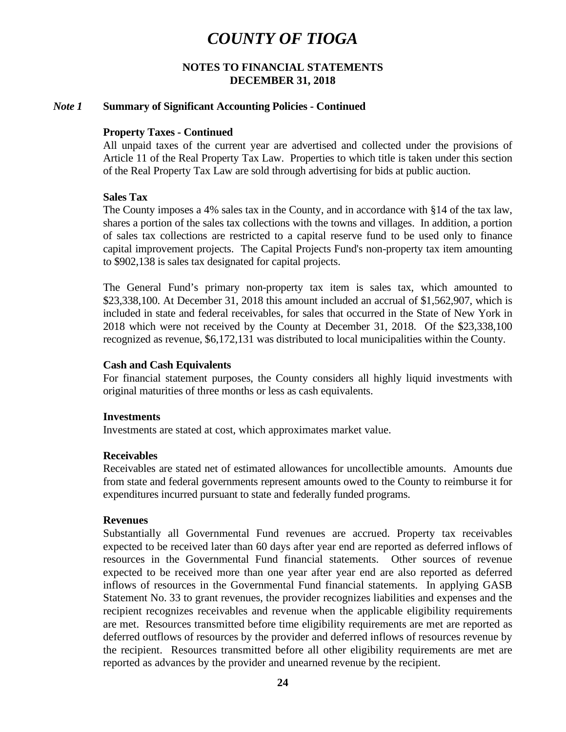## **NOTES TO FINANCIAL STATEMENTS DECEMBER 31, 2018**

## *Note 1* **Summary of Significant Accounting Policies - Continued**

#### **Property Taxes - Continued**

All unpaid taxes of the current year are advertised and collected under the provisions of Article 11 of the Real Property Tax Law. Properties to which title is taken under this section of the Real Property Tax Law are sold through advertising for bids at public auction.

## **Sales Tax**

The County imposes a 4% sales tax in the County, and in accordance with §14 of the tax law, shares a portion of the sales tax collections with the towns and villages. In addition, a portion of sales tax collections are restricted to a capital reserve fund to be used only to finance capital improvement projects. The Capital Projects Fund's non-property tax item amounting to \$902,138 is sales tax designated for capital projects.

The General Fund's primary non-property tax item is sales tax, which amounted to \$23,338,100. At December 31, 2018 this amount included an accrual of \$1,562,907, which is included in state and federal receivables, for sales that occurred in the State of New York in 2018 which were not received by the County at December 31, 2018. Of the \$23,338,100 recognized as revenue, \$6,172,131 was distributed to local municipalities within the County.

### **Cash and Cash Equivalents**

For financial statement purposes, the County considers all highly liquid investments with original maturities of three months or less as cash equivalents.

#### **Investments**

Investments are stated at cost, which approximates market value.

#### **Receivables**

Receivables are stated net of estimated allowances for uncollectible amounts. Amounts due from state and federal governments represent amounts owed to the County to reimburse it for expenditures incurred pursuant to state and federally funded programs.

#### **Revenues**

Substantially all Governmental Fund revenues are accrued. Property tax receivables expected to be received later than 60 days after year end are reported as deferred inflows of resources in the Governmental Fund financial statements. Other sources of revenue expected to be received more than one year after year end are also reported as deferred inflows of resources in the Governmental Fund financial statements. In applying GASB Statement No. 33 to grant revenues, the provider recognizes liabilities and expenses and the recipient recognizes receivables and revenue when the applicable eligibility requirements are met. Resources transmitted before time eligibility requirements are met are reported as deferred outflows of resources by the provider and deferred inflows of resources revenue by the recipient. Resources transmitted before all other eligibility requirements are met are reported as advances by the provider and unearned revenue by the recipient.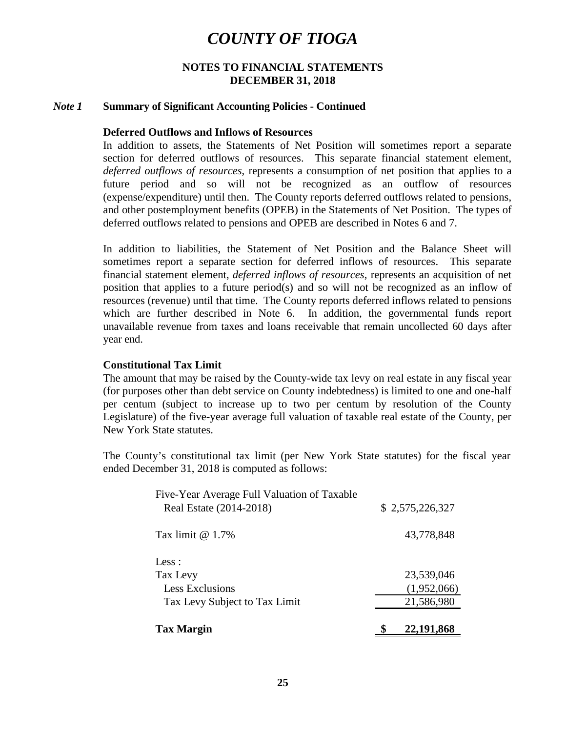## **NOTES TO FINANCIAL STATEMENTS DECEMBER 31, 2018**

## *Note 1* **Summary of Significant Accounting Policies - Continued**

## **Deferred Outflows and Inflows of Resources**

In addition to assets, the Statements of Net Position will sometimes report a separate section for deferred outflows of resources. This separate financial statement element, *deferred outflows of resources*, represents a consumption of net position that applies to a future period and so will not be recognized as an outflow of resources (expense/expenditure) until then. The County reports deferred outflows related to pensions, and other postemployment benefits (OPEB) in the Statements of Net Position. The types of deferred outflows related to pensions and OPEB are described in Notes 6 and 7.

In addition to liabilities, the Statement of Net Position and the Balance Sheet will sometimes report a separate section for deferred inflows of resources. This separate financial statement element, *deferred inflows of resources*, represents an acquisition of net position that applies to a future period(s) and so will not be recognized as an inflow of resources (revenue) until that time. The County reports deferred inflows related to pensions which are further described in Note 6. In addition, the governmental funds report unavailable revenue from taxes and loans receivable that remain uncollected 60 days after year end.

#### **Constitutional Tax Limit**

The amount that may be raised by the County-wide tax levy on real estate in any fiscal year (for purposes other than debt service on County indebtedness) is limited to one and one-half per centum (subject to increase up to two per centum by resolution of the County Legislature) of the five-year average full valuation of taxable real estate of the County, per New York State statutes.

The County's constitutional tax limit (per New York State statutes) for the fiscal year ended December 31, 2018 is computed as follows:

| Tax Levy Subject to Tax Limit                                          | 21,586,980      |
|------------------------------------------------------------------------|-----------------|
| <b>Less Exclusions</b>                                                 | (1,952,066)     |
| Tax Levy                                                               | 23,539,046      |
| Less :                                                                 |                 |
| Tax limit $@1.7\%$                                                     | 43,778,848      |
| Five-Year Average Full Valuation of Taxable<br>Real Estate (2014-2018) | \$2,575,226,327 |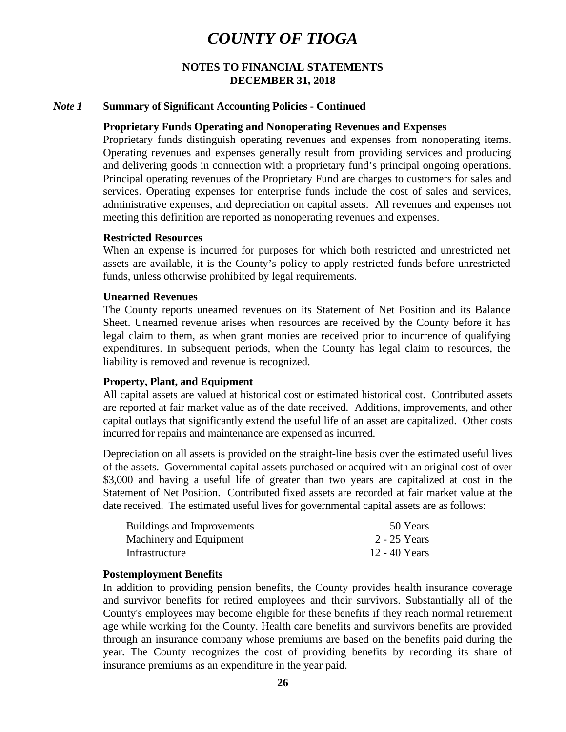## **NOTES TO FINANCIAL STATEMENTS DECEMBER 31, 2018**

## *Note 1* **Summary of Significant Accounting Policies - Continued**

#### **Proprietary Funds Operating and Nonoperating Revenues and Expenses**

Proprietary funds distinguish operating revenues and expenses from nonoperating items. Operating revenues and expenses generally result from providing services and producing and delivering goods in connection with a proprietary fund's principal ongoing operations. Principal operating revenues of the Proprietary Fund are charges to customers for sales and services. Operating expenses for enterprise funds include the cost of sales and services, administrative expenses, and depreciation on capital assets. All revenues and expenses not meeting this definition are reported as nonoperating revenues and expenses.

#### **Restricted Resources**

When an expense is incurred for purposes for which both restricted and unrestricted net assets are available, it is the County's policy to apply restricted funds before unrestricted funds, unless otherwise prohibited by legal requirements.

#### **Unearned Revenues**

The County reports unearned revenues on its Statement of Net Position and its Balance Sheet. Unearned revenue arises when resources are received by the County before it has legal claim to them, as when grant monies are received prior to incurrence of qualifying expenditures. In subsequent periods, when the County has legal claim to resources, the liability is removed and revenue is recognized.

#### **Property, Plant, and Equipment**

All capital assets are valued at historical cost or estimated historical cost. Contributed assets are reported at fair market value as of the date received. Additions, improvements, and other capital outlays that significantly extend the useful life of an asset are capitalized. Other costs incurred for repairs and maintenance are expensed as incurred.

Depreciation on all assets is provided on the straight-line basis over the estimated useful lives of the assets. Governmental capital assets purchased or acquired with an original cost of over \$3,000 and having a useful life of greater than two years are capitalized at cost in the Statement of Net Position. Contributed fixed assets are recorded at fair market value at the date received. The estimated useful lives for governmental capital assets are as follows:

| Buildings and Improvements | 50 Years      |
|----------------------------|---------------|
| Machinery and Equipment    | 2 - 25 Years  |
| Infrastructure             | 12 - 40 Years |

#### **Postemployment Benefits**

In addition to providing pension benefits, the County provides health insurance coverage and survivor benefits for retired employees and their survivors. Substantially all of the County's employees may become eligible for these benefits if they reach normal retirement age while working for the County. Health care benefits and survivors benefits are provided through an insurance company whose premiums are based on the benefits paid during the year. The County recognizes the cost of providing benefits by recording its share of insurance premiums as an expenditure in the year paid.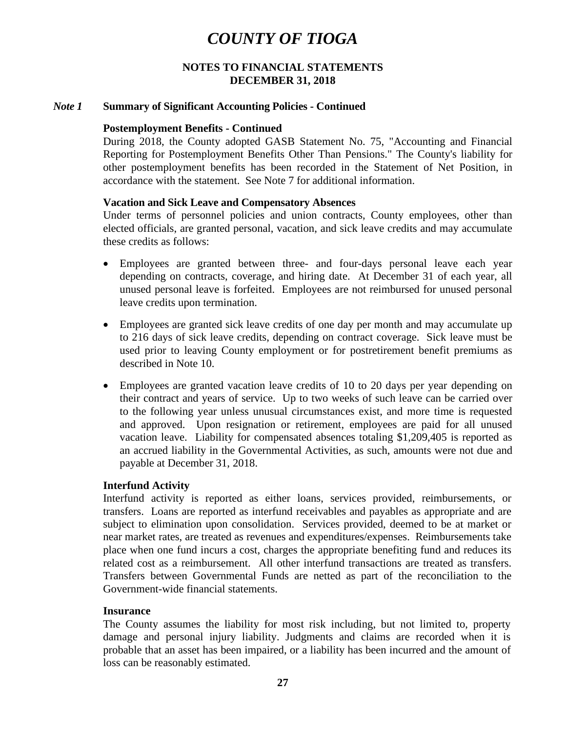## **NOTES TO FINANCIAL STATEMENTS DECEMBER 31, 2018**

## *Note 1* **Summary of Significant Accounting Policies - Continued**

### **Postemployment Benefits - Continued**

During 2018, the County adopted GASB Statement No. 75, "Accounting and Financial Reporting for Postemployment Benefits Other Than Pensions." The County's liability for other postemployment benefits has been recorded in the Statement of Net Position, in accordance with the statement. See Note 7 for additional information.

## **Vacation and Sick Leave and Compensatory Absences**

Under terms of personnel policies and union contracts, County employees, other than elected officials, are granted personal, vacation, and sick leave credits and may accumulate these credits as follows:

- Employees are granted between three- and four-days personal leave each year depending on contracts, coverage, and hiring date. At December 31 of each year, all unused personal leave is forfeited. Employees are not reimbursed for unused personal leave credits upon termination.
- Employees are granted sick leave credits of one day per month and may accumulate up to 216 days of sick leave credits, depending on contract coverage. Sick leave must be used prior to leaving County employment or for postretirement benefit premiums as described in Note 10.
- Employees are granted vacation leave credits of 10 to 20 days per year depending on their contract and years of service. Up to two weeks of such leave can be carried over to the following year unless unusual circumstances exist, and more time is requested and approved. Upon resignation or retirement, employees are paid for all unused vacation leave. Liability for compensated absences totaling \$1,209,405 is reported as an accrued liability in the Governmental Activities, as such, amounts were not due and payable at December 31, 2018.

## **Interfund Activity**

Interfund activity is reported as either loans, services provided, reimbursements, or transfers. Loans are reported as interfund receivables and payables as appropriate and are subject to elimination upon consolidation. Services provided, deemed to be at market or near market rates, are treated as revenues and expenditures/expenses. Reimbursements take place when one fund incurs a cost, charges the appropriate benefiting fund and reduces its related cost as a reimbursement. All other interfund transactions are treated as transfers. Transfers between Governmental Funds are netted as part of the reconciliation to the Government-wide financial statements.

#### **Insurance**

The County assumes the liability for most risk including, but not limited to, property damage and personal injury liability. Judgments and claims are recorded when it is probable that an asset has been impaired, or a liability has been incurred and the amount of loss can be reasonably estimated.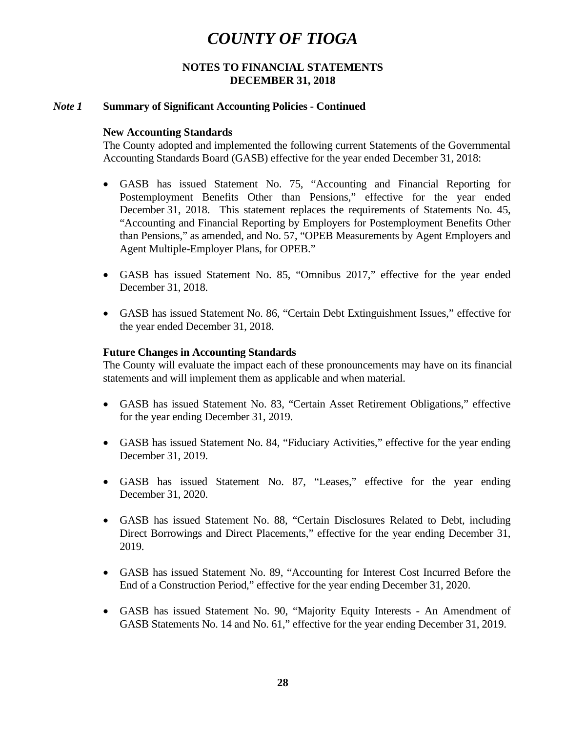## **NOTES TO FINANCIAL STATEMENTS DECEMBER 31, 2018**

## *Note 1* **Summary of Significant Accounting Policies - Continued**

### **New Accounting Standards**

The County adopted and implemented the following current Statements of the Governmental Accounting Standards Board (GASB) effective for the year ended December 31, 2018:

- GASB has issued Statement No. 75, "Accounting and Financial Reporting for Postemployment Benefits Other than Pensions," effective for the year ended December 31, 2018. This statement replaces the requirements of Statements No. 45, "Accounting and Financial Reporting by Employers for Postemployment Benefits Other than Pensions," as amended, and No. 57, "OPEB Measurements by Agent Employers and Agent Multiple-Employer Plans, for OPEB."
- GASB has issued Statement No. 85, "Omnibus 2017," effective for the year ended December 31, 2018.
- GASB has issued Statement No. 86, "Certain Debt Extinguishment Issues," effective for the year ended December 31, 2018.

## **Future Changes in Accounting Standards**

The County will evaluate the impact each of these pronouncements may have on its financial statements and will implement them as applicable and when material.

- GASB has issued Statement No. 83, "Certain Asset Retirement Obligations," effective for the year ending December 31, 2019.
- GASB has issued Statement No. 84, "Fiduciary Activities," effective for the year ending December 31, 2019.
- GASB has issued Statement No. 87, "Leases," effective for the year ending December 31, 2020.
- GASB has issued Statement No. 88, "Certain Disclosures Related to Debt, including Direct Borrowings and Direct Placements," effective for the year ending December 31, 2019.
- GASB has issued Statement No. 89, "Accounting for Interest Cost Incurred Before the End of a Construction Period," effective for the year ending December 31, 2020.
- GASB has issued Statement No. 90, "Majority Equity Interests An Amendment of GASB Statements No. 14 and No. 61," effective for the year ending December 31, 2019.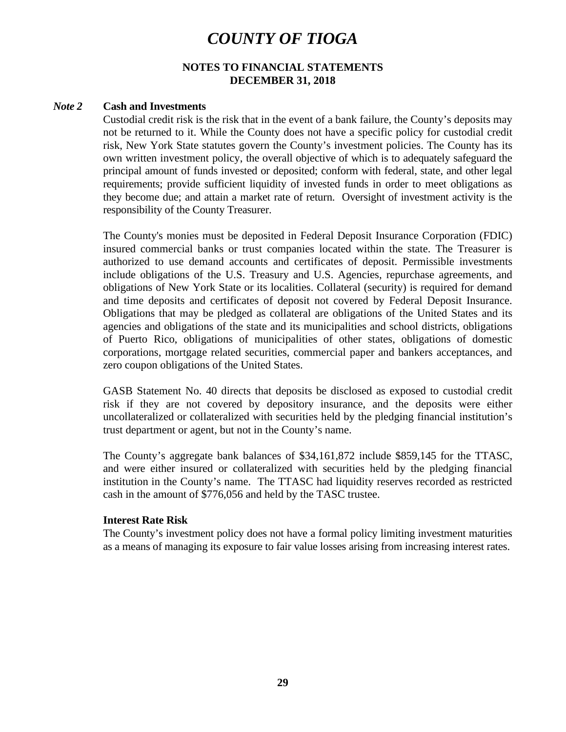## **NOTES TO FINANCIAL STATEMENTS DECEMBER 31, 2018**

## *Note 2* **Cash and Investments**

Custodial credit risk is the risk that in the event of a bank failure, the County's deposits may not be returned to it. While the County does not have a specific policy for custodial credit risk, New York State statutes govern the County's investment policies. The County has its own written investment policy, the overall objective of which is to adequately safeguard the principal amount of funds invested or deposited; conform with federal, state, and other legal requirements; provide sufficient liquidity of invested funds in order to meet obligations as they become due; and attain a market rate of return. Oversight of investment activity is the responsibility of the County Treasurer.

The County's monies must be deposited in Federal Deposit Insurance Corporation (FDIC) insured commercial banks or trust companies located within the state. The Treasurer is authorized to use demand accounts and certificates of deposit. Permissible investments include obligations of the U.S. Treasury and U.S. Agencies, repurchase agreements, and obligations of New York State or its localities. Collateral (security) is required for demand and time deposits and certificates of deposit not covered by Federal Deposit Insurance. Obligations that may be pledged as collateral are obligations of the United States and its agencies and obligations of the state and its municipalities and school districts, obligations of Puerto Rico, obligations of municipalities of other states, obligations of domestic corporations, mortgage related securities, commercial paper and bankers acceptances, and zero coupon obligations of the United States.

GASB Statement No. 40 directs that deposits be disclosed as exposed to custodial credit risk if they are not covered by depository insurance, and the deposits were either uncollateralized or collateralized with securities held by the pledging financial institution's trust department or agent, but not in the County's name.

The County's aggregate bank balances of \$34,161,872 include \$859,145 for the TTASC, and were either insured or collateralized with securities held by the pledging financial institution in the County's name. The TTASC had liquidity reserves recorded as restricted cash in the amount of \$776,056 and held by the TASC trustee.

#### **Interest Rate Risk**

The County's investment policy does not have a formal policy limiting investment maturities as a means of managing its exposure to fair value losses arising from increasing interest rates.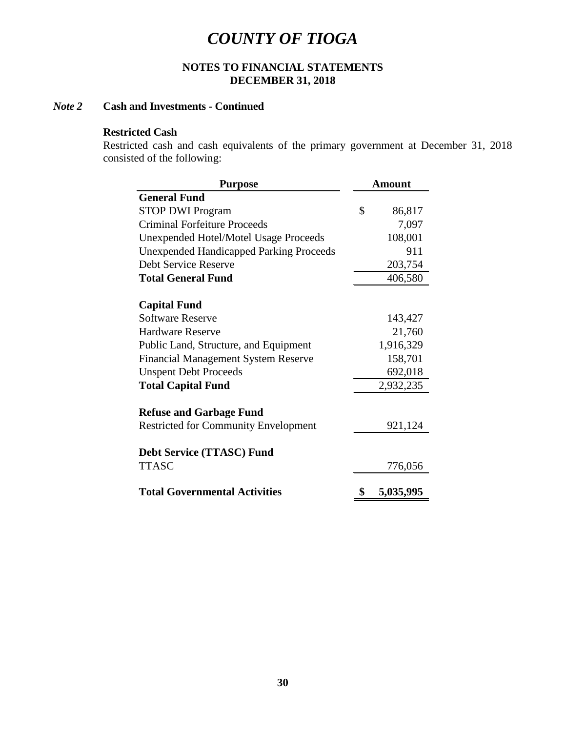## **NOTES TO FINANCIAL STATEMENTS DECEMBER 31, 2018**

## *Note 2* **Cash and Investments - Continued**

#### **Restricted Cash**

Restricted cash and cash equivalents of the primary government at December 31, 2018 consisted of the following:

| <b>Purpose</b>                                 | <b>Amount</b> |           |  |  |
|------------------------------------------------|---------------|-----------|--|--|
| <b>General Fund</b>                            |               |           |  |  |
| <b>STOP DWI Program</b>                        | \$            | 86,817    |  |  |
| <b>Criminal Forfeiture Proceeds</b>            |               | 7,097     |  |  |
| <b>Unexpended Hotel/Motel Usage Proceeds</b>   |               | 108,001   |  |  |
| <b>Unexpended Handicapped Parking Proceeds</b> |               | 911       |  |  |
| Debt Service Reserve                           |               | 203,754   |  |  |
| <b>Total General Fund</b>                      |               | 406,580   |  |  |
| <b>Capital Fund</b>                            |               |           |  |  |
| <b>Software Reserve</b>                        |               | 143,427   |  |  |
| <b>Hardware Reserve</b>                        |               | 21,760    |  |  |
| Public Land, Structure, and Equipment          |               | 1,916,329 |  |  |
| <b>Financial Management System Reserve</b>     |               | 158,701   |  |  |
| <b>Unspent Debt Proceeds</b>                   |               | 692,018   |  |  |
| <b>Total Capital Fund</b>                      |               | 2,932,235 |  |  |
| <b>Refuse and Garbage Fund</b>                 |               |           |  |  |
| <b>Restricted for Community Envelopment</b>    |               | 921,124   |  |  |
| <b>Debt Service (TTASC) Fund</b>               |               |           |  |  |
| <b>TTASC</b>                                   |               | 776,056   |  |  |
| <b>Total Governmental Activities</b>           | \$            | 5,035,995 |  |  |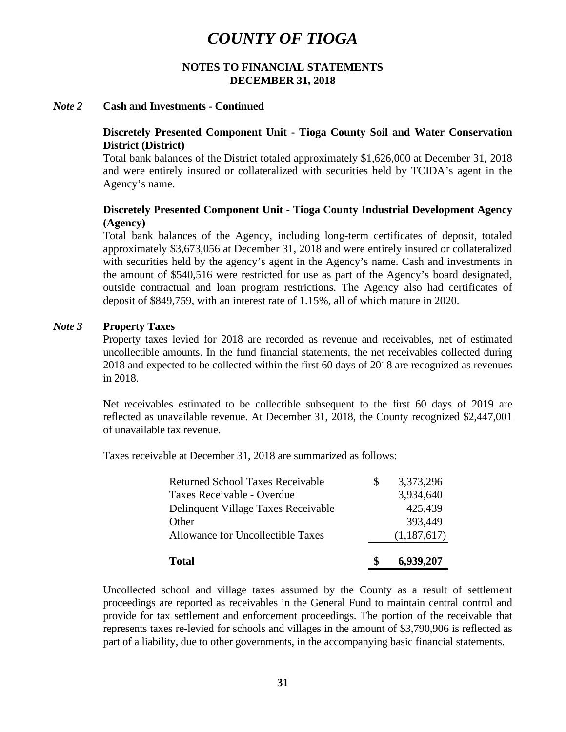## **NOTES TO FINANCIAL STATEMENTS DECEMBER 31, 2018**

## *Note 2* **Cash and Investments - Continued**

## **Discretely Presented Component Unit - Tioga County Soil and Water Conservation District (District)**

Total bank balances of the District totaled approximately \$1,626,000 at December 31, 2018 and were entirely insured or collateralized with securities held by TCIDA's agent in the Agency's name.

## **Discretely Presented Component Unit - Tioga County Industrial Development Agency (Agency)**

Total bank balances of the Agency, including long-term certificates of deposit, totaled approximately \$3,673,056 at December 31, 2018 and were entirely insured or collateralized with securities held by the agency's agent in the Agency's name. Cash and investments in the amount of \$540,516 were restricted for use as part of the Agency's board designated, outside contractual and loan program restrictions. The Agency also had certificates of deposit of \$849,759, with an interest rate of 1.15%, all of which mature in 2020.

#### *Note 3* **Property Taxes**

Property taxes levied for 2018 are recorded as revenue and receivables, net of estimated uncollectible amounts. In the fund financial statements, the net receivables collected during 2018 and expected to be collected within the first 60 days of 2018 are recognized as revenues in 2018.

Net receivables estimated to be collectible subsequent to the first 60 days of 2019 are reflected as unavailable revenue. At December 31, 2018, the County recognized \$2,447,001 of unavailable tax revenue.

Taxes receivable at December 31, 2018 are summarized as follows:

| Total                                   | 6,939,207   |
|-----------------------------------------|-------------|
| Allowance for Uncollectible Taxes       | (1,187,617) |
| Other                                   | 393,449     |
| Delinquent Village Taxes Receivable     | 425,439     |
| Taxes Receivable - Overdue              | 3,934,640   |
| <b>Returned School Taxes Receivable</b> | 3,373,296   |

Uncollected school and village taxes assumed by the County as a result of settlement proceedings are reported as receivables in the General Fund to maintain central control and provide for tax settlement and enforcement proceedings. The portion of the receivable that represents taxes re-levied for schools and villages in the amount of \$3,790,906 is reflected as part of a liability, due to other governments, in the accompanying basic financial statements.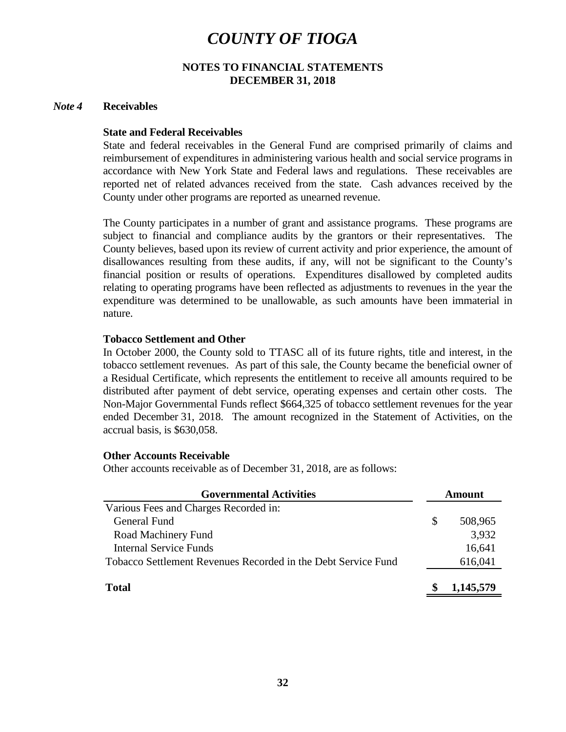## **NOTES TO FINANCIAL STATEMENTS DECEMBER 31, 2018**

## *Note 4* **Receivables**

#### **State and Federal Receivables**

State and federal receivables in the General Fund are comprised primarily of claims and reimbursement of expenditures in administering various health and social service programs in accordance with New York State and Federal laws and regulations. These receivables are reported net of related advances received from the state. Cash advances received by the County under other programs are reported as unearned revenue.

The County participates in a number of grant and assistance programs. These programs are subject to financial and compliance audits by the grantors or their representatives. The County believes, based upon its review of current activity and prior experience, the amount of disallowances resulting from these audits, if any, will not be significant to the County's financial position or results of operations. Expenditures disallowed by completed audits relating to operating programs have been reflected as adjustments to revenues in the year the expenditure was determined to be unallowable, as such amounts have been immaterial in nature.

#### **Tobacco Settlement and Other**

In October 2000, the County sold to TTASC all of its future rights, title and interest, in the tobacco settlement revenues. As part of this sale, the County became the beneficial owner of a Residual Certificate, which represents the entitlement to receive all amounts required to be distributed after payment of debt service, operating expenses and certain other costs. The Non-Major Governmental Funds reflect \$664,325 of tobacco settlement revenues for the year ended December 31, 2018. The amount recognized in the Statement of Activities, on the accrual basis, is \$630,058.

#### **Other Accounts Receivable**

Other accounts receivable as of December 31, 2018, are as follows:

| <b>Governmental Activities</b>                                |    | Amount    |  |  |
|---------------------------------------------------------------|----|-----------|--|--|
| Various Fees and Charges Recorded in:                         |    |           |  |  |
| General Fund                                                  | \$ | 508,965   |  |  |
| Road Machinery Fund                                           |    | 3,932     |  |  |
| <b>Internal Service Funds</b>                                 |    | 16,641    |  |  |
| Tobacco Settlement Revenues Recorded in the Debt Service Fund |    | 616,041   |  |  |
| Total                                                         |    | 1,145,579 |  |  |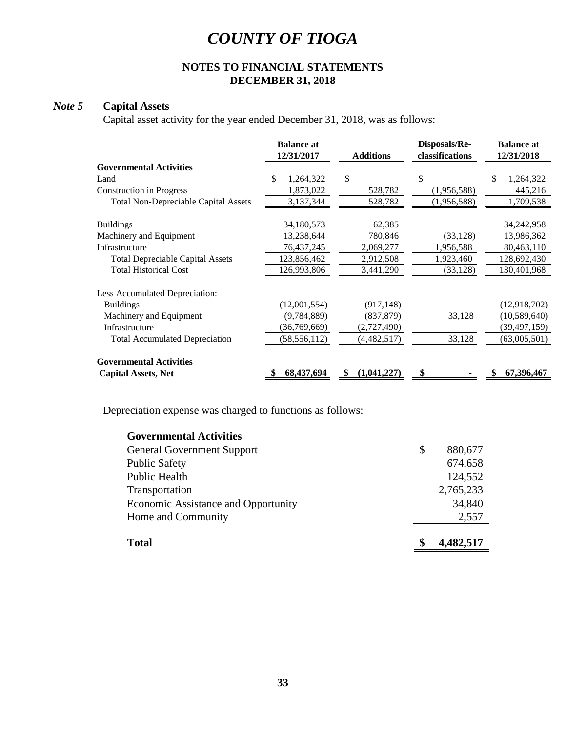## **NOTES TO FINANCIAL STATEMENTS DECEMBER 31, 2018**

## *Note 5* **Capital Assets**

Capital asset activity for the year ended December 31, 2018, was as follows:

|                                             | <b>Balance</b> at<br>12/31/2017 | <b>Additions</b>  | Disposals/Re-<br>classifications | <b>Balance at</b><br>12/31/2018 |
|---------------------------------------------|---------------------------------|-------------------|----------------------------------|---------------------------------|
| <b>Governmental Activities</b>              |                                 |                   |                                  |                                 |
| Land                                        | \$<br>1,264,322                 | \$                | \$                               | 1,264,322                       |
| <b>Construction in Progress</b>             | 1,873,022                       | 528,782           | (1,956,588)                      | 445,216                         |
| <b>Total Non-Depreciable Capital Assets</b> | 3,137,344                       | 528,782           | (1,956,588)                      | 1,709,538                       |
| <b>Buildings</b>                            | 34,180,573                      | 62,385            |                                  | 34,242,958                      |
| Machinery and Equipment                     | 13,238,644                      | 780,846           | (33, 128)                        | 13,986,362                      |
| Infrastructure                              | 76,437,245                      | 2,069,277         | 1,956,588                        | 80,463,110                      |
| <b>Total Depreciable Capital Assets</b>     | 123,856,462                     | 2,912,508         | 1,923,460                        | 128,692,430                     |
| <b>Total Historical Cost</b>                | 126,993,806                     | 3,441,290         | (33, 128)                        | 130,401,968                     |
| Less Accumulated Depreciation:              |                                 |                   |                                  |                                 |
| <b>Buildings</b>                            | (12,001,554)                    | (917, 148)        |                                  | (12,918,702)                    |
| Machinery and Equipment                     | (9,784,889)                     | (837, 879)        | 33,128                           | (10,589,640)                    |
| Infrastructure                              | (36, 769, 669)                  | (2,727,490)       |                                  | (39, 497, 159)                  |
| <b>Total Accumulated Depreciation</b>       | (58, 556, 112)                  | (4, 482, 517)     | 33,128                           | (63,005,501)                    |
| <b>Governmental Activities</b>              |                                 |                   |                                  |                                 |
| <b>Capital Assets, Net</b>                  | 68,437,694                      | (1,041,227)<br>\$ | \$                               | 67,396,467                      |

Depreciation expense was charged to functions as follows:

| <b>Governmental Activities</b>             |               |
|--------------------------------------------|---------------|
| <b>General Government Support</b>          | \$<br>880,677 |
| <b>Public Safety</b>                       | 674,658       |
| <b>Public Health</b>                       | 124,552       |
| Transportation                             | 2,765,233     |
| <b>Economic Assistance and Opportunity</b> | 34,840        |
| Home and Community                         | 2,557         |
|                                            |               |
| <b>Total</b>                               | 4,482,517     |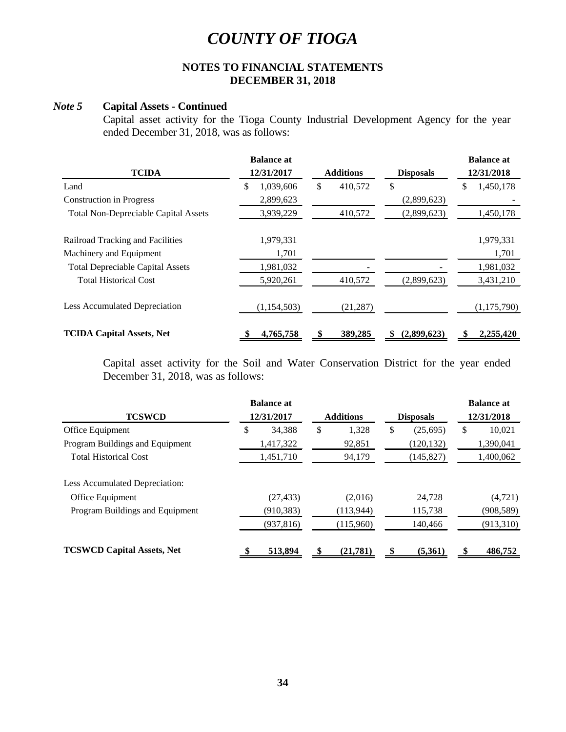## **NOTES TO FINANCIAL STATEMENTS DECEMBER 31, 2018**

## *Note 5* **Capital Assets - Continued**

Capital asset activity for the Tioga County Industrial Development Agency for the year ended December 31, 2018, was as follows:

|                                             | <b>Balance at</b> |                  |                  | <b>Balance at</b> |  |
|---------------------------------------------|-------------------|------------------|------------------|-------------------|--|
| <b>TCIDA</b>                                | 12/31/2017        | <b>Additions</b> | <b>Disposals</b> | 12/31/2018        |  |
| Land                                        | \$<br>1,039,606   | \$<br>410,572    | \$               | \$<br>1,450,178   |  |
| <b>Construction in Progress</b>             | 2,899,623         |                  | (2,899,623)      |                   |  |
| <b>Total Non-Depreciable Capital Assets</b> | 3,939,229         | 410,572          | (2,899,623)      | 1,450,178         |  |
| Railroad Tracking and Facilities            | 1,979,331         |                  |                  | 1,979,331         |  |
| Machinery and Equipment                     | 1,701             |                  |                  | 1,701             |  |
| <b>Total Depreciable Capital Assets</b>     | 1,981,032         |                  |                  | 1,981,032         |  |
| <b>Total Historical Cost</b>                | 5,920,261         | 410,572          | (2,899,623)      | 3,431,210         |  |
| Less Accumulated Depreciation               | (1,154,503)       | (21, 287)        |                  | (1,175,790)       |  |
| <b>TCIDA Capital Assets, Net</b>            | 4,765,758         | \$<br>389,285    | (2,899,623)      | 2,255,420         |  |

Capital asset activity for the Soil and Water Conservation District for the year ended December 31, 2018, was as follows:

|                                   | <b>Balance at</b> |                                      |                | <b>Balance at</b> |
|-----------------------------------|-------------------|--------------------------------------|----------------|-------------------|
| <b>TCSWCD</b>                     | 12/31/2017        | <b>Additions</b><br><b>Disposals</b> |                | 12/31/2018        |
| Office Equipment                  | 34,388<br>\$      | \$<br>1.328                          | \$<br>(25,695) | \$<br>10,021      |
| Program Buildings and Equipment   | 1,417,322         | 92,851                               | (120, 132)     | 1,390,041         |
| <b>Total Historical Cost</b>      | 1,451,710         | 94,179                               | (145, 827)     | 1,400,062         |
| Less Accumulated Depreciation:    |                   |                                      |                |                   |
| Office Equipment                  | (27, 433)         | (2,016)                              | 24,728         | (4,721)           |
| Program Buildings and Equipment   | (910, 383)        | (113, 944)                           | 115,738        | (908, 589)        |
|                                   | (937, 816)        | (115,960)                            | 140,466        | (913,310)         |
| <b>TCSWCD Capital Assets, Net</b> | 513,894           | (21,781)                             | (5,361)        | 486,752           |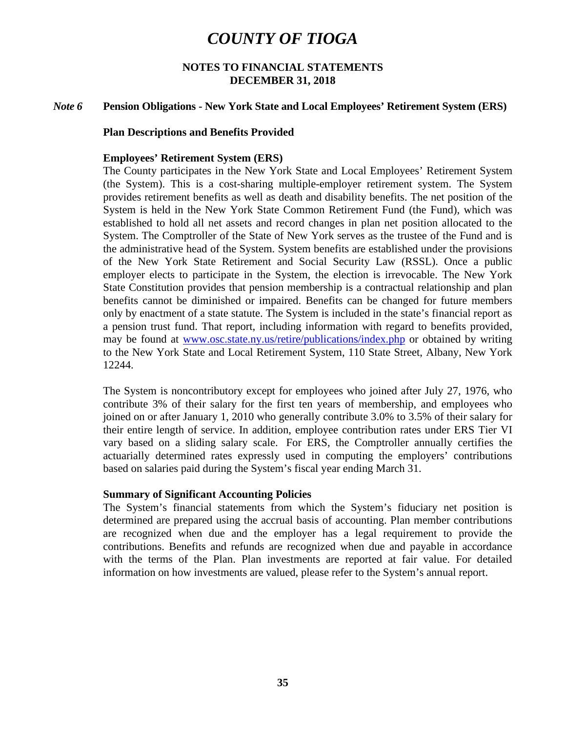## **NOTES TO FINANCIAL STATEMENTS DECEMBER 31, 2018**

## *Note 6* **Pension Obligations - New York State and Local Employees' Retirement System (ERS)**

### **Plan Descriptions and Benefits Provided**

#### **Employees' Retirement System (ERS)**

The County participates in the New York State and Local Employees' Retirement System (the System). This is a cost-sharing multiple-employer retirement system. The System provides retirement benefits as well as death and disability benefits. The net position of the System is held in the New York State Common Retirement Fund (the Fund), which was established to hold all net assets and record changes in plan net position allocated to the System. The Comptroller of the State of New York serves as the trustee of the Fund and is the administrative head of the System. System benefits are established under the provisions of the New York State Retirement and Social Security Law (RSSL). Once a public employer elects to participate in the System, the election is irrevocable. The New York State Constitution provides that pension membership is a contractual relationship and plan benefits cannot be diminished or impaired. Benefits can be changed for future members only by enactment of a state statute. The System is included in the state's financial report as a pension trust fund. That report, including information with regard to benefits provided, may be found at [www.osc.state.ny.us/retire/publications/index.php](http://www.osc.state.ny.us/retire/publications/index.php) or obtained by writing to the New York State and Local Retirement System, 110 State Street, Albany, New York 12244.

The System is noncontributory except for employees who joined after July 27, 1976, who contribute 3% of their salary for the first ten years of membership, and employees who joined on or after January 1, 2010 who generally contribute 3.0% to 3.5% of their salary for their entire length of service. In addition, employee contribution rates under ERS Tier VI vary based on a sliding salary scale. For ERS, the Comptroller annually certifies the actuarially determined rates expressly used in computing the employers' contributions based on salaries paid during the System's fiscal year ending March 31.

#### **Summary of Significant Accounting Policies**

The System's financial statements from which the System's fiduciary net position is determined are prepared using the accrual basis of accounting. Plan member contributions are recognized when due and the employer has a legal requirement to provide the contributions. Benefits and refunds are recognized when due and payable in accordance with the terms of the Plan. Plan investments are reported at fair value. For detailed information on how investments are valued, please refer to the System's annual report.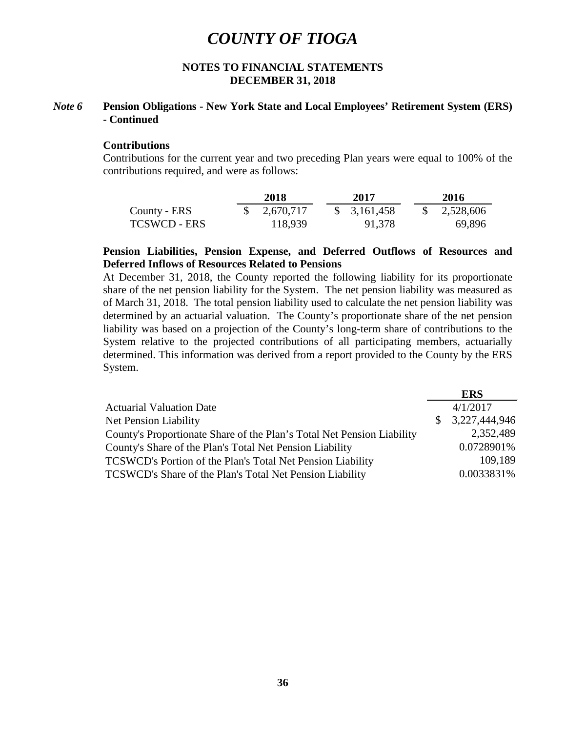## **NOTES TO FINANCIAL STATEMENTS DECEMBER 31, 2018**

## *Note 6* **Pension Obligations - New York State and Local Employees' Retirement System (ERS) - Continued**

#### **Contributions**

Contributions for the current year and two preceding Plan years were equal to 100% of the contributions required, and were as follows:

|                     | 2018                   |  | 2017        |  | 2016                  |
|---------------------|------------------------|--|-------------|--|-----------------------|
| County - ERS        | $\frac{\$}{2,670,717}$ |  | \$3,161,458 |  | $\frac{$}{2,528,606}$ |
| <b>TCSWCD - ERS</b> | 118,939                |  | 91,378      |  | 69,896                |

## **Pension Liabilities, Pension Expense, and Deferred Outflows of Resources and Deferred Inflows of Resources Related to Pensions**

At December 31, 2018, the County reported the following liability for its proportionate share of the net pension liability for the System. The net pension liability was measured as of March 31, 2018. The total pension liability used to calculate the net pension liability was determined by an actuarial valuation. The County's proportionate share of the net pension liability was based on a projection of the County's long-term share of contributions to the System relative to the projected contributions of all participating members, actuarially determined. This information was derived from a report provided to the County by the ERS System.

|                                                                        |    | <b>ERS</b>    |
|------------------------------------------------------------------------|----|---------------|
| <b>Actuarial Valuation Date</b>                                        |    | 4/1/2017      |
| Net Pension Liability                                                  | S. | 3,227,444,946 |
| County's Proportionate Share of the Plan's Total Net Pension Liability |    | 2,352,489     |
| County's Share of the Plan's Total Net Pension Liability               |    | 0.0728901%    |
| TCSWCD's Portion of the Plan's Total Net Pension Liability             |    | 109,189       |
| TCSWCD's Share of the Plan's Total Net Pension Liability               |    | 0.0033831%    |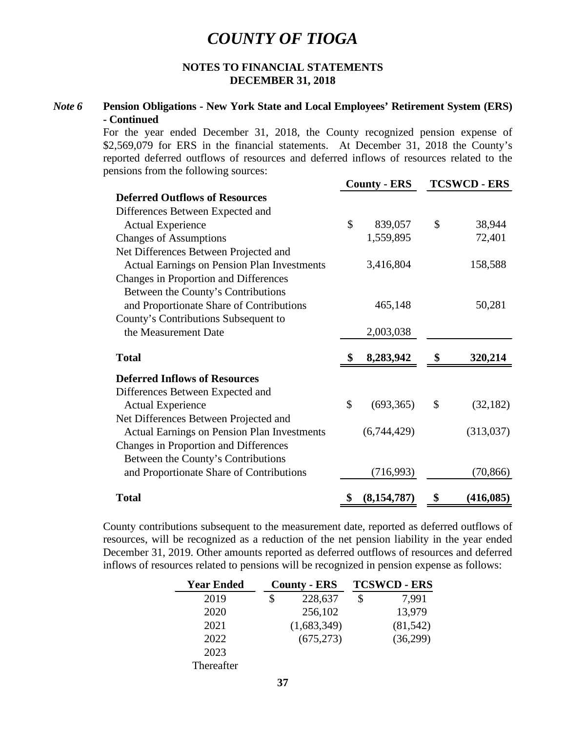## **NOTES TO FINANCIAL STATEMENTS DECEMBER 31, 2018**

## *Note 6* **Pension Obligations - New York State and Local Employees' Retirement System (ERS) - Continued**

For the year ended December 31, 2018, the County recognized pension expense of \$2,569,079 for ERS in the financial statements. At December 31, 2018 the County's reported deferred outflows of resources and deferred inflows of resources related to the pensions from the following sources:

|                                                    | <b>County - ERS</b> |               | <b>TCSWCD - ERS</b> |            |
|----------------------------------------------------|---------------------|---------------|---------------------|------------|
| <b>Deferred Outflows of Resources</b>              |                     |               |                     |            |
| Differences Between Expected and                   |                     |               |                     |            |
| <b>Actual Experience</b>                           | \$                  | 839,057       | \$                  | 38,944     |
| <b>Changes of Assumptions</b>                      |                     | 1,559,895     |                     | 72,401     |
| Net Differences Between Projected and              |                     |               |                     |            |
| <b>Actual Earnings on Pension Plan Investments</b> |                     | 3,416,804     |                     | 158,588    |
| Changes in Proportion and Differences              |                     |               |                     |            |
| Between the County's Contributions                 |                     |               |                     |            |
| and Proportionate Share of Contributions           |                     | 465,148       |                     | 50,281     |
| County's Contributions Subsequent to               |                     |               |                     |            |
| the Measurement Date                               |                     | 2,003,038     |                     |            |
| <b>Total</b>                                       |                     |               |                     |            |
|                                                    | \$                  | 8,283,942     | \$                  | 320,214    |
| <b>Deferred Inflows of Resources</b>               |                     |               |                     |            |
| Differences Between Expected and                   |                     |               |                     |            |
| <b>Actual Experience</b>                           | \$                  | (693, 365)    | \$                  | (32, 182)  |
| Net Differences Between Projected and              |                     |               |                     |            |
| <b>Actual Earnings on Pension Plan Investments</b> |                     | (6,744,429)   |                     | (313,037)  |
| Changes in Proportion and Differences              |                     |               |                     |            |
| Between the County's Contributions                 |                     |               |                     |            |
| and Proportionate Share of Contributions           |                     | (716,993)     |                     | (70, 866)  |
|                                                    |                     |               |                     |            |
| <b>Total</b>                                       |                     | (8, 154, 787) |                     | (416, 085) |

County contributions subsequent to the measurement date, reported as deferred outflows of resources, will be recognized as a reduction of the net pension liability in the year ended December 31, 2019. Other amounts reported as deferred outflows of resources and deferred inflows of resources related to pensions will be recognized in pension expense as follows:

| <b>Year Ended</b> | <b>County - ERS</b> | <b>TCSWCD - ERS</b> |
|-------------------|---------------------|---------------------|
| 2019              | \$<br>228,637       | \$<br>7,991         |
| 2020              | 256,102             | 13,979              |
| 2021              | (1,683,349)         | (81, 542)           |
| 2022              | (675, 273)          | (36,299)            |
| 2023              |                     |                     |
| Thereafter        |                     |                     |

**37**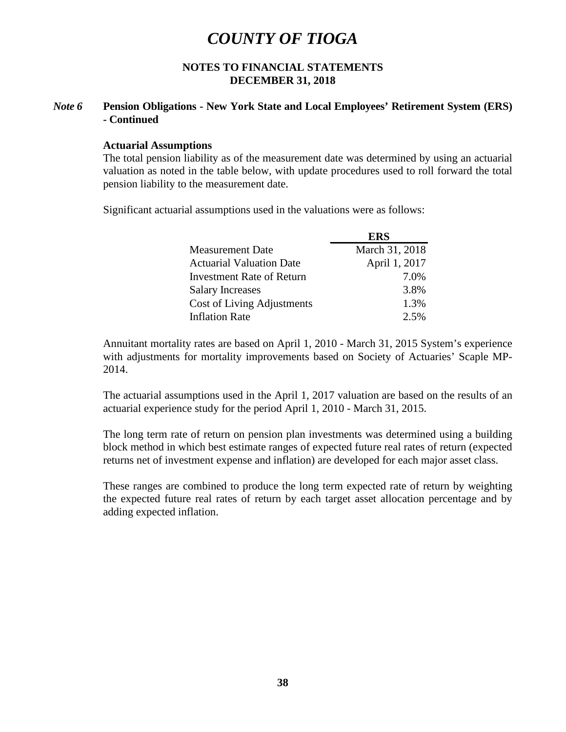## **NOTES TO FINANCIAL STATEMENTS DECEMBER 31, 2018**

## *Note 6* **Pension Obligations - New York State and Local Employees' Retirement System (ERS) - Continued**

#### **Actuarial Assumptions**

The total pension liability as of the measurement date was determined by using an actuarial valuation as noted in the table below, with update procedures used to roll forward the total pension liability to the measurement date.

Significant actuarial assumptions used in the valuations were as follows:

|                                  | <b>ERS</b>     |
|----------------------------------|----------------|
| <b>Measurement Date</b>          | March 31, 2018 |
| <b>Actuarial Valuation Date</b>  | April 1, 2017  |
| <b>Investment Rate of Return</b> | 7.0%           |
| <b>Salary Increases</b>          | 3.8%           |
| Cost of Living Adjustments       | 1.3%           |
| <b>Inflation Rate</b>            | 2.5%           |

Annuitant mortality rates are based on April 1, 2010 - March 31, 2015 System's experience with adjustments for mortality improvements based on Society of Actuaries' Scaple MP-2014.

The actuarial assumptions used in the April 1, 2017 valuation are based on the results of an actuarial experience study for the period April 1, 2010 - March 31, 2015.

The long term rate of return on pension plan investments was determined using a building block method in which best estimate ranges of expected future real rates of return (expected returns net of investment expense and inflation) are developed for each major asset class.

These ranges are combined to produce the long term expected rate of return by weighting the expected future real rates of return by each target asset allocation percentage and by adding expected inflation.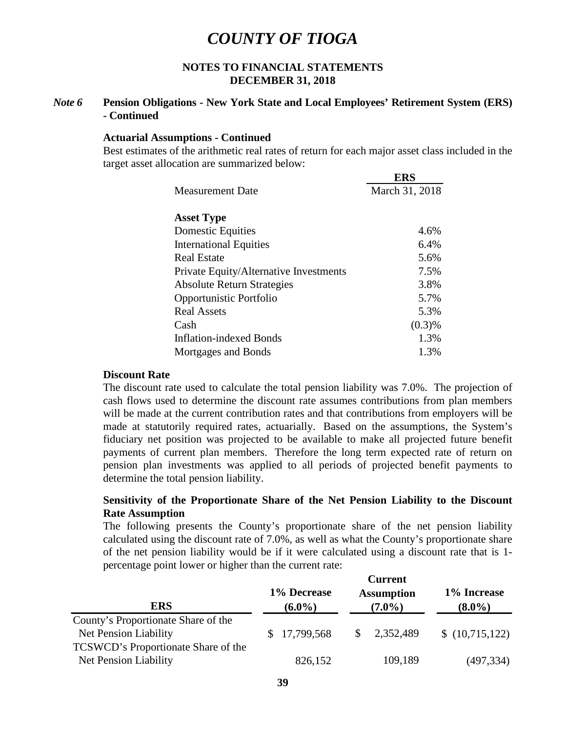### **NOTES TO FINANCIAL STATEMENTS DECEMBER 31, 2018**

## *Note 6* **Pension Obligations - New York State and Local Employees' Retirement System (ERS) - Continued**

### **Actuarial Assumptions - Continued**

Best estimates of the arithmetic real rates of return for each major asset class included in the target asset allocation are summarized below:

**ERS**

|                                        | LKƏ            |
|----------------------------------------|----------------|
| <b>Measurement Date</b>                | March 31, 2018 |
| <b>Asset Type</b>                      |                |
| <b>Domestic Equities</b>               | 4.6%           |
| <b>International Equities</b>          | 6.4%           |
| <b>Real Estate</b>                     | 5.6%           |
| Private Equity/Alternative Investments | 7.5%           |
| <b>Absolute Return Strategies</b>      | 3.8%           |
| Opportunistic Portfolio                | 5.7%           |
| <b>Real Assets</b>                     | 5.3%           |
| Cash                                   | (0.3)%         |
| <b>Inflation-indexed Bonds</b>         | 1.3%           |
| Mortgages and Bonds                    | 1.3%           |

#### **Discount Rate**

The discount rate used to calculate the total pension liability was 7.0%. The projection of cash flows used to determine the discount rate assumes contributions from plan members will be made at the current contribution rates and that contributions from employers will be made at statutorily required rates, actuarially. Based on the assumptions, the System's fiduciary net position was projected to be available to make all projected future benefit payments of current plan members. Therefore the long term expected rate of return on pension plan investments was applied to all periods of projected benefit payments to determine the total pension liability.

## **Sensitivity of the Proportionate Share of the Net Pension Liability to the Discount Rate Assumption**

The following presents the County's proportionate share of the net pension liability calculated using the discount rate of 7.0%, as well as what the County's proportionate share of the net pension liability would be if it were calculated using a discount rate that is 1 percentage point lower or higher than the current rate:

|                                                                                                     |                          | <b>Current</b>                 |                          |
|-----------------------------------------------------------------------------------------------------|--------------------------|--------------------------------|--------------------------|
| <b>ERS</b>                                                                                          | 1% Decrease<br>$(6.0\%)$ | <b>Assumption</b><br>$(7.0\%)$ | 1% Increase<br>$(8.0\%)$ |
| County's Proportionate Share of the<br>Net Pension Liability<br>TCSWCD's Proportionate Share of the | \$17,799,568             | 2,352,489                      | \$(10,715,122)           |
| Net Pension Liability                                                                               | 826,152                  | 109,189                        | (497, 334)               |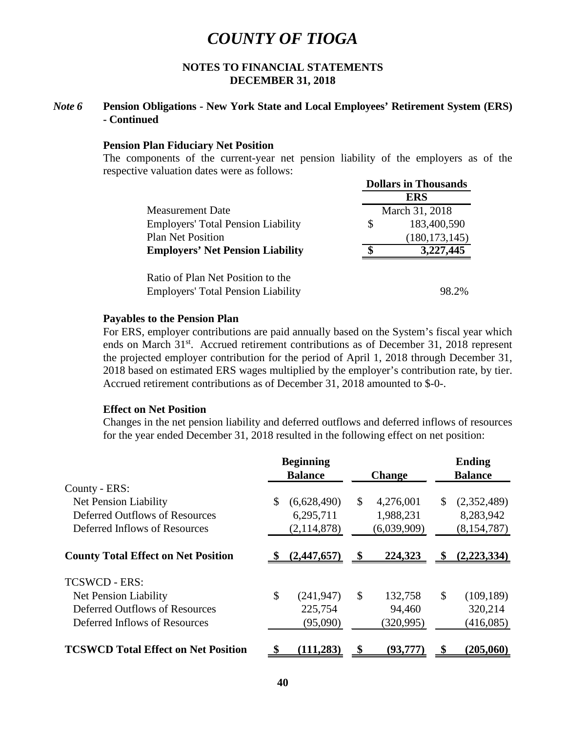## **NOTES TO FINANCIAL STATEMENTS DECEMBER 31, 2018**

## *Note 6* **Pension Obligations - New York State and Local Employees' Retirement System (ERS) - Continued**

#### **Pension Plan Fiduciary Net Position**

The components of the current-year net pension liability of the employers as of the respective valuation dates were as follows:

|                                           |    | <b>Dollars in Thousands</b> |
|-------------------------------------------|----|-----------------------------|
|                                           |    | ERS                         |
| Measurement Date                          |    | March 31, 2018              |
| <b>Employers' Total Pension Liability</b> | \$ | 183,400,590                 |
| <b>Plan Net Position</b>                  |    | (180, 173, 145)             |
| <b>Employers' Net Pension Liability</b>   | œ  | 3,227,445                   |
| Ratio of Plan Net Position to the         |    |                             |
| <b>Employers' Total Pension Liability</b> |    | 98.2%                       |

#### **Payables to the Pension Plan**

For ERS, employer contributions are paid annually based on the System's fiscal year which ends on March 31<sup>st</sup>. Accrued retirement contributions as of December 31, 2018 represent the projected employer contribution for the period of April 1, 2018 through December 31, 2018 based on estimated ERS wages multiplied by the employer's contribution rate, by tier. Accrued retirement contributions as of December 31, 2018 amounted to \$-0-.

#### **Effect on Net Position**

Changes in the net pension liability and deferred outflows and deferred inflows of resources for the year ended December 31, 2018 resulted in the following effect on net position:

|                                            |    | <b>Beginning</b><br><b>Balance</b> |              | <b>Change</b> | <b>Ending</b><br><b>Balance</b> |               |
|--------------------------------------------|----|------------------------------------|--------------|---------------|---------------------------------|---------------|
| County - ERS:                              |    |                                    |              |               |                                 |               |
| Net Pension Liability                      | \$ | (6,628,490)                        | $\mathbb{S}$ | 4,276,001     | \$                              | (2,352,489)   |
| Deferred Outflows of Resources             |    | 6,295,711                          |              | 1,988,231     |                                 | 8,283,942     |
| Deferred Inflows of Resources              |    | (2,114,878)                        |              | (6,039,909)   |                                 | (8, 154, 787) |
| <b>County Total Effect on Net Position</b> |    | (2,447,657)                        | \$           | 224,323       |                                 | (2,223,334)   |
| <b>TCSWCD - ERS:</b>                       |    |                                    |              |               |                                 |               |
| <b>Net Pension Liability</b>               | \$ | (241, 947)                         | \$           | 132,758       | \$                              | (109, 189)    |
| Deferred Outflows of Resources             |    | 225,754                            |              | 94,460        |                                 | 320,214       |
| Deferred Inflows of Resources              |    | (95,090)                           |              | (320, 995)    |                                 | (416,085)     |
| <b>TCSWCD Total Effect on Net Position</b> |    | (111, 283)                         |              | (93,777)      |                                 | (205,060)     |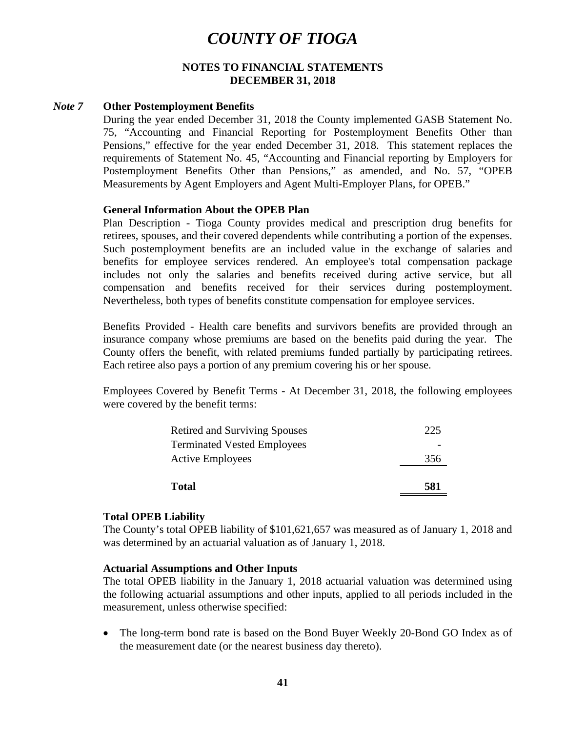## **NOTES TO FINANCIAL STATEMENTS DECEMBER 31, 2018**

## *Note 7* **Other Postemployment Benefits**

During the year ended December 31, 2018 the County implemented GASB Statement No. 75, "Accounting and Financial Reporting for Postemployment Benefits Other than Pensions," effective for the year ended December 31, 2018. This statement replaces the requirements of Statement No. 45, "Accounting and Financial reporting by Employers for Postemployment Benefits Other than Pensions," as amended, and No. 57, "OPEB Measurements by Agent Employers and Agent Multi-Employer Plans, for OPEB."

## **General Information About the OPEB Plan**

Plan Description - Tioga County provides medical and prescription drug benefits for retirees, spouses, and their covered dependents while contributing a portion of the expenses. Such postemployment benefits are an included value in the exchange of salaries and benefits for employee services rendered. An employee's total compensation package includes not only the salaries and benefits received during active service, but all compensation and benefits received for their services during postemployment. Nevertheless, both types of benefits constitute compensation for employee services.

Benefits Provided - Health care benefits and survivors benefits are provided through an insurance company whose premiums are based on the benefits paid during the year. The County offers the benefit, with related premiums funded partially by participating retirees. Each retiree also pays a portion of any premium covering his or her spouse.

Employees Covered by Benefit Terms - At December 31, 2018, the following employees were covered by the benefit terms:

| Total                                | 581 |
|--------------------------------------|-----|
| <b>Active Employees</b>              | 356 |
| <b>Terminated Vested Employees</b>   |     |
| <b>Retired and Surviving Spouses</b> | 225 |

## **Total OPEB Liability**

The County's total OPEB liability of \$101,621,657 was measured as of January 1, 2018 and was determined by an actuarial valuation as of January 1, 2018.

#### **Actuarial Assumptions and Other Inputs**

The total OPEB liability in the January 1, 2018 actuarial valuation was determined using the following actuarial assumptions and other inputs, applied to all periods included in the measurement, unless otherwise specified:

• The long-term bond rate is based on the Bond Buyer Weekly 20-Bond GO Index as of the measurement date (or the nearest business day thereto).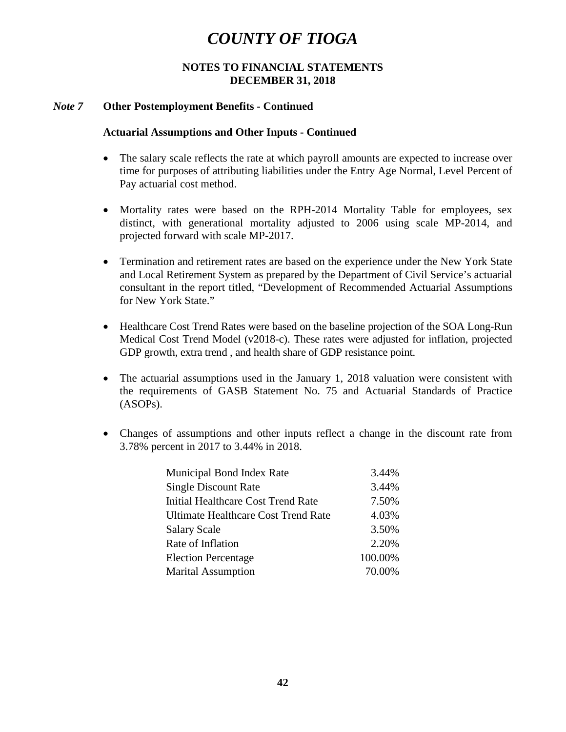## **NOTES TO FINANCIAL STATEMENTS DECEMBER 31, 2018**

## *Note 7* **Other Postemployment Benefits - Continued**

## **Actuarial Assumptions and Other Inputs - Continued**

- The salary scale reflects the rate at which payroll amounts are expected to increase over time for purposes of attributing liabilities under the Entry Age Normal, Level Percent of Pay actuarial cost method.
- Mortality rates were based on the RPH-2014 Mortality Table for employees, sex distinct, with generational mortality adjusted to 2006 using scale MP-2014, and projected forward with scale MP-2017.
- Termination and retirement rates are based on the experience under the New York State and Local Retirement System as prepared by the Department of Civil Service's actuarial consultant in the report titled, "Development of Recommended Actuarial Assumptions for New York State."
- Healthcare Cost Trend Rates were based on the baseline projection of the SOA Long-Run Medical Cost Trend Model (v2018-c). These rates were adjusted for inflation, projected GDP growth, extra trend , and health share of GDP resistance point.
- The actuarial assumptions used in the January 1, 2018 valuation were consistent with the requirements of GASB Statement No. 75 and Actuarial Standards of Practice (ASOPs).
- Changes of assumptions and other inputs reflect a change in the discount rate from 3.78% percent in 2017 to 3.44% in 2018.

| <b>Municipal Bond Index Rate</b>           | 3.44%   |
|--------------------------------------------|---------|
| <b>Single Discount Rate</b>                | 3.44%   |
| Initial Healthcare Cost Trend Rate         | 7.50%   |
| <b>Ultimate Healthcare Cost Trend Rate</b> | 4.03%   |
| <b>Salary Scale</b>                        | 3.50%   |
| Rate of Inflation                          | 2.20%   |
| <b>Election Percentage</b>                 | 100.00% |
| <b>Marital Assumption</b>                  | 70.00%  |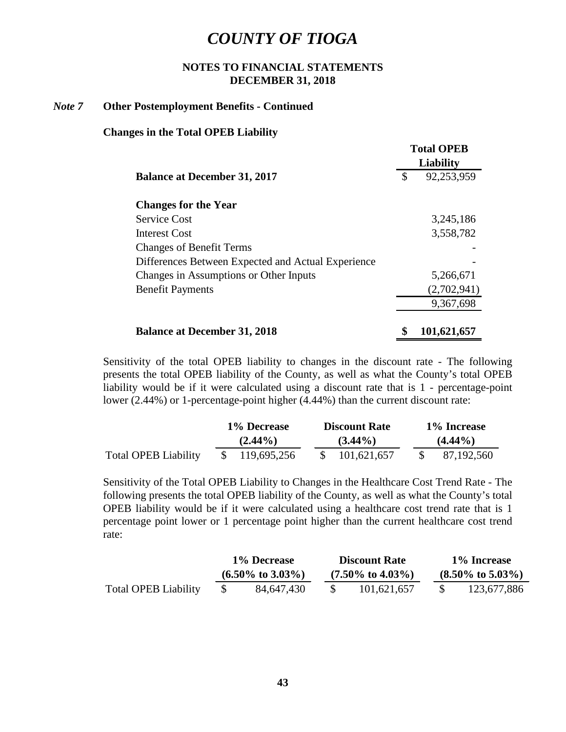### **NOTES TO FINANCIAL STATEMENTS DECEMBER 31, 2018**

## *Note 7* **Other Postemployment Benefits - Continued**

#### **Changes in the Total OPEB Liability**

|                                                    | <b>Total OPEB</b> |
|----------------------------------------------------|-------------------|
|                                                    | Liability         |
| <b>Balance at December 31, 2017</b>                | \$<br>92,253,959  |
| <b>Changes for the Year</b>                        |                   |
| <b>Service Cost</b>                                | 3,245,186         |
| Interest Cost                                      | 3,558,782         |
| <b>Changes of Benefit Terms</b>                    |                   |
| Differences Between Expected and Actual Experience |                   |
| Changes in Assumptions or Other Inputs             | 5,266,671         |
| <b>Benefit Payments</b>                            | (2,702,941)       |
|                                                    | 9,367,698         |
| <b>Balance at December 31, 2018</b>                | \$<br>101,621,657 |

Sensitivity of the total OPEB liability to changes in the discount rate - The following presents the total OPEB liability of the County, as well as what the County's total OPEB liability would be if it were calculated using a discount rate that is 1 - percentage-point lower (2.44%) or 1-percentage-point higher (4.44%) than the current discount rate:

|                             | 1% Decrease   | <b>Discount Rate</b> | 1% Increase |
|-----------------------------|---------------|----------------------|-------------|
|                             | $(2.44\%)$    | $(3.44\%)$           | $(4.44\%)$  |
| <b>Total OPEB Liability</b> | \$119,695,256 | \$101,621,657        | 87,192,560  |

Sensitivity of the Total OPEB Liability to Changes in the Healthcare Cost Trend Rate - The following presents the total OPEB liability of the County, as well as what the County's total OPEB liability would be if it were calculated using a healthcare cost trend rate that is 1 percentage point lower or 1 percentage point higher than the current healthcare cost trend rate:

|                             | 1% Decrease<br>$(6.50\% \text{ to } 3.03\%)$ |  | <b>Discount Rate</b><br>$(7.50\% \text{ to } 4.03\%)$ |  | 1% Increase<br>$(8.50\% \text{ to } 5.03\%)$ |  |
|-----------------------------|----------------------------------------------|--|-------------------------------------------------------|--|----------------------------------------------|--|
| <b>Total OPEB Liability</b> | 84,647,430                                   |  | 101,621,657                                           |  | 123,677,886                                  |  |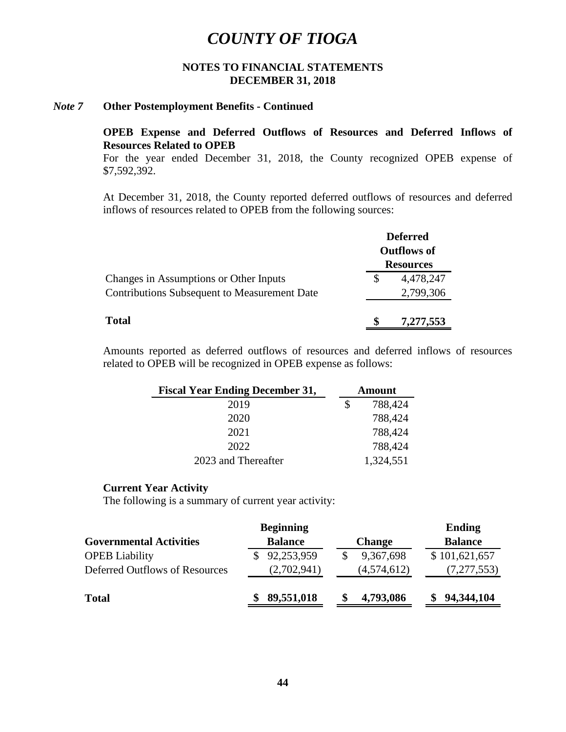## **NOTES TO FINANCIAL STATEMENTS DECEMBER 31, 2018**

### *Note 7* **Other Postemployment Benefits - Continued**

**OPEB Expense and Deferred Outflows of Resources and Deferred Inflows of Resources Related to OPEB**

For the year ended December 31, 2018, the County recognized OPEB expense of \$7,592,392.

At December 31, 2018, the County reported deferred outflows of resources and deferred inflows of resources related to OPEB from the following sources:

|                                                     | <b>Deferred</b><br><b>Outflows of</b> |                  |
|-----------------------------------------------------|---------------------------------------|------------------|
|                                                     |                                       | <b>Resources</b> |
| Changes in Assumptions or Other Inputs              | \$.                                   | 4,478,247        |
| <b>Contributions Subsequent to Measurement Date</b> |                                       | 2,799,306        |
| Total                                               |                                       | 7,277,553        |

Amounts reported as deferred outflows of resources and deferred inflows of resources related to OPEB will be recognized in OPEB expense as follows:

| <b>Fiscal Year Ending December 31,</b> | Amount  |           |
|----------------------------------------|---------|-----------|
| 2019                                   | S       | 788,424   |
| 2020                                   | 788,424 |           |
| 2021                                   |         |           |
| 2022                                   |         | 788,424   |
| 2023 and Thereafter                    |         | 1,324,551 |

#### **Current Year Activity**

The following is a summary of current year activity:

|                                | <b>Beginning</b> |             |               | Ending         |
|--------------------------------|------------------|-------------|---------------|----------------|
| <b>Governmental Activities</b> | <b>Balance</b>   |             | <b>Change</b> | <b>Balance</b> |
| <b>OPEB</b> Liability          | 92,253,959       |             | 9,367,698     | \$101,621,657  |
| Deferred Outflows of Resources |                  | (2,702,941) | (4,574,612)   | (7,277,553)    |
| <b>Total</b>                   | 89,551,018       |             | 4,793,086     | 94,344,104     |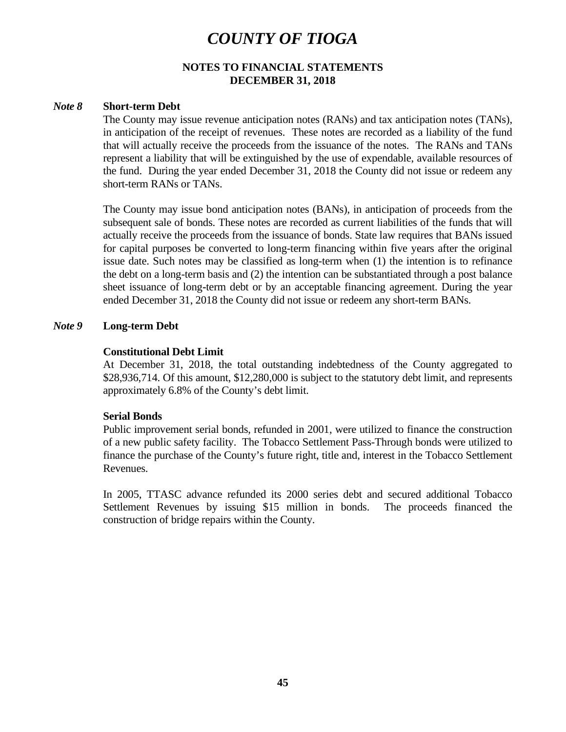## **NOTES TO FINANCIAL STATEMENTS DECEMBER 31, 2018**

## *Note 8* **Short-term Debt**

The County may issue revenue anticipation notes (RANs) and tax anticipation notes (TANs), in anticipation of the receipt of revenues. These notes are recorded as a liability of the fund that will actually receive the proceeds from the issuance of the notes. The RANs and TANs represent a liability that will be extinguished by the use of expendable, available resources of the fund. During the year ended December 31, 2018 the County did not issue or redeem any short-term RANs or TANs.

The County may issue bond anticipation notes (BANs), in anticipation of proceeds from the subsequent sale of bonds. These notes are recorded as current liabilities of the funds that will actually receive the proceeds from the issuance of bonds. State law requires that BANs issued for capital purposes be converted to long-term financing within five years after the original issue date. Such notes may be classified as long-term when (1) the intention is to refinance the debt on a long-term basis and (2) the intention can be substantiated through a post balance sheet issuance of long**-**term debt or by an acceptable financing agreement. During the year ended December 31, 2018 the County did not issue or redeem any short-term BANs.

## *Note 9* **Long-term Debt**

## **Constitutional Debt Limit**

At December 31, 2018, the total outstanding indebtedness of the County aggregated to \$28,936,714. Of this amount, \$12,280,000 is subject to the statutory debt limit, and represents approximately 6.8% of the County's debt limit.

## **Serial Bonds**

Public improvement serial bonds, refunded in 2001, were utilized to finance the construction of a new public safety facility. The Tobacco Settlement Pass-Through bonds were utilized to finance the purchase of the County's future right, title and, interest in the Tobacco Settlement Revenues.

In 2005, TTASC advance refunded its 2000 series debt and secured additional Tobacco Settlement Revenues by issuing \$15 million in bonds. The proceeds financed the construction of bridge repairs within the County.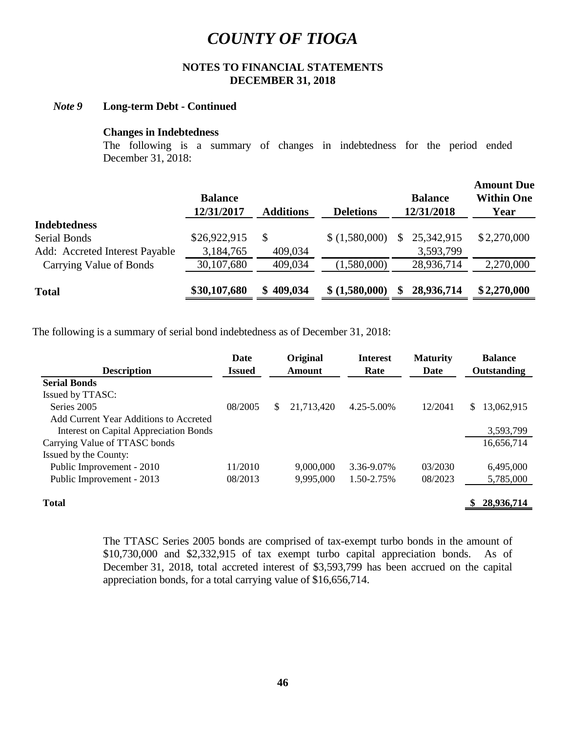## **NOTES TO FINANCIAL STATEMENTS DECEMBER 31, 2018**

### *Note 9* **Long-term Debt - Continued**

#### **Changes in Indebtedness**

The following is a summary of changes in indebtedness for the period ended December 31, 2018:

|                                | <b>Balance</b><br>12/31/2017 | <b>Additions</b> | <b>Deletions</b> | <b>Balance</b><br>12/31/2018 | Amount Due<br><b>Within One</b><br>Year |
|--------------------------------|------------------------------|------------------|------------------|------------------------------|-----------------------------------------|
| <b>Indebtedness</b>            |                              |                  |                  |                              |                                         |
| Serial Bonds                   | \$26,922,915                 | -S               | \$(1,580,000)    | 25,342,915<br>\$.            | \$2,270,000                             |
| Add: Accreted Interest Payable | 3,184,765                    | 409,034          |                  | 3,593,799                    |                                         |
| Carrying Value of Bonds        | 30,107,680                   | 409,034          | (1,580,000)      | 28,936,714                   | 2,270,000                               |
| <b>Total</b>                   | \$30,107,680                 | 409,034<br>SS.   | \$ (1,580,000)   | 28,936,714                   | \$2,270,000                             |

The following is a summary of serial bond indebtedness as of December 31, 2018:

|                                        | <b>Date</b>   |    | Original   | <b>Interest</b> | <b>Maturity</b> | <b>Balance</b>   |
|----------------------------------------|---------------|----|------------|-----------------|-----------------|------------------|
| <b>Description</b>                     | <b>Issued</b> |    | Amount     | Rate            | Date            | Outstanding      |
| <b>Serial Bonds</b>                    |               |    |            |                 |                 |                  |
| Issued by TTASC:                       |               |    |            |                 |                 |                  |
| Series 2005                            | 08/2005       | S. | 21,713,420 | $4.25 - 5.00\%$ | 12/2041         | 13,062,915<br>S. |
| Add Current Year Additions to Accreted |               |    |            |                 |                 |                  |
| Interest on Capital Appreciation Bonds |               |    |            |                 |                 | 3,593,799        |
| Carrying Value of TTASC bonds          |               |    |            |                 |                 | 16,656,714       |
| Issued by the County:                  |               |    |            |                 |                 |                  |
| Public Improvement - 2010              | 11/2010       |    | 9,000,000  | 3.36-9.07%      | 03/2030         | 6,495,000        |
| Public Improvement - 2013              | 08/2013       |    | 9,995,000  | 1.50-2.75%      | 08/2023         | 5,785,000        |
|                                        |               |    |            |                 |                 |                  |

## **Total \$ 28,936,714**

**Amount Due**

The TTASC Series 2005 bonds are comprised of tax-exempt turbo bonds in the amount of \$10,730,000 and \$2,332,915 of tax exempt turbo capital appreciation bonds. As of December 31, 2018, total accreted interest of \$3,593,799 has been accrued on the capital appreciation bonds, for a total carrying value of \$16,656,714.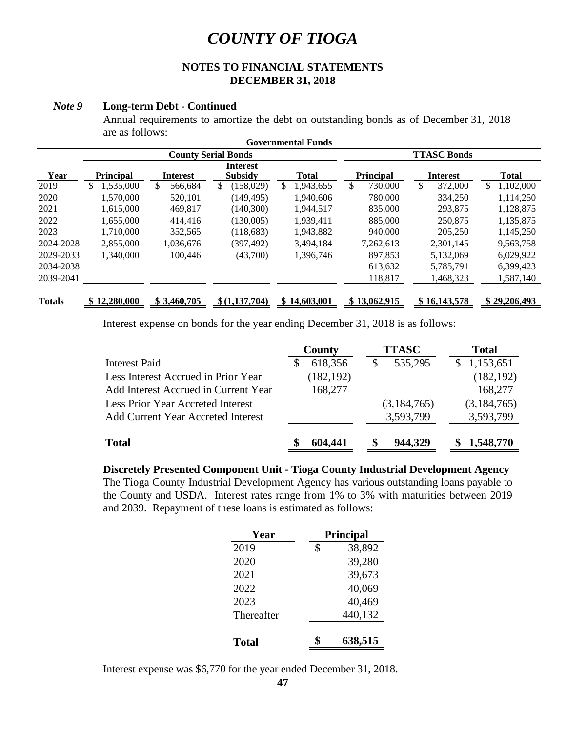## **NOTES TO FINANCIAL STATEMENTS DECEMBER 31, 2018**

#### *Note 9* **Long-term Debt - Continued**

Annual requirements to amortize the debt on outstanding bonds as of December 31, 2018 are as follows:

| are as romo no.<br><b>Governmental Funds</b> |                  |                            |                                   |                  |                    |                 |                 |  |
|----------------------------------------------|------------------|----------------------------|-----------------------------------|------------------|--------------------|-----------------|-----------------|--|
|                                              |                  | <b>County Serial Bonds</b> |                                   |                  | <b>TTASC Bonds</b> |                 |                 |  |
| Year                                         | <b>Principal</b> | <b>Interest</b>            | <b>Interest</b><br><b>Subsidy</b> | <b>Total</b>     | <b>Principal</b>   | <b>Interest</b> | <b>Total</b>    |  |
| 2019                                         | 1.535,000<br>\$  | \$<br>566.684              | (158,029)<br>\$.                  | 1,943,655<br>S.  | \$<br>730,000      | \$<br>372,000   | 1,102,000<br>S. |  |
| 2020                                         | 1.570.000        | 520.101                    | (149.495)                         | 1.940.606        | 780,000            | 334.250         | 1,114,250       |  |
| 2021                                         | 1,615,000        | 469,817                    | (140,300)                         | 1.944.517        | 835,000            | 293,875         | 1,128,875       |  |
| 2022                                         | 1,655,000        | 414,416                    | (130,005)                         | 1,939,411        | 885,000            | 250.875         | 1,135,875       |  |
| 2023                                         | 1.710.000        | 352,565                    | (118.683)                         | 1.943.882        | 940,000            | 205,250         | 1,145,250       |  |
| 2024-2028                                    | 2,855,000        | 1,036,676                  | (397,492)                         | 3,494,184        | 7,262,613          | 2,301,145       | 9,563,758       |  |
| 2029-2033                                    | 1,340,000        | 100.446                    | (43,700)                          | 1,396,746        | 897,853            | 5,132,069       | 6,029,922       |  |
| 2034-2038                                    |                  |                            |                                   |                  | 613,632            | 5,785,791       | 6,399,423       |  |
| 2039-2041                                    |                  |                            |                                   |                  | 118,817            | 1,468,323       | 1,587,140       |  |
| <b>Totals</b>                                | 12,280,000       | \$3,460,705                | \$(1,137,704)                     | 14,603,001<br>S. | \$13,062,915       | \$16,143,578    | \$29,206,493    |  |

Interest expense on bonds for the year ending December 31, 2018 is as follows:

|                                           | County     | <b>TTASC</b> | <b>Total</b> |
|-------------------------------------------|------------|--------------|--------------|
| <b>Interest Paid</b>                      | 618,356    | 535,295      | 1,153,651    |
| Less Interest Accrued in Prior Year       | (182, 192) |              | (182, 192)   |
| Add Interest Accrued in Current Year      | 168,277    |              | 168,277      |
| <b>Less Prior Year Accreted Interest</b>  |            | (3,184,765)  | (3,184,765)  |
| <b>Add Current Year Accreted Interest</b> |            | 3,593,799    | 3,593,799    |
| <b>Total</b>                              | 604,441    | 944,329      | 1,548,770    |

**Discretely Presented Component Unit - Tioga County Industrial Development Agency** The Tioga County Industrial Development Agency has various outstanding loans payable to the County and USDA. Interest rates range from 1% to 3% with maturities between 2019 and 2039. Repayment of these loans is estimated as follows:

| Year       | <b>Principal</b> |
|------------|------------------|
| 2019       | \$<br>38,892     |
| 2020       | 39,280           |
| 2021       | 39,673           |
| 2022       | 40,069           |
| 2023       | 40,469           |
| Thereafter | 440,132          |
| Total      | 638,515          |

Interest expense was \$6,770 for the year ended December 31, 2018.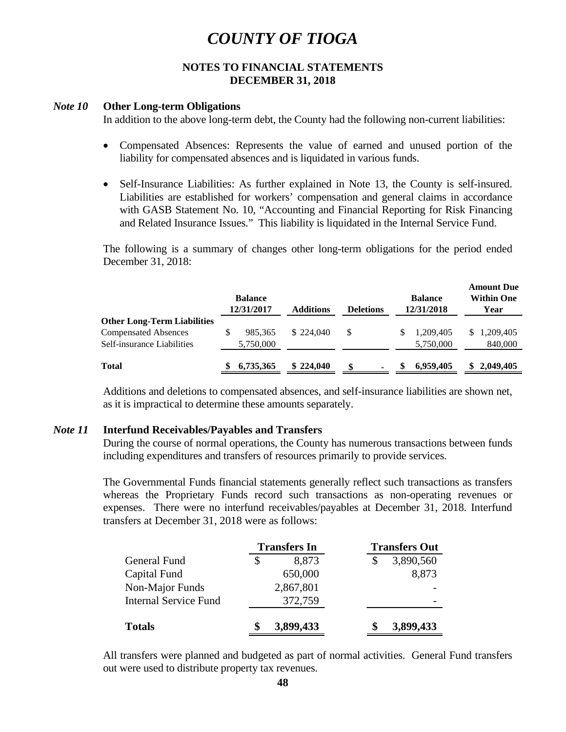## **NOTES TO FINANCIAL STATEMENTS DECEMBER 31, 2018**

### *Note 10* **Other Long-term Obligations**

In addition to the above long-term debt, the County had the following non-current liabilities:

- Compensated Absences: Represents the value of earned and unused portion of the liability for compensated absences and is liquidated in various funds.
- Self-Insurance Liabilities: As further explained in Note 13, the County is self-insured. Liabilities are established for workers' compensation and general claims in accordance with GASB Statement No. 10, "Accounting and Financial Reporting for Risk Financing and Related Insurance Issues." This liability is liquidated in the Internal Service Fund.

The following is a summary of changes other long-term obligations for the period ended December 31, 2018:

**Amount Due**

|                                                                                                 | <b>Balance</b><br>12/31/2017 | <b>Additions</b> | <b>Deletions</b> |   | <b>Balance</b><br>12/31/2018 | <b>Amount Due</b><br><b>Within One</b><br>Year |
|-------------------------------------------------------------------------------------------------|------------------------------|------------------|------------------|---|------------------------------|------------------------------------------------|
| <b>Other Long-Term Liabilities</b><br><b>Compensated Absences</b><br>Self-insurance Liabilities | 985.365<br>5,750,000         | \$224,040        | \$               | S | 1,209,405<br>5,750,000       | \$1,209,405<br>840,000                         |
| <b>Total</b>                                                                                    | 6,735,365                    | \$224.040        | \$               | æ | 6,959,405                    | 2,049,405                                      |

Additions and deletions to compensated absences, and self-insurance liabilities are shown net, as it is impractical to determine these amounts separately.

## *Note 11* **Interfund Receivables/Payables and Transfers**

During the course of normal operations, the County has numerous transactions between funds including expenditures and transfers of resources primarily to provide services.

The Governmental Funds financial statements generally reflect such transactions as transfers whereas the Proprietary Funds record such transactions as non-operating revenues or expenses. There were no interfund receivables/payables at December 31, 2018. Interfund transfers at December 31, 2018 were as follows:

|                              | <b>Transfers In</b> | <b>Transfers Out</b> |
|------------------------------|---------------------|----------------------|
| General Fund                 | 8,873               | 3,890,560            |
| Capital Fund                 | 650,000             | 8,873                |
| Non-Major Funds              | 2,867,801           |                      |
| <b>Internal Service Fund</b> | 372,759             |                      |
| <b>Totals</b>                | 3,899,433           | 3,899,433            |

All transfers were planned and budgeted as part of normal activities. General Fund transfers out were used to distribute property tax revenues.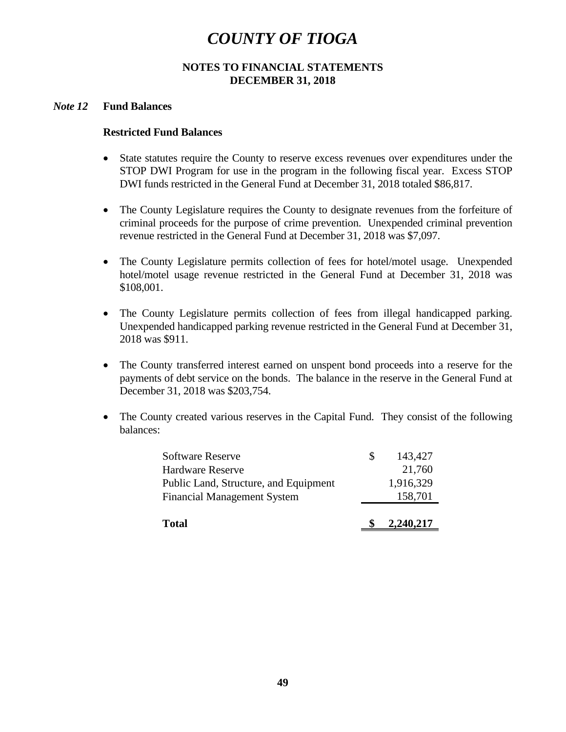## **NOTES TO FINANCIAL STATEMENTS DECEMBER 31, 2018**

## *Note 12* **Fund Balances**

## **Restricted Fund Balances**

- State statutes require the County to reserve excess revenues over expenditures under the STOP DWI Program for use in the program in the following fiscal year. Excess STOP DWI funds restricted in the General Fund at December 31, 2018 totaled \$86,817.
- The County Legislature requires the County to designate revenues from the forfeiture of criminal proceeds for the purpose of crime prevention. Unexpended criminal prevention revenue restricted in the General Fund at December 31, 2018 was \$7,097.
- The County Legislature permits collection of fees for hotel/motel usage. Unexpended hotel/motel usage revenue restricted in the General Fund at December 31, 2018 was \$108,001.
- The County Legislature permits collection of fees from illegal handicapped parking. Unexpended handicapped parking revenue restricted in the General Fund at December 31, 2018 was \$911.
- The County transferred interest earned on unspent bond proceeds into a reserve for the payments of debt service on the bonds. The balance in the reserve in the General Fund at December 31, 2018 was \$203,754.
- The County created various reserves in the Capital Fund. They consist of the following balances:

| <b>Total</b>                          | 2,240,217 |
|---------------------------------------|-----------|
| <b>Financial Management System</b>    | 158,701   |
| Public Land, Structure, and Equipment | 1,916,329 |
| <b>Hardware Reserve</b>               | 21,760    |
| <b>Software Reserve</b>               | 143,427   |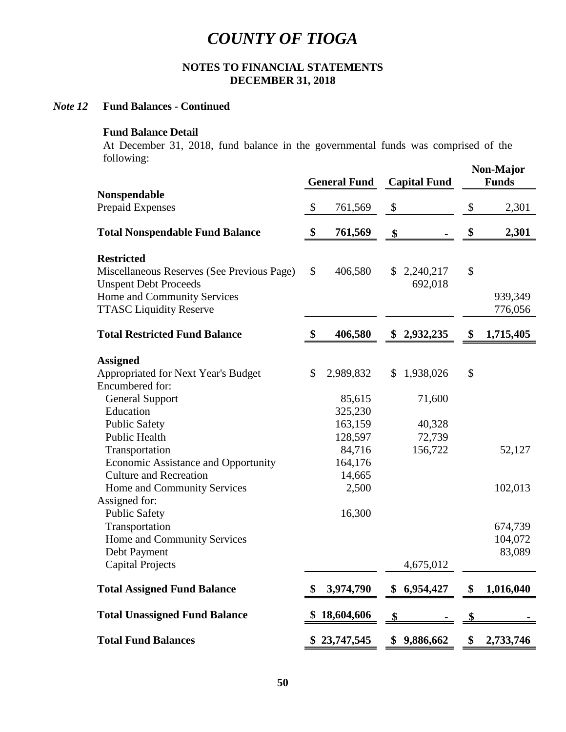## **NOTES TO FINANCIAL STATEMENTS DECEMBER 31, 2018**

## *Note 12* **Fund Balances - Continued**

#### **Fund Balance Detail**

At December 31, 2018, fund balance in the governmental funds was comprised of the following:

|                                                                                                                                                                                                                                                                                                                                                                                                                         | <b>General Fund</b>                                                                                          | <b>Capital Fund</b>                                                   |                            | Non-Major<br><b>Funds</b>                         |
|-------------------------------------------------------------------------------------------------------------------------------------------------------------------------------------------------------------------------------------------------------------------------------------------------------------------------------------------------------------------------------------------------------------------------|--------------------------------------------------------------------------------------------------------------|-----------------------------------------------------------------------|----------------------------|---------------------------------------------------|
| Nonspendable<br><b>Prepaid Expenses</b>                                                                                                                                                                                                                                                                                                                                                                                 | \$<br>761,569                                                                                                | \$                                                                    | \$                         | 2,301                                             |
| <b>Total Nonspendable Fund Balance</b>                                                                                                                                                                                                                                                                                                                                                                                  | \$<br>761,569                                                                                                | $\boldsymbol{\mathsf{S}}$                                             | \$                         | 2,301                                             |
| <b>Restricted</b><br>Miscellaneous Reserves (See Previous Page)<br><b>Unspent Debt Proceeds</b><br>Home and Community Services<br><b>TTASC Liquidity Reserve</b>                                                                                                                                                                                                                                                        | \$<br>406,580                                                                                                | 2,240,217<br>\$<br>692,018                                            | \$                         | 939,349<br>776,056                                |
| <b>Total Restricted Fund Balance</b>                                                                                                                                                                                                                                                                                                                                                                                    | \$<br>406,580                                                                                                | 2,932,235<br>\$                                                       | \$                         | 1,715,405                                         |
| <b>Assigned</b><br>Appropriated for Next Year's Budget<br>Encumbered for:<br><b>General Support</b><br>Education<br><b>Public Safety</b><br>Public Health<br>Transportation<br>Economic Assistance and Opportunity<br><b>Culture and Recreation</b><br>Home and Community Services<br>Assigned for:<br><b>Public Safety</b><br>Transportation<br>Home and Community Services<br>Debt Payment<br><b>Capital Projects</b> | \$<br>2,989,832<br>85,615<br>325,230<br>163,159<br>128,597<br>84,716<br>164,176<br>14,665<br>2,500<br>16,300 | 1,938,026<br>\$<br>71,600<br>40,328<br>72,739<br>156,722<br>4,675,012 | \$                         | 52,127<br>102,013<br>674,739<br>104,072<br>83,089 |
| <b>Total Assigned Fund Balance</b>                                                                                                                                                                                                                                                                                                                                                                                      | \$<br>3,974,790                                                                                              | \$6,954,427                                                           | \$                         | 1,016,040                                         |
| <b>Total Unassigned Fund Balance</b>                                                                                                                                                                                                                                                                                                                                                                                    | 18,604,606                                                                                                   | $\boldsymbol{\mathsf{\$}}$                                            | $\boldsymbol{\mathsf{\$}}$ |                                                   |
| <b>Total Fund Balances</b>                                                                                                                                                                                                                                                                                                                                                                                              | \$23,747,545                                                                                                 | \$<br>9,886,662                                                       | \$                         | 2,733,746                                         |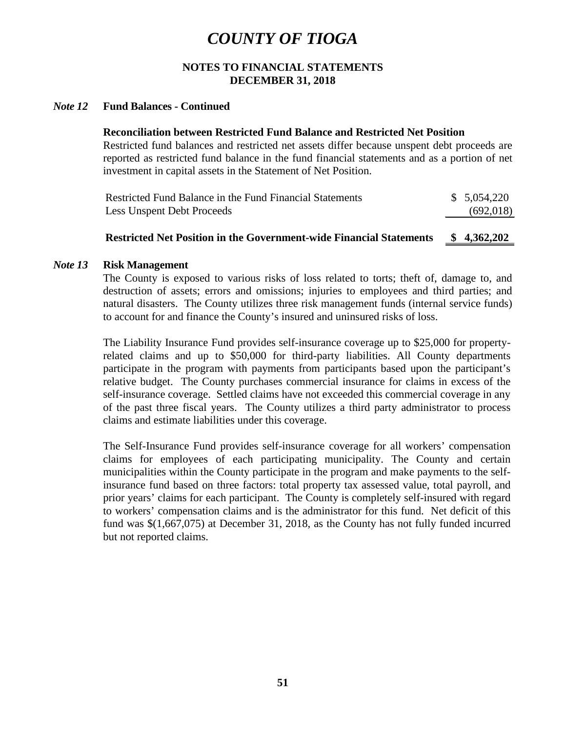## **NOTES TO FINANCIAL STATEMENTS DECEMBER 31, 2018**

## *Note 12* **Fund Balances - Continued**

## **Reconciliation between Restricted Fund Balance and Restricted Net Position**

Restricted fund balances and restricted net assets differ because unspent debt proceeds are reported as restricted fund balance in the fund financial statements and as a portion of net investment in capital assets in the Statement of Net Position.

| Restricted Fund Balance in the Fund Financial Statements | \$5,054,220 |
|----------------------------------------------------------|-------------|
| <b>Less Unspent Debt Proceeds</b>                        | (692,018)   |
|                                                          |             |

## **Restricted Net Position in the Government-wide Financial Statements \$ 4,362,202**

## *Note 13* **Risk Management**

The County is exposed to various risks of loss related to torts; theft of, damage to, and destruction of assets; errors and omissions; injuries to employees and third parties; and natural disasters. The County utilizes three risk management funds (internal service funds) to account for and finance the County's insured and uninsured risks of loss.

The Liability Insurance Fund provides self-insurance coverage up to \$25,000 for propertyrelated claims and up to \$50,000 for third-party liabilities. All County departments participate in the program with payments from participants based upon the participant's relative budget. The County purchases commercial insurance for claims in excess of the self-insurance coverage. Settled claims have not exceeded this commercial coverage in any of the past three fiscal years. The County utilizes a third party administrator to process claims and estimate liabilities under this coverage.

The Self-Insurance Fund provides self-insurance coverage for all workers' compensation claims for employees of each participating municipality. The County and certain municipalities within the County participate in the program and make payments to the selfinsurance fund based on three factors: total property tax assessed value, total payroll, and prior years' claims for each participant. The County is completely self-insured with regard to workers' compensation claims and is the administrator for this fund. Net deficit of this fund was \$(1,667,075) at December 31, 2018, as the County has not fully funded incurred but not reported claims.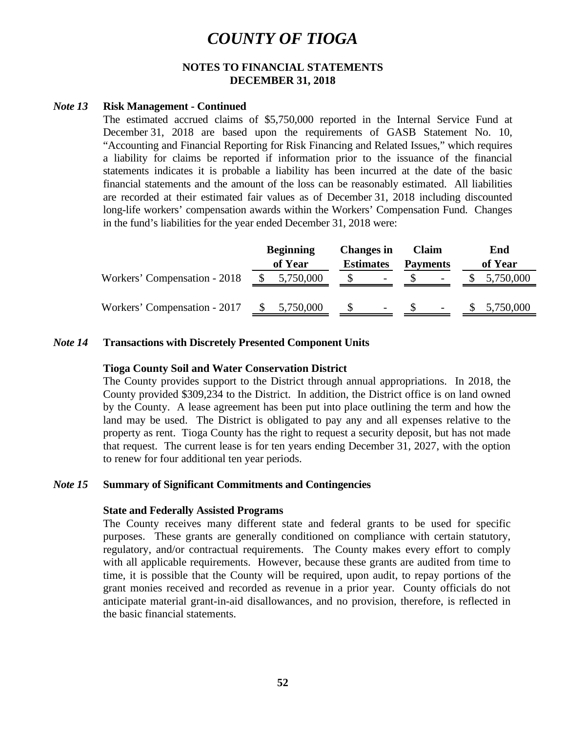## **NOTES TO FINANCIAL STATEMENTS DECEMBER 31, 2018**

#### *Note 13* **Risk Management - Continued**

The estimated accrued claims of \$5,750,000 reported in the Internal Service Fund at December 31, 2018 are based upon the requirements of GASB Statement No. 10, "Accounting and Financial Reporting for Risk Financing and Related Issues," which requires a liability for claims be reported if information prior to the issuance of the financial statements indicates it is probable a liability has been incurred at the date of the basic financial statements and the amount of the loss can be reasonably estimated. All liabilities are recorded at their estimated fair values as of December 31, 2018 including discounted long-life workers' compensation awards within the Workers' Compensation Fund. Changes in the fund's liabilities for the year ended December 31, 2018 were:

|                              | <b>Beginning</b> |             | <b>Changes</b> in |                          | <b>Claim</b>    |                          | End     |             |  |
|------------------------------|------------------|-------------|-------------------|--------------------------|-----------------|--------------------------|---------|-------------|--|
|                              | of Year          |             | <b>Estimates</b>  |                          | <b>Payments</b> |                          | of Year |             |  |
| Workers' Compensation - 2018 |                  | \$5,750,000 |                   | $\overline{\phantom{a}}$ |                 | $\overline{\phantom{a}}$ |         | 5,750,000   |  |
| Workers' Compensation - 2017 |                  | \$5,750,000 |                   | $\sim$ $-$               |                 | $\overline{\phantom{a}}$ |         | \$5,750,000 |  |
|                              |                  |             |                   |                          |                 |                          |         |             |  |

#### *Note 14* **Transactions with Discretely Presented Component Units**

#### **Tioga County Soil and Water Conservation District**

The County provides support to the District through annual appropriations. In 2018, the County provided \$309,234 to the District. In addition, the District office is on land owned by the County. A lease agreement has been put into place outlining the term and how the land may be used. The District is obligated to pay any and all expenses relative to the property as rent. Tioga County has the right to request a security deposit, but has not made that request. The current lease is for ten years ending December 31, 2027, with the option to renew for four additional ten year periods.

#### *Note 15* **Summary of Significant Commitments and Contingencies**

#### **State and Federally Assisted Programs**

The County receives many different state and federal grants to be used for specific purposes. These grants are generally conditioned on compliance with certain statutory, regulatory, and/or contractual requirements. The County makes every effort to comply with all applicable requirements. However, because these grants are audited from time to time, it is possible that the County will be required, upon audit, to repay portions of the grant monies received and recorded as revenue in a prior year. County officials do not anticipate material grant-in-aid disallowances, and no provision, therefore, is reflected in the basic financial statements.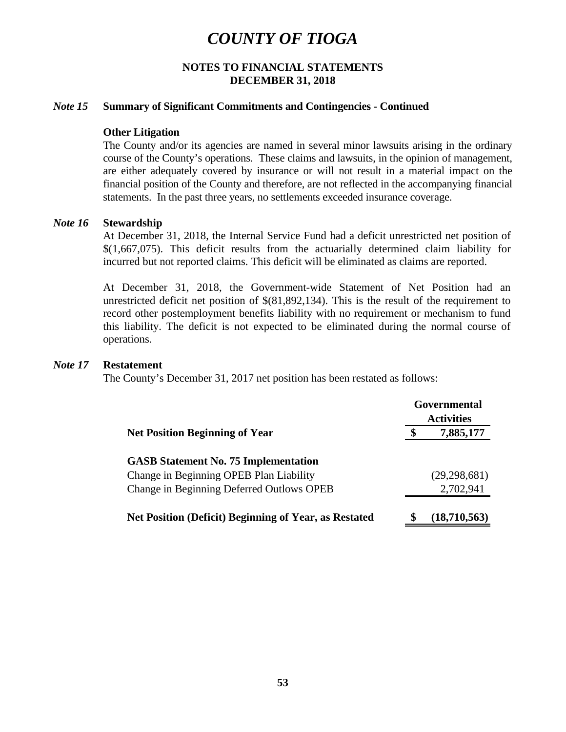## **NOTES TO FINANCIAL STATEMENTS DECEMBER 31, 2018**

## *Note 15* **Summary of Significant Commitments and Contingencies - Continued**

## **Other Litigation**

The County and/or its agencies are named in several minor lawsuits arising in the ordinary course of the County's operations. These claims and lawsuits, in the opinion of management, are either adequately covered by insurance or will not result in a material impact on the financial position of the County and therefore, are not reflected in the accompanying financial statements. In the past three years, no settlements exceeded insurance coverage.

#### *Note 16* **Stewardship**

At December 31, 2018, the Internal Service Fund had a deficit unrestricted net position of \$(1,667,075). This deficit results from the actuarially determined claim liability for incurred but not reported claims. This deficit will be eliminated as claims are reported.

At December 31, 2018, the Government-wide Statement of Net Position had an unrestricted deficit net position of \$(81,892,134). This is the result of the requirement to record other postemployment benefits liability with no requirement or mechanism to fund this liability. The deficit is not expected to be eliminated during the normal course of operations.

#### *Note 17* **Restatement**

The County's December 31, 2017 net position has been restated as follows:

|                                                              | Governmental<br><b>Activities</b> |                |  |  |
|--------------------------------------------------------------|-----------------------------------|----------------|--|--|
| <b>Net Position Beginning of Year</b>                        |                                   | 7,885,177      |  |  |
| <b>GASB Statement No. 75 Implementation</b>                  |                                   |                |  |  |
| Change in Beginning OPEB Plan Liability                      |                                   | (29, 298, 681) |  |  |
| Change in Beginning Deferred Outlows OPEB                    |                                   | 2,702,941      |  |  |
| <b>Net Position (Deficit) Beginning of Year, as Restated</b> |                                   | (18,710,563)   |  |  |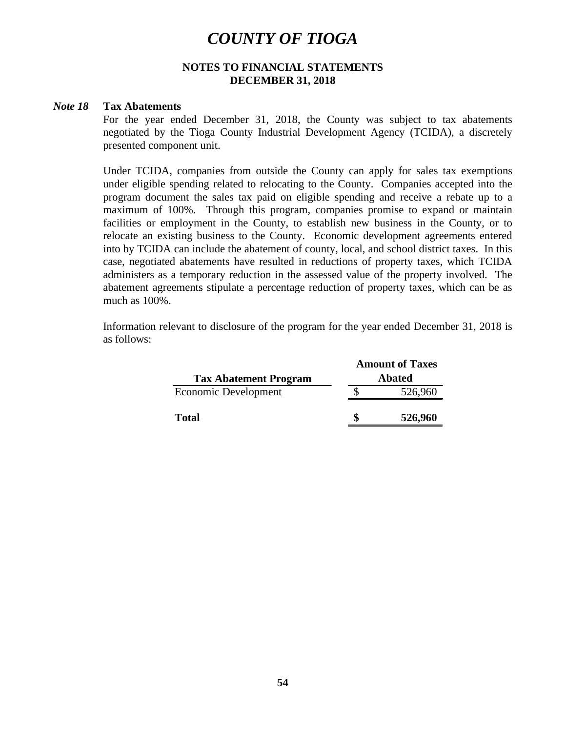## **NOTES TO FINANCIAL STATEMENTS DECEMBER 31, 2018**

## *Note 18* **Tax Abatements**

For the year ended December 31, 2018, the County was subject to tax abatements negotiated by the Tioga County Industrial Development Agency (TCIDA), a discretely presented component unit.

Under TCIDA, companies from outside the County can apply for sales tax exemptions under eligible spending related to relocating to the County. Companies accepted into the program document the sales tax paid on eligible spending and receive a rebate up to a maximum of 100%. Through this program, companies promise to expand or maintain facilities or employment in the County, to establish new business in the County, or to relocate an existing business to the County. Economic development agreements entered into by TCIDA can include the abatement of county, local, and school district taxes. In this case, negotiated abatements have resulted in reductions of property taxes, which TCIDA administers as a temporary reduction in the assessed value of the property involved. The abatement agreements stipulate a percentage reduction of property taxes, which can be as much as 100%.

Information relevant to disclosure of the program for the year ended December 31, 2018 is as follows:

|                              | <b>Amount of Taxes</b> |
|------------------------------|------------------------|
| <b>Tax Abatement Program</b> | <b>Abated</b>          |
| Economic Development         | 526,960                |
| <b>Total</b>                 | 526,960                |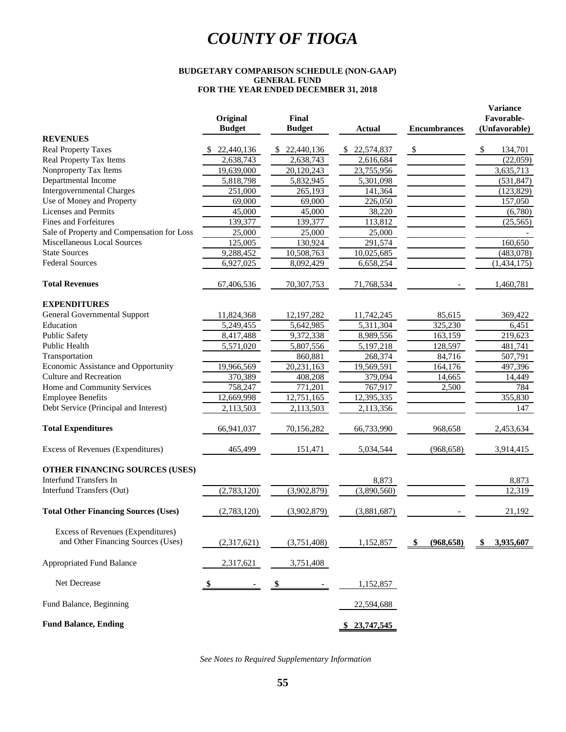#### **BUDGETARY COMPARISON SCHEDULE (NON-GAAP) GENERAL FUND FOR THE YEAR ENDED DECEMBER 31, 2018**

|                                                                         | Original<br><b>Budget</b> | Final<br><b>Budget</b> | <b>Actual</b>    | <b>Encumbrances</b> | <b>Variance</b><br><b>Favorable-</b><br>(Unfavorable) |
|-------------------------------------------------------------------------|---------------------------|------------------------|------------------|---------------------|-------------------------------------------------------|
| <b>REVENUES</b>                                                         |                           |                        |                  |                     |                                                       |
| <b>Real Property Taxes</b>                                              | 22,440,136                | 22,440,136             | 22,574,837<br>\$ | \$                  | \$<br>134,701                                         |
| Real Property Tax Items                                                 | 2,638,743                 | 2,638,743              | 2,616,684        |                     | (22,059)                                              |
| Nonproperty Tax Items                                                   | 19,639,000                | 20,120,243             | 23,755,956       |                     | 3,635,713                                             |
| Departmental Income                                                     | 5,818,798                 | 5,832,945              | 5,301,098        |                     | (531, 847)                                            |
| <b>Intergovernmental Charges</b>                                        | 251,000                   | 265,193                | 141,364          |                     | (123, 829)                                            |
| Use of Money and Property                                               | 69,000                    | 69,000                 | 226,050          |                     | 157,050                                               |
| Licenses and Permits                                                    | 45,000                    | 45,000                 | 38,220           |                     | (6,780)                                               |
| <b>Fines and Forfeitures</b>                                            | 139,377                   | 139,377                | 113,812          |                     | (25, 565)                                             |
| Sale of Property and Compensation for Loss                              | 25,000                    | 25,000                 | 25,000           |                     |                                                       |
| Miscellaneous Local Sources                                             | 125,005                   | 130,924                | 291,574          |                     | 160,650                                               |
| <b>State Sources</b>                                                    | 9,288,452                 | 10,508,763             | 10,025,685       |                     | (483,078)                                             |
| <b>Federal Sources</b>                                                  | 6,927,025                 | 8,092,429              | 6,658,254        |                     | (1,434,175)                                           |
| <b>Total Revenues</b>                                                   | 67,406,536                | 70,307,753             | 71,768,534       |                     | 1,460,781                                             |
| <b>EXPENDITURES</b>                                                     |                           |                        |                  |                     |                                                       |
| General Governmental Support                                            | 11,824,368                | 12,197,282             | 11,742,245       | 85,615              | 369,422                                               |
| Education                                                               | 5,249,455                 | 5,642,985              | 5,311,304        | 325,230             | 6,451                                                 |
| <b>Public Safety</b>                                                    | 8,417,488                 | 9,372,338              | 8,989,556        | 163,159             | 219,623                                               |
| <b>Public Health</b>                                                    | 5,571,020                 | 5,807,556              | 5,197,218        | 128,597             | 481,741                                               |
| Transportation                                                          |                           | 860,881                | 268,374          | 84,716              | 507,791                                               |
| Economic Assistance and Opportunity                                     | 19,966,569                | 20,231,163             | 19,569,591       | 164,176             | 497,396                                               |
| <b>Culture and Recreation</b>                                           | 370,389                   | 408,208                | 379,094          | 14,665              | 14,449                                                |
| Home and Community Services                                             | 758,247                   | 771,201                | 767,917          | 2,500               | 784                                                   |
| <b>Employee Benefits</b>                                                | 12,669,998                | 12,751,165             | 12,395,335       |                     | 355,830                                               |
| Debt Service (Principal and Interest)                                   | 2,113,503                 | 2,113,503              | 2,113,356        |                     | 147                                                   |
| <b>Total Expenditures</b>                                               | 66,941,037                | 70,156,282             | 66,733,990       | 968,658             | 2,453,634                                             |
| Excess of Revenues (Expenditures)                                       | 465,499                   | 151,471                | 5,034,544        | (968, 658)          | 3,914,415                                             |
| OTHER FINANCING SOURCES (USES)                                          |                           |                        |                  |                     |                                                       |
| <b>Interfund Transfers In</b>                                           |                           |                        | 8,873            |                     | 8,873                                                 |
| Interfund Transfers (Out)                                               | (2,783,120)               | (3,902,879)            | (3,890,560)      |                     | 12,319                                                |
| <b>Total Other Financing Sources (Uses)</b>                             | (2,783,120)               | (3,902,879)            | (3,881,687)      |                     | 21,192                                                |
| Excess of Revenues (Expenditures)<br>and Other Financing Sources (Uses) | (2,317,621)               | (3,751,408)            | 1,152,857        | (968, 658)<br>S     | 3,935,607                                             |
| <b>Appropriated Fund Balance</b>                                        | 2,317,621                 | 3,751,408              |                  |                     |                                                       |
| Net Decrease                                                            |                           | \$                     | 1,152,857        |                     |                                                       |
| Fund Balance, Beginning                                                 |                           |                        | 22,594,688       |                     |                                                       |
| <b>Fund Balance, Ending</b>                                             |                           |                        | 23,747,545       |                     |                                                       |

*See Notes to Required Supplementary Information*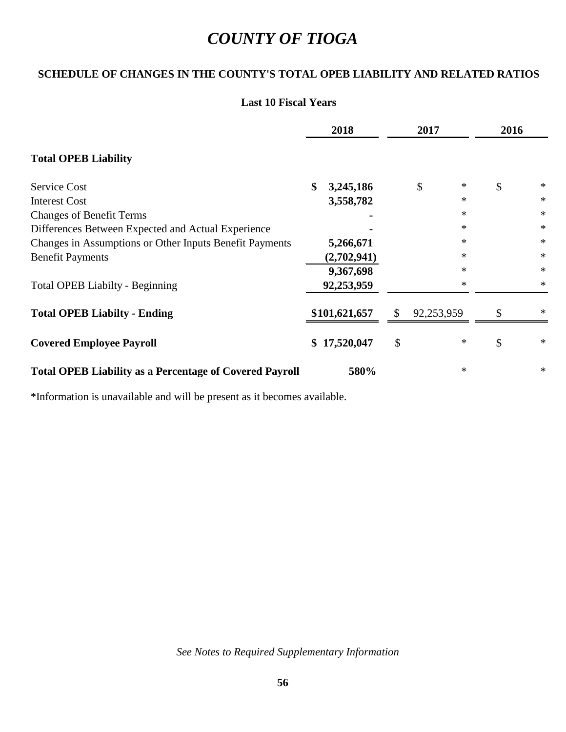## **SCHEDULE OF CHANGES IN THE COUNTY'S TOTAL OPEB LIABILITY AND RELATED RATIOS**

## **Last 10 Fiscal Years**

|                                                                | 2018             |      | 2017       |        | 2016 |        |
|----------------------------------------------------------------|------------------|------|------------|--------|------|--------|
| <b>Total OPEB Liability</b>                                    |                  |      |            |        |      |        |
| <b>Service Cost</b>                                            | \$<br>3,245,186  |      | \$         | ∗      | \$   | $\ast$ |
| <b>Interest Cost</b>                                           | 3,558,782        |      |            | $\ast$ |      | $\ast$ |
| <b>Changes of Benefit Terms</b>                                |                  |      |            | $\ast$ |      | ∗      |
| Differences Between Expected and Actual Experience             |                  |      |            | $\ast$ |      | $\ast$ |
| Changes in Assumptions or Other Inputs Benefit Payments        | 5,266,671        |      |            | ∗      |      | $\ast$ |
| <b>Benefit Payments</b>                                        | (2,702,941)      |      |            | $\ast$ |      | $\ast$ |
|                                                                | 9,367,698        |      |            | ∗      |      | $\ast$ |
| <b>Total OPEB Liabilty - Beginning</b>                         | 92,253,959       |      |            | $\ast$ |      | $\ast$ |
| <b>Total OPEB Liabilty - Ending</b>                            | \$101,621,657    | \$.  | 92,253,959 |        |      | $\ast$ |
| <b>Covered Employee Payroll</b>                                | 17,520,047<br>\$ | \$   |            | ∗      | \$   | ∗      |
| <b>Total OPEB Liability as a Percentage of Covered Payroll</b> |                  | 580% |            | $\ast$ |      | ∗      |

\*Information is unavailable and will be present as it becomes available.

*See Notes to Required Supplementary Information*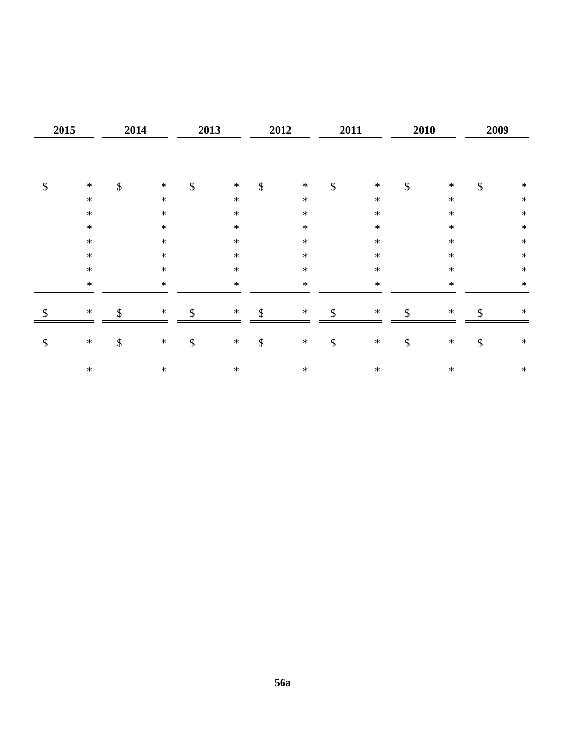| 2015          |        | 2014              |        | 2013              |        | 2012                       |        | 2011                      |        | 2010                       |        | 2009          |        |
|---------------|--------|-------------------|--------|-------------------|--------|----------------------------|--------|---------------------------|--------|----------------------------|--------|---------------|--------|
|               |        |                   |        |                   |        |                            |        |                           |        |                            |        |               |        |
| $\$\,$        | $\ast$ | $\$$              | $\ast$ | $\$$              | $\ast$ | $\boldsymbol{\mathsf{\$}}$ | $\ast$ | $\boldsymbol{\mathsf{S}}$ | $\ast$ | $\boldsymbol{\mathsf{\$}}$ | $\ast$ | \$            | $\ast$ |
|               | $\ast$ |                   | $\ast$ |                   | $\ast$ |                            | $\ast$ |                           | $\ast$ |                            | $\ast$ |               | $\ast$ |
|               | $\ast$ |                   | $\ast$ |                   | $\ast$ |                            | $\ast$ |                           | $\ast$ |                            | $\ast$ |               | $\ast$ |
|               | $\ast$ |                   | $\ast$ |                   | $\ast$ |                            | $\ast$ |                           | $\ast$ |                            | $\ast$ |               | $\ast$ |
|               | $\ast$ |                   | $\ast$ |                   | $\ast$ |                            | $\ast$ |                           | $\ast$ |                            | $\ast$ |               | $\ast$ |
|               | $\ast$ |                   | $\ast$ |                   | $\ast$ |                            | $\ast$ |                           | $\ast$ |                            | $\ast$ |               | $\ast$ |
|               | $\ast$ |                   | $\ast$ |                   | $\ast$ |                            | $\ast$ |                           | $\ast$ |                            | $\ast$ |               | $\ast$ |
|               | $\ast$ |                   | $\ast$ |                   | $\ast$ |                            | $\ast$ |                           | $\ast$ |                            | $\ast$ |               | $\ast$ |
| $\mathcal{S}$ | $\ast$ | \$                | $\ast$ | $\mathcal{S}$     | $\ast$ | $\mathcal{S}$              | $\ast$ | $\mathbf{\hat{S}}$        | $\ast$ | $\mathbb{S}$               | $\ast$ | $\mathcal{S}$ | $\ast$ |
| $\$\,$        | $\ast$ | $\boldsymbol{\$}$ | $\ast$ | $\boldsymbol{\$}$ | $\ast$ | $\boldsymbol{\mathsf{\$}}$ | $\ast$ | \$                        | $\ast$ | \$                         | $\ast$ | \$            | $\ast$ |
|               | $\ast$ |                   | $\ast$ |                   | $\ast$ |                            | $\ast$ |                           | $\ast$ |                            | $\ast$ |               | $\ast$ |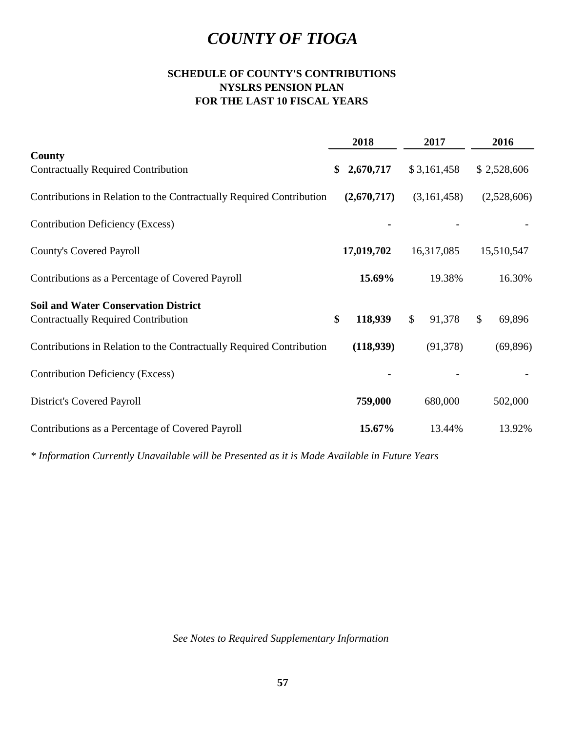### **SCHEDULE OF COUNTY'S CONTRIBUTIONS NYSLRS PENSION PLAN FOR THE LAST 10 FISCAL YEARS**

|                                                                                           | 2018            |              | 2017        |              | 2016        |
|-------------------------------------------------------------------------------------------|-----------------|--------------|-------------|--------------|-------------|
| County<br><b>Contractually Required Contribution</b>                                      | \$<br>2,670,717 |              | \$3,161,458 |              | \$2,528,606 |
| Contributions in Relation to the Contractually Required Contribution                      | (2,670,717)     |              | (3,161,458) |              | (2,528,606) |
| <b>Contribution Deficiency (Excess)</b>                                                   |                 |              |             |              |             |
| <b>County's Covered Payroll</b>                                                           | 17,019,702      |              | 16,317,085  |              | 15,510,547  |
| Contributions as a Percentage of Covered Payroll                                          | 15.69%          |              | 19.38%      |              | 16.30%      |
| <b>Soil and Water Conservation District</b><br><b>Contractually Required Contribution</b> | \$<br>118,939   | $\mathbb{S}$ | 91,378      | $\mathbb{S}$ | 69,896      |
| Contributions in Relation to the Contractually Required Contribution                      | (118,939)       |              | (91, 378)   |              | (69, 896)   |
| <b>Contribution Deficiency (Excess)</b>                                                   |                 |              |             |              |             |
| District's Covered Payroll                                                                | 759,000         |              | 680,000     |              | 502,000     |
| Contributions as a Percentage of Covered Payroll                                          | 15.67%          |              | 13.44%      |              | 13.92%      |

*\* Information Currently Unavailable will be Presented as it is Made Available in Future Years*

*See Notes to Required Supplementary Information*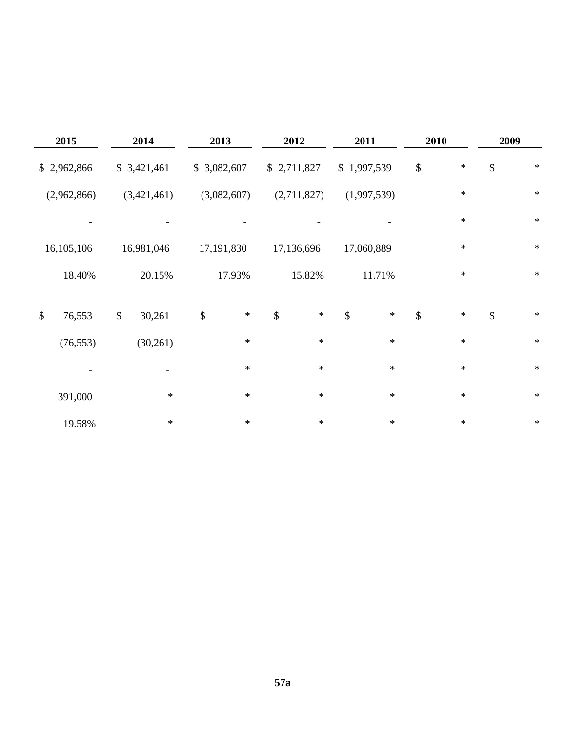| 2015         |              | 2014        | 2013                      |             | 2012        |        | 2011        |             | 2010 |        | 2009 |        |
|--------------|--------------|-------------|---------------------------|-------------|-------------|--------|-------------|-------------|------|--------|------|--------|
| \$2,962,866  |              | \$3,421,461 | \$3,082,607               |             | \$2,711,827 |        | \$1,997,539 |             | $\$$ | $\ast$ | \$   | $\ast$ |
| (2,962,866)  |              | (3,421,461) |                           | (3,082,607) | (2,711,827) |        |             | (1,997,539) |      | $\ast$ |      | $\ast$ |
|              |              |             |                           |             |             |        |             |             |      | $\ast$ |      | $\ast$ |
| 16,105,106   |              | 16,981,046  | 17,191,830                |             | 17,136,696  |        |             | 17,060,889  |      | $\ast$ |      | $\ast$ |
| 18.40%       |              | 20.15%      |                           | 17.93%      |             | 15.82% |             | 11.71%      |      | $\ast$ |      | $\ast$ |
| \$<br>76,553 | $\mathbb{S}$ | 30,261      | $\boldsymbol{\mathsf{S}}$ | $\ast$      | \$          | $\ast$ | \$          | $\ast$      | \$   | $\ast$ | \$   | $\ast$ |
|              |              |             |                           |             |             |        |             |             |      |        |      |        |
| (76, 553)    |              | (30,261)    |                           | $\ast$      |             | $\ast$ |             | $\ast$      |      | $\ast$ |      | $\ast$ |
|              |              |             |                           | $\ast$      |             | $\ast$ |             | $\ast$      |      | $\ast$ |      | $\ast$ |
| 391,000      |              | $\ast$      |                           | $\ast$      |             | $\ast$ |             | $\ast$      |      | $\ast$ |      | $\ast$ |
| 19.58%       |              | $\ast$      |                           | $\ast$      |             | $\ast$ |             | $\ast$      |      | $\ast$ |      | $\ast$ |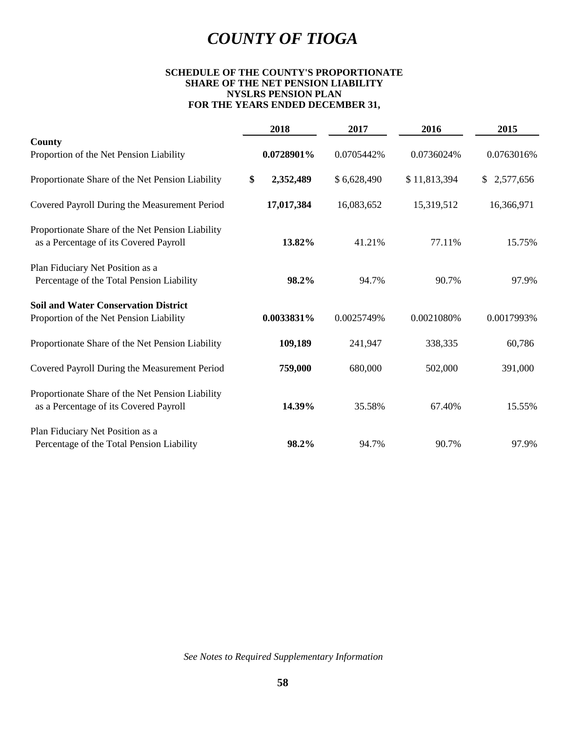#### **FOR THE YEARS ENDED DECEMBER 31, NYSLRS PENSION PLAN SHARE OF THE NET PENSION LIABILITY SCHEDULE OF THE COUNTY'S PROPORTIONATE**

|                                                                                            | 2018            | 2017        | 2016         | 2015        |
|--------------------------------------------------------------------------------------------|-----------------|-------------|--------------|-------------|
| County<br>Proportion of the Net Pension Liability                                          | 0.0728901%      | 0.0705442%  | 0.0736024%   | 0.0763016%  |
| Proportionate Share of the Net Pension Liability                                           | \$<br>2,352,489 | \$6,628,490 | \$11,813,394 | \$2,577,656 |
| Covered Payroll During the Measurement Period                                              | 17,017,384      | 16,083,652  | 15,319,512   | 16,366,971  |
| Proportionate Share of the Net Pension Liability<br>as a Percentage of its Covered Payroll | 13.82%          | 41.21%      | 77.11%       | 15.75%      |
| Plan Fiduciary Net Position as a<br>Percentage of the Total Pension Liability              | 98.2%           | 94.7%       | 90.7%        | 97.9%       |
| <b>Soil and Water Conservation District</b><br>Proportion of the Net Pension Liability     | 0.0033831%      | 0.0025749%  | 0.0021080%   | 0.0017993%  |
| Proportionate Share of the Net Pension Liability                                           | 109,189         | 241,947     | 338,335      | 60,786      |
| Covered Payroll During the Measurement Period                                              | 759,000         | 680,000     | 502,000      | 391,000     |
| Proportionate Share of the Net Pension Liability<br>as a Percentage of its Covered Payroll | 14.39%          | 35.58%      | 67.40%       | 15.55%      |
| Plan Fiduciary Net Position as a<br>Percentage of the Total Pension Liability              | 98.2%           | 94.7%       | 90.7%        | 97.9%       |

*See Notes to Required Supplementary Information*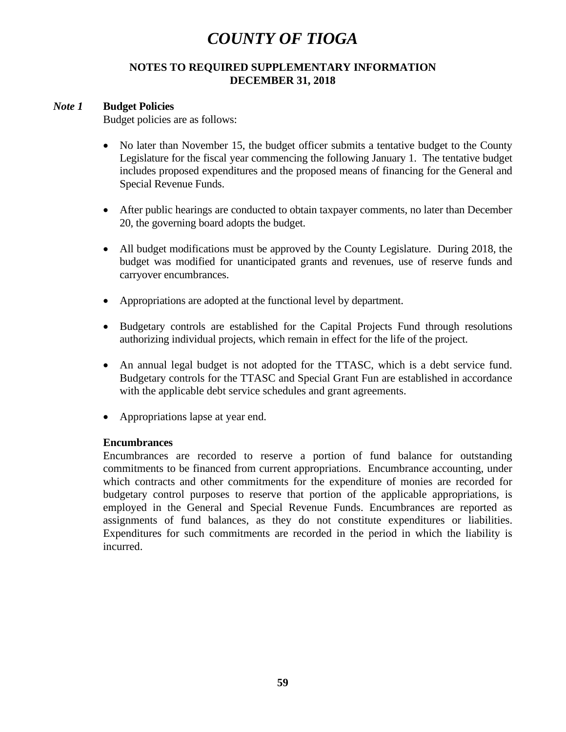#### **NOTES TO REQUIRED SUPPLEMENTARY INFORMATION DECEMBER 31, 2018**

#### *Note 1* **Budget Policies**

Budget policies are as follows:

- No later than November 15, the budget officer submits a tentative budget to the County Legislature for the fiscal year commencing the following January 1. The tentative budget includes proposed expenditures and the proposed means of financing for the General and Special Revenue Funds.
- After public hearings are conducted to obtain taxpayer comments, no later than December 20, the governing board adopts the budget.
- All budget modifications must be approved by the County Legislature. During 2018, the budget was modified for unanticipated grants and revenues, use of reserve funds and carryover encumbrances.
- Appropriations are adopted at the functional level by department.
- Budgetary controls are established for the Capital Projects Fund through resolutions authorizing individual projects, which remain in effect for the life of the project.
- An annual legal budget is not adopted for the TTASC, which is a debt service fund. Budgetary controls for the TTASC and Special Grant Fun are established in accordance with the applicable debt service schedules and grant agreements.
- Appropriations lapse at year end.

#### **Encumbrances**

Encumbrances are recorded to reserve a portion of fund balance for outstanding commitments to be financed from current appropriations. Encumbrance accounting, under which contracts and other commitments for the expenditure of monies are recorded for budgetary control purposes to reserve that portion of the applicable appropriations, is employed in the General and Special Revenue Funds. Encumbrances are reported as assignments of fund balances, as they do not constitute expenditures or liabilities. Expenditures for such commitments are recorded in the period in which the liability is incurred.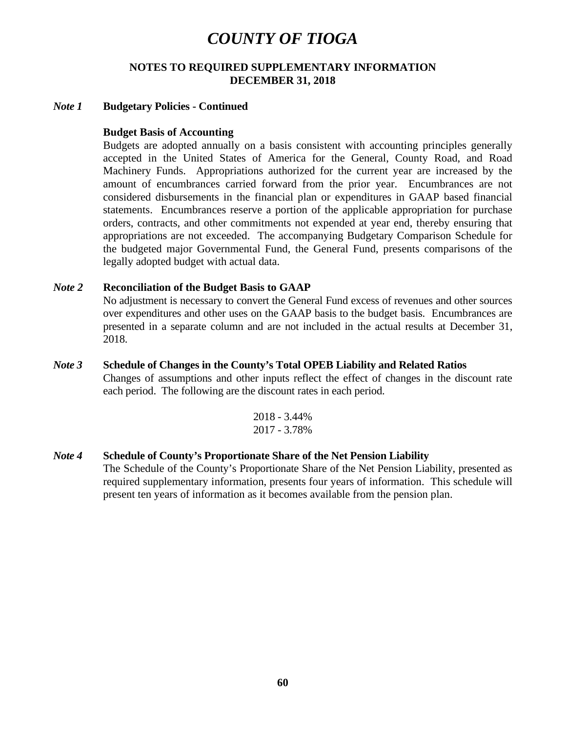#### **NOTES TO REQUIRED SUPPLEMENTARY INFORMATION DECEMBER 31, 2018**

#### *Note 1* **Budgetary Policies - Continued**

#### **Budget Basis of Accounting**

Budgets are adopted annually on a basis consistent with accounting principles generally accepted in the United States of America for the General, County Road, and Road Machinery Funds. Appropriations authorized for the current year are increased by the amount of encumbrances carried forward from the prior year. Encumbrances are not considered disbursements in the financial plan or expenditures in GAAP based financial statements. Encumbrances reserve a portion of the applicable appropriation for purchase orders, contracts, and other commitments not expended at year end, thereby ensuring that appropriations are not exceeded. The accompanying Budgetary Comparison Schedule for the budgeted major Governmental Fund, the General Fund, presents comparisons of the legally adopted budget with actual data.

#### *Note 2* **Reconciliation of the Budget Basis to GAAP**

No adjustment is necessary to convert the General Fund excess of revenues and other sources over expenditures and other uses on the GAAP basis to the budget basis. Encumbrances are presented in a separate column and are not included in the actual results at December 31, 2018.

*Note 3* **Schedule of Changes in the County's Total OPEB Liability and Related Ratios** Changes of assumptions and other inputs reflect the effect of changes in the discount rate each period. The following are the discount rates in each period.

2018 - 3.44% 2017 - 3.78%

*Note 4* **Schedule of County's Proportionate Share of the Net Pension Liability** The Schedule of the County's Proportionate Share of the Net Pension Liability, presented as required supplementary information, presents four years of information. This schedule will present ten years of information as it becomes available from the pension plan.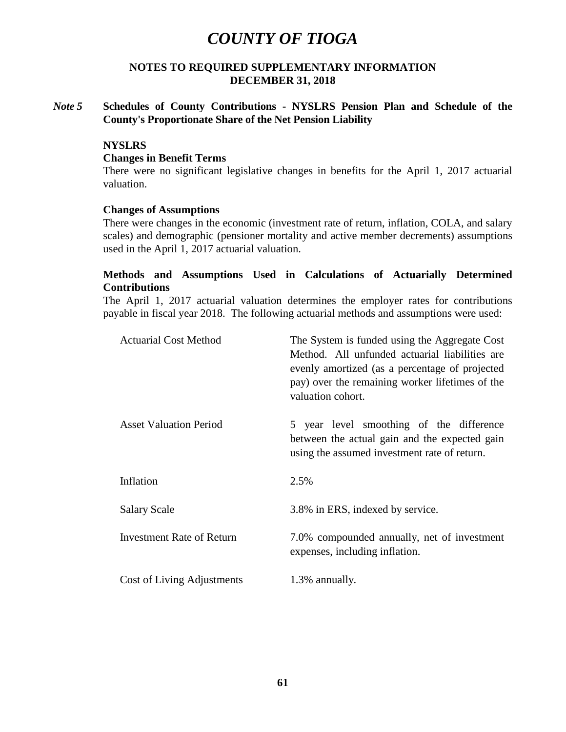#### **NOTES TO REQUIRED SUPPLEMENTARY INFORMATION DECEMBER 31, 2018**

*Note 5* **Schedules of County Contributions - NYSLRS Pension Plan and Schedule of the County's Proportionate Share of the Net Pension Liability** 

#### **NYSLRS**

#### **Changes in Benefit Terms**

There were no significant legislative changes in benefits for the April 1, 2017 actuarial valuation.

#### **Changes of Assumptions**

There were changes in the economic (investment rate of return, inflation, COLA, and salary scales) and demographic (pensioner mortality and active member decrements) assumptions used in the April 1, 2017 actuarial valuation.

#### **Methods and Assumptions Used in Calculations of Actuarially Determined Contributions**

The April 1, 2017 actuarial valuation determines the employer rates for contributions payable in fiscal year 2018. The following actuarial methods and assumptions were used:

| <b>Actuarial Cost Method</b>     | The System is funded using the Aggregate Cost<br>Method. All unfunded actuarial liabilities are<br>evenly amortized (as a percentage of projected<br>pay) over the remaining worker lifetimes of the<br>valuation cohort. |  |  |  |  |  |
|----------------------------------|---------------------------------------------------------------------------------------------------------------------------------------------------------------------------------------------------------------------------|--|--|--|--|--|
| <b>Asset Valuation Period</b>    | 5 year level smoothing of the difference<br>between the actual gain and the expected gain<br>using the assumed investment rate of return.                                                                                 |  |  |  |  |  |
| Inflation                        | 2.5%                                                                                                                                                                                                                      |  |  |  |  |  |
| <b>Salary Scale</b>              | 3.8% in ERS, indexed by service.                                                                                                                                                                                          |  |  |  |  |  |
| <b>Investment Rate of Return</b> | 7.0% compounded annually, net of investment<br>expenses, including inflation.                                                                                                                                             |  |  |  |  |  |
| Cost of Living Adjustments       | 1.3% annually.                                                                                                                                                                                                            |  |  |  |  |  |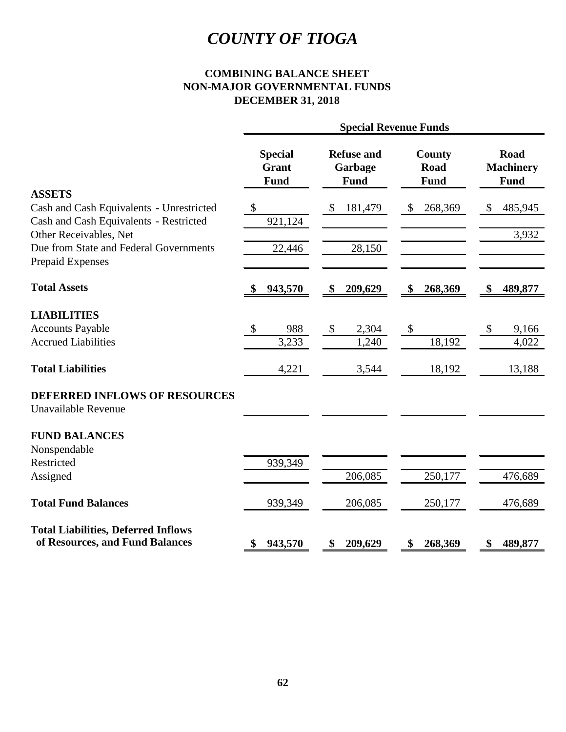### **COMBINING BALANCE SHEET NON-MAJOR GOVERNMENTAL FUNDS DECEMBER 31, 2018**

|                                                                  | <b>Special Revenue Funds</b> |                                        |    |                                             |                           |                                             |    |                                                |
|------------------------------------------------------------------|------------------------------|----------------------------------------|----|---------------------------------------------|---------------------------|---------------------------------------------|----|------------------------------------------------|
|                                                                  |                              | <b>Special</b><br>Grant<br><b>Fund</b> |    | <b>Refuse and</b><br>Garbage<br><b>Fund</b> |                           | <b>County</b><br><b>Road</b><br><b>Fund</b> |    | <b>Road</b><br><b>Machinery</b><br><b>Fund</b> |
| <b>ASSETS</b>                                                    |                              |                                        |    |                                             |                           |                                             |    |                                                |
| Cash and Cash Equivalents - Unrestricted                         | $\boldsymbol{\mathsf{S}}$    |                                        |    | 181,479                                     | \$                        | 268,369                                     | \$ | 485,945                                        |
| Cash and Cash Equivalents - Restricted<br>Other Receivables, Net |                              | 921,124                                |    |                                             |                           |                                             |    | 3,932                                          |
| Due from State and Federal Governments                           |                              | 22,446                                 |    | 28,150                                      |                           |                                             |    |                                                |
| Prepaid Expenses                                                 |                              |                                        |    |                                             |                           |                                             |    |                                                |
| <b>Total Assets</b>                                              |                              | 943,570                                | \$ | 209,629                                     | \$                        | 268,369                                     | \$ | 489,877                                        |
| <b>LIABILITIES</b>                                               |                              |                                        |    |                                             |                           |                                             |    |                                                |
| <b>Accounts Payable</b>                                          | $\boldsymbol{\mathsf{S}}$    | 988                                    | \$ | 2,304                                       | $\boldsymbol{\mathsf{S}}$ |                                             | \$ | 9,166                                          |
| <b>Accrued Liabilities</b>                                       |                              | 3,233                                  |    | 1,240                                       |                           | 18,192                                      |    | 4,022                                          |
| <b>Total Liabilities</b>                                         |                              | 4,221                                  |    | 3,544                                       |                           | 18,192                                      |    | 13,188                                         |
| <b>DEFERRED INFLOWS OF RESOURCES</b>                             |                              |                                        |    |                                             |                           |                                             |    |                                                |
| Unavailable Revenue                                              |                              |                                        |    |                                             |                           |                                             |    |                                                |
| <b>FUND BALANCES</b>                                             |                              |                                        |    |                                             |                           |                                             |    |                                                |
| Nonspendable                                                     |                              |                                        |    |                                             |                           |                                             |    |                                                |
| Restricted                                                       |                              | 939,349                                |    |                                             |                           |                                             |    |                                                |
| Assigned                                                         |                              |                                        |    | 206,085                                     |                           | 250,177                                     |    | 476,689                                        |
| <b>Total Fund Balances</b>                                       |                              | 939,349                                |    | 206,085                                     |                           | 250,177                                     |    | 476,689                                        |
| <b>Total Liabilities, Deferred Inflows</b>                       |                              |                                        |    |                                             |                           |                                             |    |                                                |
| of Resources, and Fund Balances                                  |                              | 943,570                                |    | 209,629                                     | \$                        | 268,369                                     | \$ | 489,877                                        |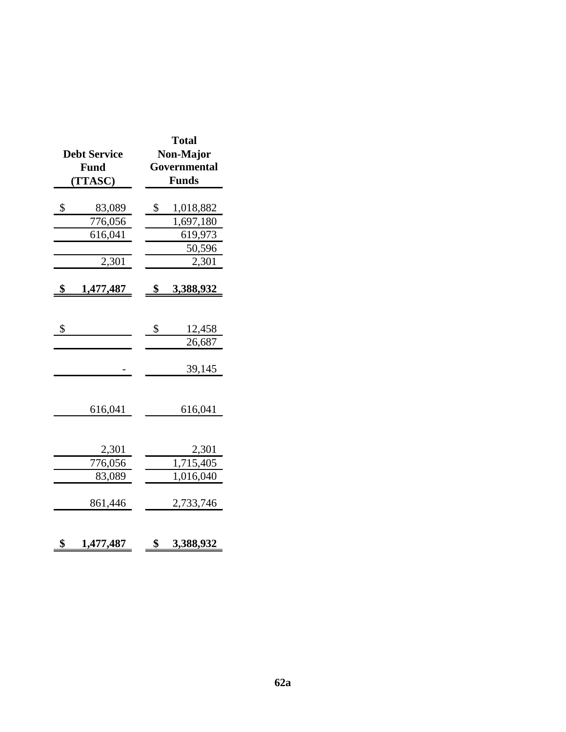|                                   | <b>Total</b>            |
|-----------------------------------|-------------------------|
| <b>Debt Service</b>               | Non-Major               |
| <b>Fund</b>                       | Governmental            |
| (TTASC)                           | <b>Funds</b>            |
|                                   |                         |
| \$<br>83,089                      | \$<br>1,018,882         |
| 776,056                           | 1,697,180               |
| 616,041                           | 619,973                 |
|                                   | 50,596                  |
| 2,301                             | 2,301                   |
|                                   |                         |
| $\frac{1}{2}$<br><u>1,477,487</u> | \$<br><u>3,388,932</u>  |
|                                   |                         |
| \$                                | $\mathcal{S}$<br>12,458 |
|                                   | 26,687                  |
|                                   |                         |
|                                   | 39,145                  |
|                                   |                         |
| 616,041                           | 616,041                 |
|                                   |                         |
| 2,301                             | 2,301                   |
| 776,056                           | 1,715,405               |
| 83,089                            | 1,016,040               |
| 861,446                           | 2,733,746               |
|                                   |                         |
| \$<br>1,477,487                   | \$<br><u>3,388,932</u>  |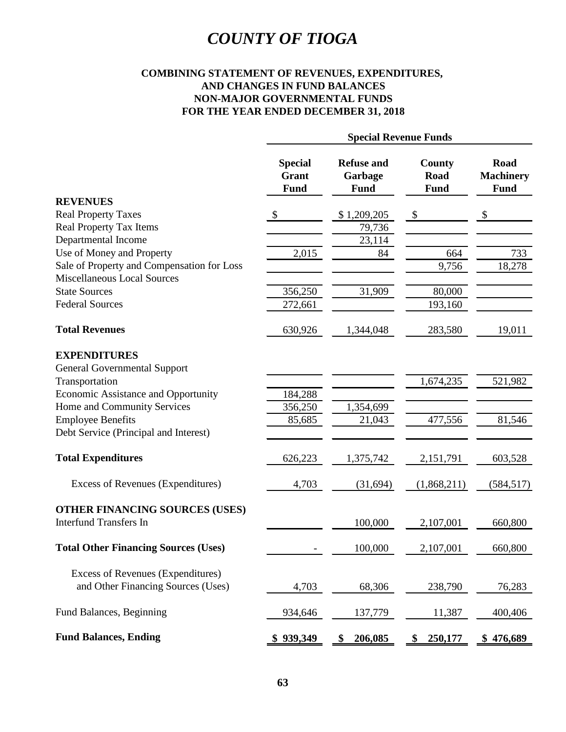#### **COMBINING STATEMENT OF REVENUES, EXPENDITURES, NON-MAJOR GOVERNMENTAL FUNDS FOR THE YEAR ENDED DECEMBER 31, 2018 AND CHANGES IN FUND BALANCES**

|                                                                         | <b>Special Revenue Funds</b>           |                                             |                               |                                         |  |  |  |  |
|-------------------------------------------------------------------------|----------------------------------------|---------------------------------------------|-------------------------------|-----------------------------------------|--|--|--|--|
|                                                                         | <b>Special</b><br>Grant<br><b>Fund</b> | <b>Refuse and</b><br>Garbage<br><b>Fund</b> | County<br>Road<br><b>Fund</b> | Road<br><b>Machinery</b><br><b>Fund</b> |  |  |  |  |
| <b>REVENUES</b>                                                         |                                        |                                             |                               |                                         |  |  |  |  |
| <b>Real Property Taxes</b>                                              | \$                                     | \$1,209,205                                 | \$                            | \$                                      |  |  |  |  |
| <b>Real Property Tax Items</b>                                          |                                        | 79,736                                      |                               |                                         |  |  |  |  |
| Departmental Income                                                     |                                        | 23,114                                      |                               |                                         |  |  |  |  |
| Use of Money and Property                                               | 2,015                                  | 84                                          | 664                           | 733                                     |  |  |  |  |
| Sale of Property and Compensation for Loss                              |                                        |                                             | 9,756                         | 18,278                                  |  |  |  |  |
| <b>Miscellaneous Local Sources</b>                                      |                                        |                                             |                               |                                         |  |  |  |  |
| <b>State Sources</b>                                                    | 356,250                                | 31,909                                      | 80,000                        |                                         |  |  |  |  |
| <b>Federal Sources</b>                                                  | 272,661                                |                                             | 193,160                       |                                         |  |  |  |  |
| <b>Total Revenues</b>                                                   | 630,926                                | 1,344,048                                   | 283,580                       | 19,011                                  |  |  |  |  |
| <b>EXPENDITURES</b>                                                     |                                        |                                             |                               |                                         |  |  |  |  |
| <b>General Governmental Support</b>                                     |                                        |                                             |                               |                                         |  |  |  |  |
| Transportation                                                          |                                        |                                             | 1,674,235                     | 521,982                                 |  |  |  |  |
| Economic Assistance and Opportunity                                     | 184,288                                |                                             |                               |                                         |  |  |  |  |
| Home and Community Services                                             | 356,250                                | 1,354,699                                   |                               |                                         |  |  |  |  |
| <b>Employee Benefits</b>                                                | 85,685                                 | 21,043                                      | 477,556                       | 81,546                                  |  |  |  |  |
| Debt Service (Principal and Interest)                                   |                                        |                                             |                               |                                         |  |  |  |  |
| <b>Total Expenditures</b>                                               | 626,223                                | 1,375,742                                   | 2,151,791                     | 603,528                                 |  |  |  |  |
| Excess of Revenues (Expenditures)                                       | 4,703                                  | (31,694)                                    | (1,868,211)                   | (584, 517)                              |  |  |  |  |
| <b>OTHER FINANCING SOURCES (USES)</b><br><b>Interfund Transfers In</b>  |                                        | 100,000                                     | 2,107,001                     | 660,800                                 |  |  |  |  |
| <b>Total Other Financing Sources (Uses)</b>                             |                                        | 100,000                                     | 2,107,001                     | 660,800                                 |  |  |  |  |
| Excess of Revenues (Expenditures)<br>and Other Financing Sources (Uses) | 4,703                                  | 68,306                                      | 238,790                       | 76,283                                  |  |  |  |  |
| Fund Balances, Beginning                                                | 934,646                                | 137,779                                     | 11,387                        | 400,406                                 |  |  |  |  |
| <b>Fund Balances, Ending</b>                                            | <u>\$939,349</u>                       | 206,085                                     | 250,177<br>S,                 | \$476,689                               |  |  |  |  |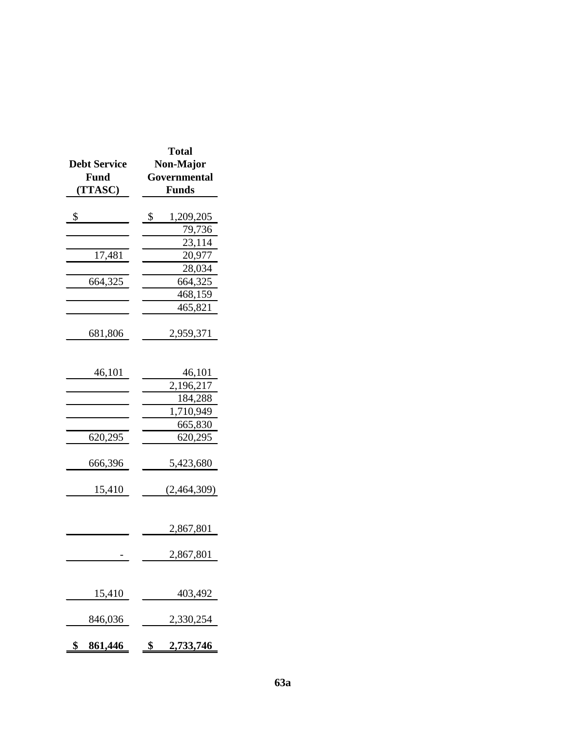|                     | <b>Total</b>                           |
|---------------------|----------------------------------------|
| <b>Debt Service</b> | <b>Non-Major</b>                       |
| <b>Fund</b>         | Governmental                           |
| (TTASC)             | <b>Funds</b>                           |
|                     |                                        |
| \$                  | $\boldsymbol{\mathsf{S}}$<br>1,209,205 |
|                     | 79,736                                 |
|                     | 23,114                                 |
| 17,481              | 20,977                                 |
|                     | 28,034                                 |
| 664,325             | 664,325                                |
|                     | 468,159                                |
|                     | 465,821                                |
|                     |                                        |
| 681,806             | 2,959,371                              |
|                     |                                        |
|                     |                                        |
| 46,101              | 46,101                                 |
|                     | 2,196,217                              |
|                     | 184,288                                |
|                     | $\overline{1,}710,949$                 |
|                     | 665,830                                |
| 620,295             | 620,295                                |
|                     |                                        |
| 666,396             | 5,423,680                              |
|                     |                                        |
| 15,410              | (2,464,309)                            |
|                     |                                        |
|                     |                                        |
|                     | 2,867,801                              |
|                     |                                        |
|                     |                                        |
|                     | 2,867,801                              |
|                     |                                        |
| 15,410              | 403,492                                |
|                     |                                        |
|                     |                                        |
| 846,036             | 2,330,254                              |
| \$<br>861,446       | $\frac{$2,733,746}{}$                  |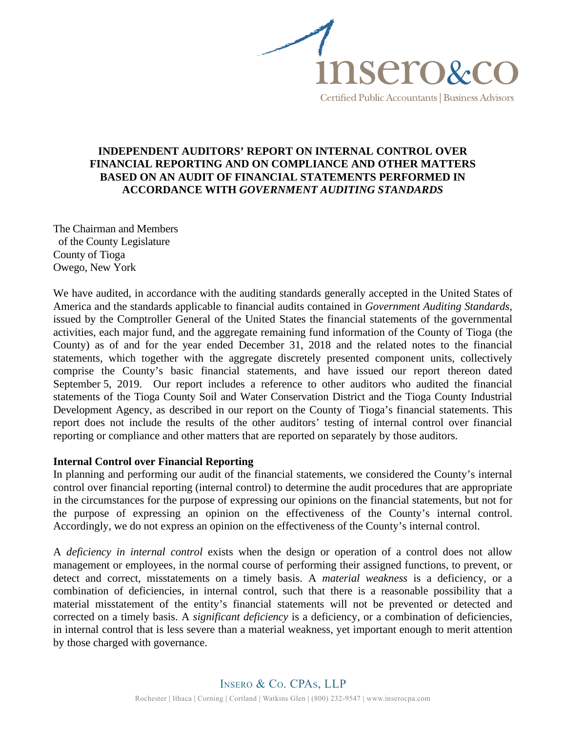

#### **INDEPENDENT AUDITORS' REPORT ON INTERNAL CONTROL OVER FINANCIAL REPORTING AND ON COMPLIANCE AND OTHER MATTERS BASED ON AN AUDIT OF FINANCIAL STATEMENTS PERFORMED IN ACCORDANCE WITH** *GOVERNMENT AUDITING STANDARDS*

The Chairman and Members of the County Legislature County of Tioga Owego, New York

We have audited, in accordance with the auditing standards generally accepted in the United States of America and the standards applicable to financial audits contained in *Government Auditing Standards*, issued by the Comptroller General of the United States the financial statements of the governmental activities, each major fund, and the aggregate remaining fund information of the County of Tioga (the County) as of and for the year ended December 31, 2018 and the related notes to the financial statements, which together with the aggregate discretely presented component units, collectively comprise the County's basic financial statements, and have issued our report thereon dated September 5, 2019. Our report includes a reference to other auditors who audited the financial statements of the Tioga County Soil and Water Conservation District and the Tioga County Industrial Development Agency, as described in our report on the County of Tioga's financial statements. This report does not include the results of the other auditors' testing of internal control over financial reporting or compliance and other matters that are reported on separately by those auditors.

#### **Internal Control over Financial Reporting**

In planning and performing our audit of the financial statements, we considered the County's internal control over financial reporting (internal control) to determine the audit procedures that are appropriate in the circumstances for the purpose of expressing our opinions on the financial statements, but not for the purpose of expressing an opinion on the effectiveness of the County's internal control. Accordingly, we do not express an opinion on the effectiveness of the County's internal control.

A *deficiency in internal control* exists when the design or operation of a control does not allow management or employees, in the normal course of performing their assigned functions, to prevent, or detect and correct, misstatements on a timely basis. A *material weakness* is a deficiency, or a combination of deficiencies, in internal control, such that there is a reasonable possibility that a material misstatement of the entity's financial statements will not be prevented or detected and corrected on a timely basis. A *significant deficiency* is a deficiency, or a combination of deficiencies, in internal control that is less severe than a material weakness, yet important enough to merit attention by those charged with governance.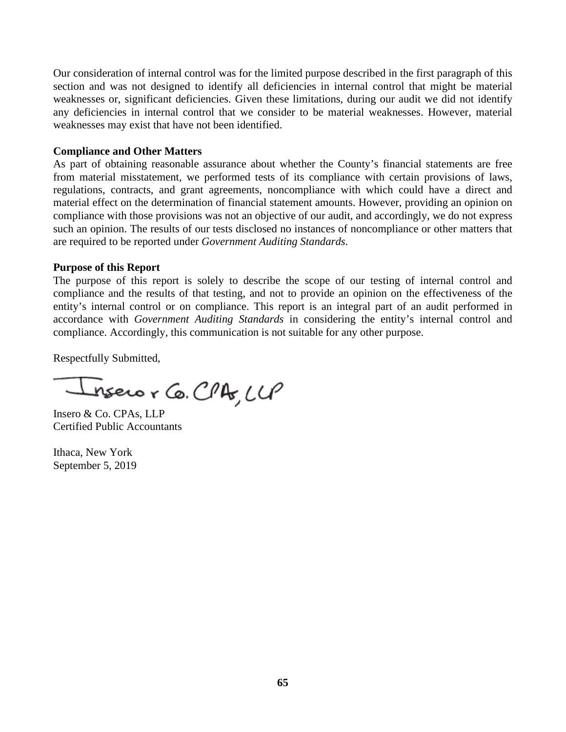Our consideration of internal control was for the limited purpose described in the first paragraph of this section and was not designed to identify all deficiencies in internal control that might be material weaknesses or, significant deficiencies. Given these limitations, during our audit we did not identify any deficiencies in internal control that we consider to be material weaknesses. However, material weaknesses may exist that have not been identified.

#### **Compliance and Other Matters**

As part of obtaining reasonable assurance about whether the County's financial statements are free from material misstatement, we performed tests of its compliance with certain provisions of laws, regulations, contracts, and grant agreements, noncompliance with which could have a direct and material effect on the determination of financial statement amounts. However, providing an opinion on compliance with those provisions was not an objective of our audit, and accordingly, we do not express such an opinion. The results of our tests disclosed no instances of noncompliance or other matters that are required to be reported under *Government Auditing Standards*.

#### **Purpose of this Report**

The purpose of this report is solely to describe the scope of our testing of internal control and compliance and the results of that testing, and not to provide an opinion on the effectiveness of the entity's internal control or on compliance. This report is an integral part of an audit performed in accordance with *Government Auditing Standards* in considering the entity's internal control and compliance. Accordingly, this communication is not suitable for any other purpose.

Respectfully Submitted,

nsero r Co. CPA, LLP

Insero & Co. CPAs, LLP Certified Public Accountants

Ithaca, New York September 5, 2019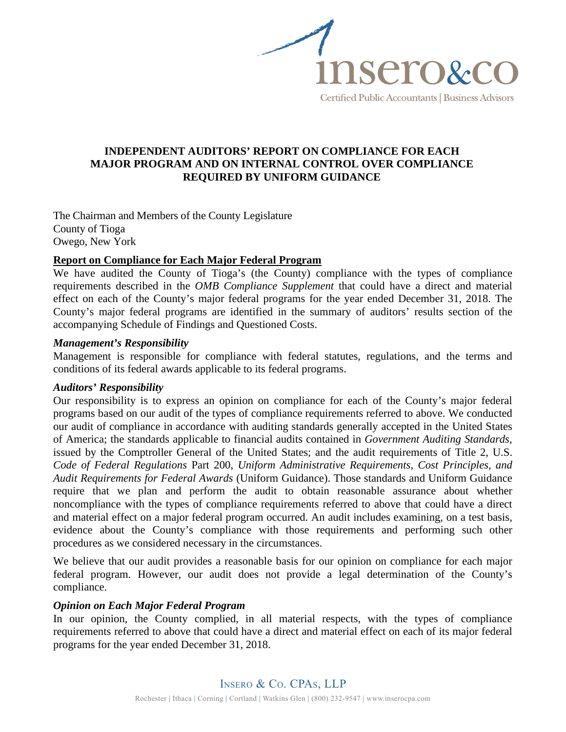

#### **INDEPENDENT AUDITORS' REPORT ON COMPLIANCE FOR EACH MAJOR PROGRAM AND ON INTERNAL CONTROL OVER COMPLIANCE REQUIRED BY UNIFORM GUIDANCE**

The Chairman and Members of the County Legislature County of Tioga Owego, New York

#### **Report on Compliance for Each Major Federal Program**

We have audited the County of Tioga's (the County) compliance with the types of compliance requirements described in the *OMB Compliance Supplement* that could have a direct and material effect on each of the County's major federal programs for the year ended December 31, 2018. The County's major federal programs are identified in the summary of auditors' results section of the accompanying Schedule of Findings and Questioned Costs.

#### *Management's Responsibility*

Management is responsible for compliance with federal statutes, regulations, and the terms and conditions of its federal awards applicable to its federal programs.

#### *Auditors' Responsibility*

Our responsibility is to express an opinion on compliance for each of the County's major federal programs based on our audit of the types of compliance requirements referred to above. We conducted our audit of compliance in accordance with auditing standards generally accepted in the United States of America; the standards applicable to financial audits contained in *Government Auditing Standards*, issued by the Comptroller General of the United States; and the audit requirements of Title 2, U.S. *Code of Federal Regulations* Part 200, *Uniform Administrative Requirements, Cost Principles, and Audit Requirements for Federal Awards* (Uniform Guidance). Those standards and Uniform Guidance require that we plan and perform the audit to obtain reasonable assurance about whether noncompliance with the types of compliance requirements referred to above that could have a direct and material effect on a major federal program occurred. An audit includes examining, on a test basis, evidence about the County's compliance with those requirements and performing such other procedures as we considered necessary in the circumstances.

We believe that our audit provides a reasonable basis for our opinion on compliance for each major federal program. However, our audit does not provide a legal determination of the County's compliance.

#### *Opinion on Each Major Federal Program*

In our opinion, the County complied, in all material respects, with the types of compliance requirements referred to above that could have a direct and material effect on each of its major federal programs for the year ended December 31, 2018.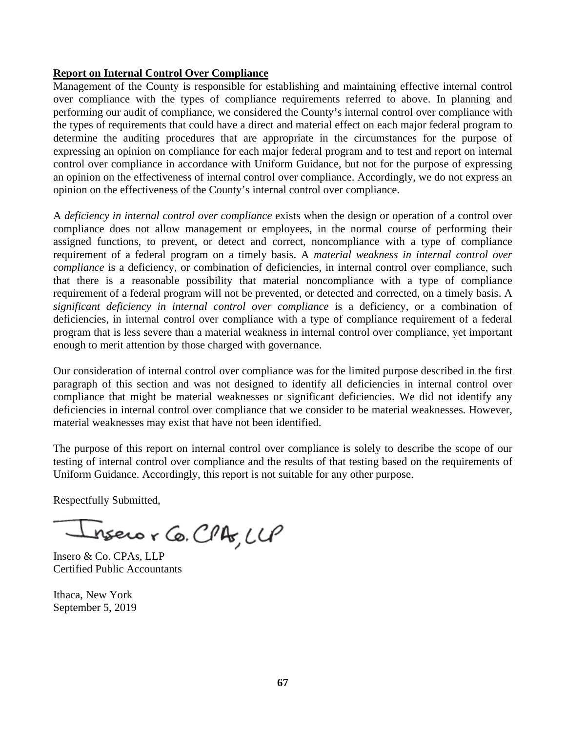#### **Report on Internal Control Over Compliance**

Management of the County is responsible for establishing and maintaining effective internal control over compliance with the types of compliance requirements referred to above. In planning and performing our audit of compliance, we considered the County's internal control over compliance with the types of requirements that could have a direct and material effect on each major federal program to determine the auditing procedures that are appropriate in the circumstances for the purpose of expressing an opinion on compliance for each major federal program and to test and report on internal control over compliance in accordance with Uniform Guidance, but not for the purpose of expressing an opinion on the effectiveness of internal control over compliance. Accordingly, we do not express an opinion on the effectiveness of the County's internal control over compliance.

A *deficiency in internal control over compliance* exists when the design or operation of a control over compliance does not allow management or employees, in the normal course of performing their assigned functions, to prevent, or detect and correct, noncompliance with a type of compliance requirement of a federal program on a timely basis. A *material weakness in internal control over compliance* is a deficiency, or combination of deficiencies, in internal control over compliance, such that there is a reasonable possibility that material noncompliance with a type of compliance requirement of a federal program will not be prevented, or detected and corrected, on a timely basis. A *significant deficiency in internal control over compliance* is a deficiency, or a combination of deficiencies, in internal control over compliance with a type of compliance requirement of a federal program that is less severe than a material weakness in internal control over compliance, yet important enough to merit attention by those charged with governance.

Our consideration of internal control over compliance was for the limited purpose described in the first paragraph of this section and was not designed to identify all deficiencies in internal control over compliance that might be material weaknesses or significant deficiencies. We did not identify any deficiencies in internal control over compliance that we consider to be material weaknesses. However, material weaknesses may exist that have not been identified.

The purpose of this report on internal control over compliance is solely to describe the scope of our testing of internal control over compliance and the results of that testing based on the requirements of Uniform Guidance. Accordingly, this report is not suitable for any other purpose.

Respectfully Submitted,

nsero r Co. CPA, LLP

Insero & Co. CPAs, LLP Certified Public Accountants

Ithaca, New York September 5, 2019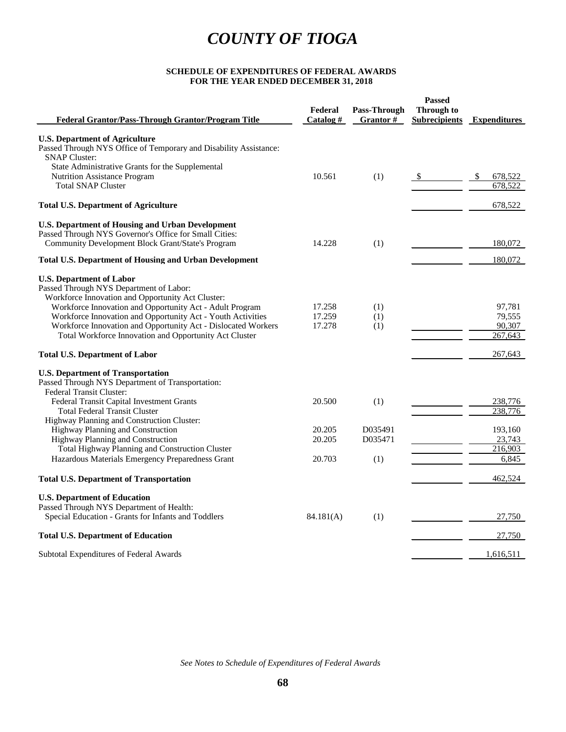#### **SCHEDULE OF EXPENDITURES OF FEDERAL AWARDS FOR THE YEAR ENDED DECEMBER 31, 2018**

| <b>Federal Grantor/Pass-Through Grantor/Program Title</b>                                                                                                                                                                                                                                                                                                                             | Federal<br>Catalog #       | Pass-Through<br>Grantor # | <b>Passed</b><br><b>Through to</b> | Subrecipients Expenditures            |
|---------------------------------------------------------------------------------------------------------------------------------------------------------------------------------------------------------------------------------------------------------------------------------------------------------------------------------------------------------------------------------------|----------------------------|---------------------------|------------------------------------|---------------------------------------|
| <b>U.S. Department of Agriculture</b><br>Passed Through NYS Office of Temporary and Disability Assistance:<br><b>SNAP Cluster:</b><br>State Administrative Grants for the Supplemental<br><b>Nutrition Assistance Program</b><br><b>Total SNAP Cluster</b>                                                                                                                            | 10.561                     | (1)                       | - SS                               | 678,522<br>\$<br>678,522              |
| <b>Total U.S. Department of Agriculture</b>                                                                                                                                                                                                                                                                                                                                           |                            |                           |                                    | 678,522                               |
| <b>U.S. Department of Housing and Urban Development</b><br>Passed Through NYS Governor's Office for Small Cities:<br><b>Community Development Block Grant/State's Program</b>                                                                                                                                                                                                         | 14.228                     | (1)                       |                                    | 180,072                               |
| <b>Total U.S. Department of Housing and Urban Development</b>                                                                                                                                                                                                                                                                                                                         |                            |                           |                                    | 180.072                               |
| <b>U.S. Department of Labor</b><br>Passed Through NYS Department of Labor:<br>Workforce Innovation and Opportunity Act Cluster:<br>Workforce Innovation and Opportunity Act - Adult Program<br>Workforce Innovation and Opportunity Act - Youth Activities<br>Workforce Innovation and Opportunity Act - Dislocated Workers<br>Total Workforce Innovation and Opportunity Act Cluster | 17.258<br>17.259<br>17.278 | (1)<br>(1)<br>(1)         |                                    | 97,781<br>79,555<br>90,307<br>267,643 |
| <b>Total U.S. Department of Labor</b>                                                                                                                                                                                                                                                                                                                                                 |                            |                           |                                    | 267,643                               |
| <b>U.S. Department of Transportation</b><br>Passed Through NYS Department of Transportation:<br>Federal Transit Cluster:                                                                                                                                                                                                                                                              |                            |                           |                                    |                                       |
| Federal Transit Capital Investment Grants<br><b>Total Federal Transit Cluster</b><br>Highway Planning and Construction Cluster:                                                                                                                                                                                                                                                       | 20.500                     | (1)                       |                                    | 238.776<br>238,776                    |
| Highway Planning and Construction<br>Highway Planning and Construction<br>Total Highway Planning and Construction Cluster                                                                                                                                                                                                                                                             | 20.205<br>20.205           | D035491<br>D035471        |                                    | 193.160<br>23,743<br>216,903          |
| Hazardous Materials Emergency Preparedness Grant                                                                                                                                                                                                                                                                                                                                      | 20.703                     | (1)                       |                                    | 6,845                                 |
| <b>Total U.S. Department of Transportation</b>                                                                                                                                                                                                                                                                                                                                        |                            |                           |                                    | 462,524                               |
| <b>U.S. Department of Education</b><br>Passed Through NYS Department of Health:<br>Special Education - Grants for Infants and Toddlers                                                                                                                                                                                                                                                | 84.181(A)                  | (1)                       |                                    | 27,750                                |
| <b>Total U.S. Department of Education</b>                                                                                                                                                                                                                                                                                                                                             |                            |                           |                                    | 27,750                                |
| Subtotal Expenditures of Federal Awards                                                                                                                                                                                                                                                                                                                                               |                            |                           |                                    | 1,616,511                             |

*See Notes to Schedule of Expenditures of Federal Awards*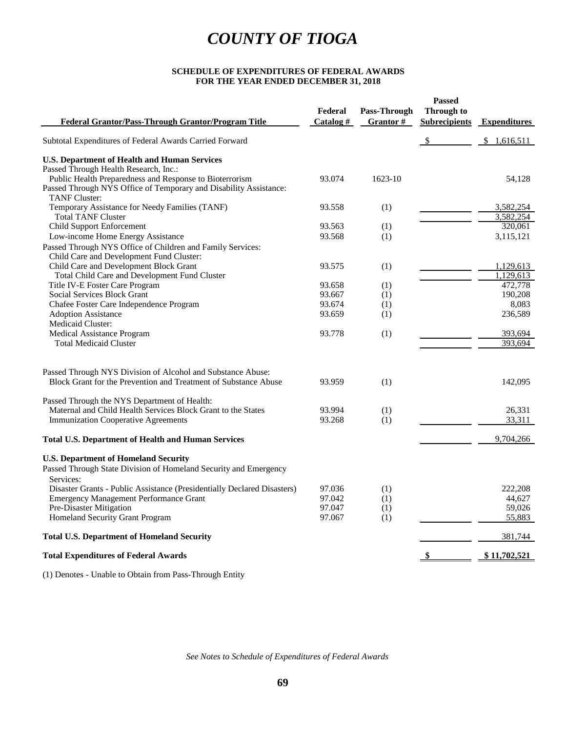#### **FOR THE YEAR ENDED DECEMBER 31, 2018 SCHEDULE OF EXPENDITURES OF FEDERAL AWARDS**

|                                                                                                                          |           |              | <b>Passed</b>        |                        |  |
|--------------------------------------------------------------------------------------------------------------------------|-----------|--------------|----------------------|------------------------|--|
|                                                                                                                          | Federal   | Pass-Through | Through to           |                        |  |
| <b>Federal Grantor/Pass-Through Grantor/Program Title</b>                                                                | Catalog # | Grantor#     | <b>Subrecipients</b> | <b>Expenditures</b>    |  |
| Subtotal Expenditures of Federal Awards Carried Forward                                                                  |           |              | $\mathbb{S}$         | \$.<br>1,616,511       |  |
| U.S. Department of Health and Human Services                                                                             |           |              |                      |                        |  |
| Passed Through Health Research, Inc.:                                                                                    |           |              |                      |                        |  |
| Public Health Preparedness and Response to Bioterrorism                                                                  | 93.074    | 1623-10      |                      | 54,128                 |  |
| Passed Through NYS Office of Temporary and Disability Assistance:                                                        |           |              |                      |                        |  |
| <b>TANF</b> Cluster:                                                                                                     |           |              |                      |                        |  |
| Temporary Assistance for Needy Families (TANF)                                                                           | 93.558    | (1)          |                      | 3.582.254              |  |
| <b>Total TANF Cluster</b><br><b>Child Support Enforcement</b>                                                            | 93.563    |              |                      | 3,582,254<br>320,061   |  |
|                                                                                                                          |           | (1)          |                      |                        |  |
| Low-income Home Energy Assistance                                                                                        | 93.568    | (1)          |                      | 3,115,121              |  |
| Passed Through NYS Office of Children and Family Services:                                                               |           |              |                      |                        |  |
| Child Care and Development Fund Cluster:                                                                                 |           |              |                      |                        |  |
| Child Care and Development Block Grant<br>Total Child Care and Development Fund Cluster                                  | 93.575    | (1)          |                      | 1,129,613<br>1,129,613 |  |
| Title IV-E Foster Care Program                                                                                           | 93.658    |              |                      | 472,778                |  |
| Social Services Block Grant                                                                                              | 93.667    | (1)<br>(1)   |                      | 190,208                |  |
| Chafee Foster Care Independence Program                                                                                  | 93.674    | (1)          |                      | 8,083                  |  |
| <b>Adoption Assistance</b>                                                                                               | 93.659    | (1)          |                      | 236,589                |  |
| <b>Medicaid Cluster:</b>                                                                                                 |           |              |                      |                        |  |
| <b>Medical Assistance Program</b>                                                                                        | 93.778    | (1)          |                      | 393,694                |  |
| <b>Total Medicaid Cluster</b>                                                                                            |           |              |                      | 393,694                |  |
|                                                                                                                          |           |              |                      |                        |  |
| Passed Through NYS Division of Alcohol and Substance Abuse:                                                              |           |              |                      |                        |  |
| Block Grant for the Prevention and Treatment of Substance Abuse                                                          | 93.959    | (1)          |                      | 142,095                |  |
| Passed Through the NYS Department of Health:                                                                             |           |              |                      |                        |  |
| Maternal and Child Health Services Block Grant to the States                                                             | 93.994    | (1)          |                      | 26,331                 |  |
| <b>Immunization Cooperative Agreements</b>                                                                               | 93.268    | (1)          |                      | 33,311                 |  |
| <b>Total U.S. Department of Health and Human Services</b>                                                                |           |              |                      | 9.704.266              |  |
| <b>U.S. Department of Homeland Security</b>                                                                              |           |              |                      |                        |  |
| Passed Through State Division of Homeland Security and Emergency                                                         |           |              |                      |                        |  |
| Services:                                                                                                                | 97.036    |              |                      | 222,208                |  |
| Disaster Grants - Public Assistance (Presidentially Declared Disasters)<br><b>Emergency Management Performance Grant</b> | 97.042    | (1)          |                      | 44,627                 |  |
| Pre-Disaster Mitigation                                                                                                  | 97.047    | (1)<br>(1)   |                      | 59,026                 |  |
| Homeland Security Grant Program                                                                                          | 97.067    | (1)          |                      | 55,883                 |  |
|                                                                                                                          |           |              |                      |                        |  |
| <b>Total U.S. Department of Homeland Security</b>                                                                        |           |              |                      | 381,744                |  |
| <b>Total Expenditures of Federal Awards</b>                                                                              |           |              |                      | \$11,702,521           |  |

(1) Denotes - Unable to Obtain from Pass-Through Entity

*See Notes to Schedule of Expenditures of Federal Awards*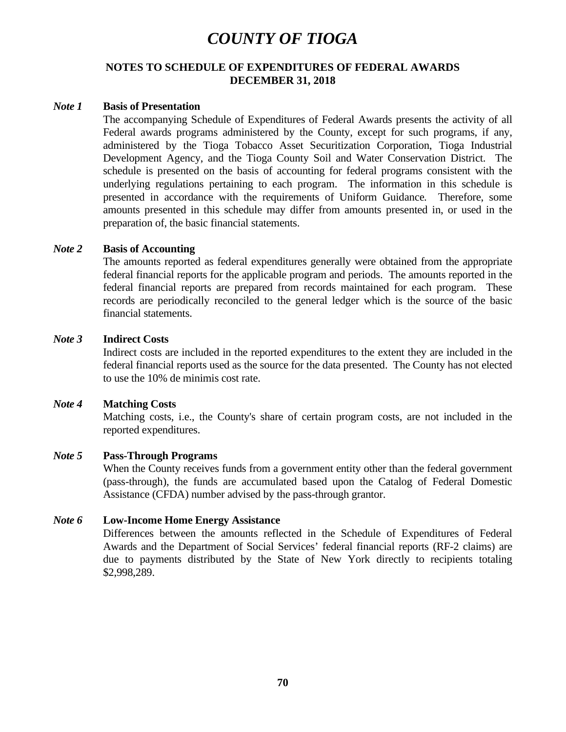#### **NOTES TO SCHEDULE OF EXPENDITURES OF FEDERAL AWARDS DECEMBER 31, 2018**

#### *Note 1* **Basis of Presentation**

The accompanying Schedule of Expenditures of Federal Awards presents the activity of all Federal awards programs administered by the County, except for such programs, if any, administered by the Tioga Tobacco Asset Securitization Corporation, Tioga Industrial Development Agency, and the Tioga County Soil and Water Conservation District. The schedule is presented on the basis of accounting for federal programs consistent with the underlying regulations pertaining to each program. The information in this schedule is presented in accordance with the requirements of Uniform Guidance*.* Therefore, some amounts presented in this schedule may differ from amounts presented in, or used in the preparation of, the basic financial statements.

#### *Note 2* **Basis of Accounting**

The amounts reported as federal expenditures generally were obtained from the appropriate federal financial reports for the applicable program and periods. The amounts reported in the federal financial reports are prepared from records maintained for each program. These records are periodically reconciled to the general ledger which is the source of the basic financial statements.

#### *Note 3* **Indirect Costs**

Indirect costs are included in the reported expenditures to the extent they are included in the federal financial reports used as the source for the data presented. The County has not elected to use the 10% de minimis cost rate.

#### *Note 4* **Matching Costs**

Matching costs, i.e., the County's share of certain program costs, are not included in the reported expenditures.

#### *Note 5* **Pass-Through Programs**

When the County receives funds from a government entity other than the federal government (pass-through), the funds are accumulated based upon the Catalog of Federal Domestic Assistance (CFDA) number advised by the pass-through grantor.

#### *Note 6* **Low-Income Home Energy Assistance**

Differences between the amounts reflected in the Schedule of Expenditures of Federal Awards and the Department of Social Services' federal financial reports (RF-2 claims) are due to payments distributed by the State of New York directly to recipients totaling \$2,998,289.